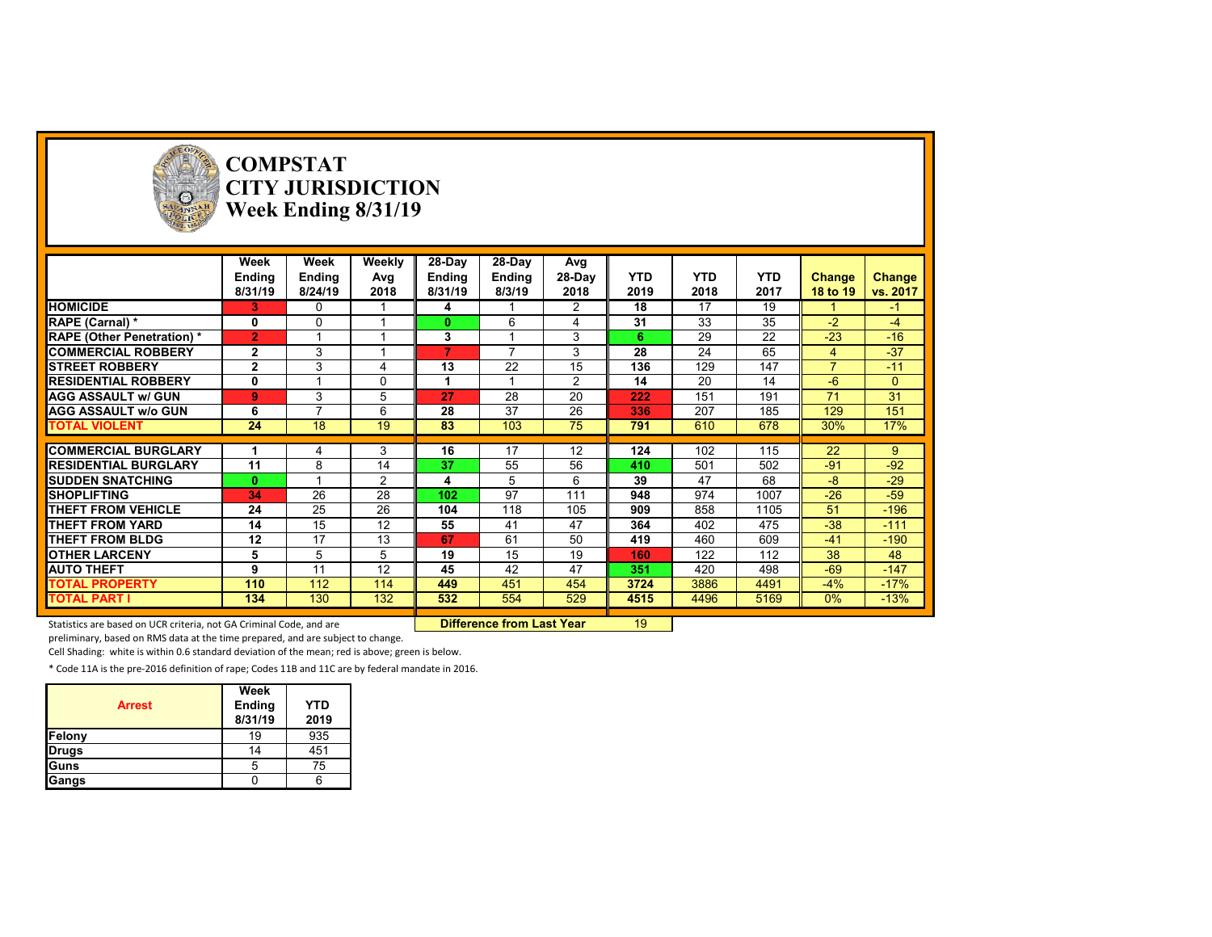

# **COMPSTAT CITY JURISDICTION Week Ending 8/31/19**

| 28-Day<br>28-Day<br>Week<br>Weekly<br>Week<br>Avg<br><b>YTD</b><br><b>YTD</b><br><b>Ending</b><br>28-Day<br><b>YTD</b><br><b>Ending</b><br>Avg<br>Change<br>Ending<br><b>Ending</b><br><b>Change</b> |
|------------------------------------------------------------------------------------------------------------------------------------------------------------------------------------------------------|
|                                                                                                                                                                                                      |
|                                                                                                                                                                                                      |
| 2019<br>2018<br>2017<br>vs. 2017<br>8/31/19<br>8/24/19<br>2018<br>8/31/19<br>8/3/19<br>2018<br>18 to 19                                                                                              |
| <b>HOMICIDE</b><br>18<br>17<br>19<br>2<br>3.<br>4<br>0<br>$-1$                                                                                                                                       |
| $3\overline{5}$<br>31<br>33<br>$-2$<br>RAPE (Carnal) *<br>6<br>0<br>$\Omega$<br>$-4$<br>0                                                                                                            |
| 22<br>$-23$<br>29<br>$-16$<br>$\overline{2}$<br>3<br>3<br><b>RAPE (Other Penetration) *</b><br>6                                                                                                     |
| 65<br>$-37$<br>$\overline{ }$<br>28<br>24<br>$\mathbf{2}$<br>3<br>7<br>3<br><b>COMMERCIAL ROBBERY</b><br>4                                                                                           |
| 22<br>147<br>$\mathbf{2}$<br>3<br>13<br>15<br>136<br>129<br>⇁<br>$-11$<br><b>ISTREET ROBBERY</b><br>4                                                                                                |
| $\overline{2}$<br>14<br>20<br>14<br><b>RESIDENTIAL ROBBERY</b><br>0<br>$\Omega$<br>$-6$<br>$\Omega$                                                                                                  |
| 28<br>31<br>5<br>20<br>151<br>191<br>71<br>3<br><b>AGG ASSAULT w/ GUN</b><br>$\bf{9}$<br>27<br>222                                                                                                   |
| 37<br>151<br>28<br>26<br>207<br>185<br>129<br><b>AGG ASSAULT w/o GUN</b><br>6<br>336<br>6<br>⇁                                                                                                       |
| 24<br>18<br>19<br>103<br>75<br>610<br>678<br>30%<br>17%<br><b>TOTAL VIOLENT</b><br>83<br>791                                                                                                         |
|                                                                                                                                                                                                      |
| 102<br><b>COMMERCIAL BURGLARY</b><br>16<br>17<br>12<br>124<br>115<br>22<br>3<br>9                                                                                                                    |
| 55<br>$-92$<br>11<br>14<br>37<br>56<br>501<br>502<br>$-91$<br><b>RESIDENTIAL BURGLARY</b><br>8<br>410                                                                                                |
| $-29$<br>39<br>47<br>68<br>-8<br><b>ISUDDEN SNATCHING</b><br>$\bf{0}$<br>2<br>5<br>6<br>4                                                                                                            |
| 26<br>97<br>$-26$<br>28<br>1007<br>$-59$<br><b>SHOPLIFTING</b><br>102<br>111<br>948<br>974<br>34                                                                                                     |
| 25<br>26<br>THEFT FROM VEHICLE<br>118<br>$-196$<br>24<br>104<br>105<br>909<br>858<br>1105<br>51                                                                                                      |
| $-38$<br>15<br>12<br>41<br>364<br>475<br>$-111$<br>THEFT FROM YARD<br>14<br>55<br>47<br>402                                                                                                          |
| 12<br>17<br>13<br>67<br>61<br>50<br>419<br>609<br>$-190$<br><b>THEFT FROM BLDG</b><br>460<br>$-41$                                                                                                   |
| 15<br>122<br>38<br>48<br><b>OTHER LARCENY</b><br>5<br>5<br>5<br>19<br>19<br>112<br>160                                                                                                               |
| $-147$<br>12<br>45<br>42<br>420<br>498<br>$-69$<br><b>AUTO THEFT</b><br>9<br>11<br>47<br>351                                                                                                         |
| $-4%$<br>$-17%$<br>110<br>112<br>114<br>449<br>451<br>3724<br>3886<br>4491<br><b>TOTAL PROPERTY</b><br>454                                                                                           |
| <b>TOTAL PART I</b><br>130<br>132<br>554<br>529<br>0%<br>$-13%$<br>134<br>532<br>4515<br>4496<br>5169                                                                                                |

Statistics are based on UCR criteria, not GA Criminal Code, and are **Difference from Last Year** 19

preliminary, based on RMS data at the time prepared, and are subject to change.

Cell Shading: white is within 0.6 standard deviation of the mean; red is above; green is below.

\* Code 11A is the pre‐2016 definition of rape; Codes 11B and 11C are by federal mandate in 2016.

| <b>Arrest</b> | Week<br><b>Ending</b><br>8/31/19 | <b>YTD</b><br>2019 |
|---------------|----------------------------------|--------------------|
| Felony        | 19                               | 935                |
| <b>Drugs</b>  | 14                               | 451                |
| Guns          | 5                                | 75                 |
| Gangs         |                                  |                    |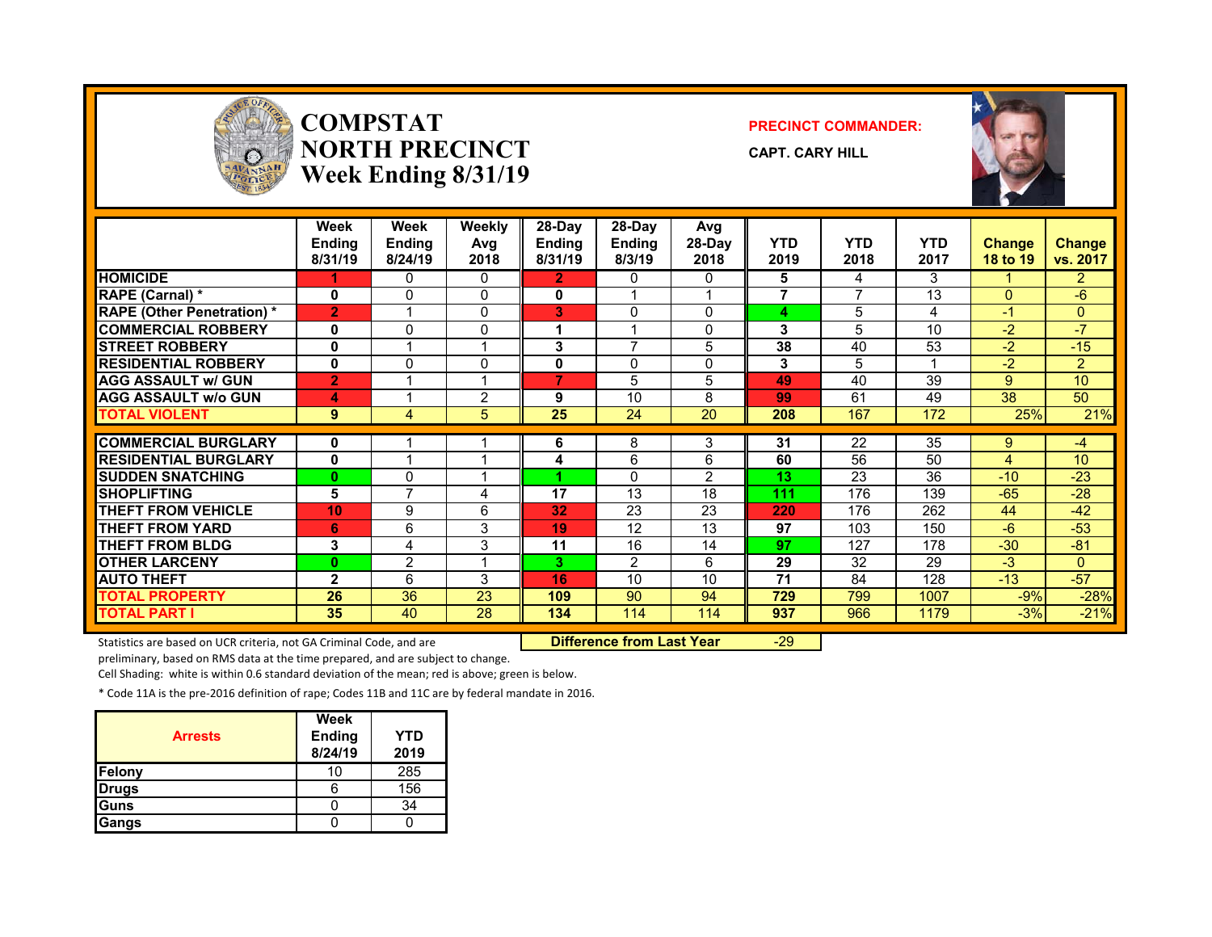

### **COMPSTATNORTH PRECINCTWeek Ending 8/31/19**

#### **PRECINCT COMMANDER:**

**CAPT. CARY HILL**



|                                   | Week<br><b>Ending</b><br>8/31/19 | Week<br>Ending<br>8/24/19 | Weekly<br>Avg<br>2018 | 28-Day<br><b>Ending</b><br>8/31/19 | $28-Dav$<br><b>Ending</b><br>8/3/19 | Avg<br>28-Day<br>2018 | <b>YTD</b><br>2019 | <b>YTD</b><br>2018 | <b>YTD</b><br>2017 | <b>Change</b><br>18 to 19 | <b>Change</b><br>vs. 2017 |
|-----------------------------------|----------------------------------|---------------------------|-----------------------|------------------------------------|-------------------------------------|-----------------------|--------------------|--------------------|--------------------|---------------------------|---------------------------|
| <b>HOMICIDE</b>                   |                                  | 0                         | 0                     | 2                                  | 0                                   | 0                     | 5                  | 4                  | 3                  |                           | $\overline{2}$            |
| <b>RAPE (Carnal)</b> *            | 0                                | $\Omega$                  | $\mathbf{0}$          | 0                                  |                                     |                       | 7                  | 7                  | 13                 | $\Omega$                  | -6                        |
| <b>RAPE (Other Penetration)</b> * | $\overline{2}$                   |                           | $\mathbf{0}$          | 3                                  | $\Omega$                            | 0                     | 4                  | 5                  | 4                  | -1                        | $\Omega$                  |
| <b>COMMERCIAL ROBBERY</b>         | 0                                | 0                         | $\mathbf{0}$          |                                    |                                     | <sup>0</sup>          | 3                  | 5                  | 10                 | $-2$                      | $-7$                      |
| <b>STREET ROBBERY</b>             | 0                                |                           | 1                     | 3                                  | $\overline{ }$                      | 5                     | 38                 | 40                 | 53                 | $-2$                      | $-15$                     |
| <b>RESIDENTIAL ROBBERY</b>        | 0                                | 0                         | $\mathbf{0}$          | 0                                  | $\mathbf{0}$                        | 0                     | 3                  | 5                  |                    | $-2$                      | $\overline{2}$            |
| <b>AGG ASSAULT w/ GUN</b>         | $\overline{2}$                   |                           | и                     | 7                                  | 5                                   | 5                     | 49                 | 40                 | 39                 | 9                         | 10                        |
| <b>AGG ASSAULT w/o GUN</b>        | 4                                |                           | $\overline{2}$        | 9                                  | 10                                  | 8                     | 99                 | 61                 | 49                 | 38                        | 50                        |
| <b>TOTAL VIOLENT</b>              | 9                                | 4                         | 5                     | 25                                 | 24                                  | 20                    | 208                | 167                | 172                | 25%                       | 21%                       |
|                                   |                                  |                           |                       |                                    |                                     |                       |                    |                    |                    |                           |                           |
| <b>COMMERCIAL BURGLARY</b>        | 0                                |                           |                       | 6                                  | 8                                   | 3                     | 31                 | 22                 | 35                 | 9                         | $-4$                      |
| <b>RESIDENTIAL BURGLARY</b>       | 0                                |                           |                       | 4                                  | 6                                   | 6                     | 60                 | 56                 | 50                 | 4                         | 10                        |
| <b>SUDDEN SNATCHING</b>           | $\bf{0}$                         | 0                         |                       |                                    | $\mathbf{0}$                        | 2                     | 13                 | 23                 | 36                 | $-10$                     | $-23$                     |
| <b>SHOPLIFTING</b>                | 5                                | 7                         | 4                     | 17                                 | 13                                  | 18                    | 111                | 176                | 139                | $-65$                     | $-28$                     |
| <b>THEFT FROM VEHICLE</b>         | 10                               | 9                         | 6                     | 32                                 | 23                                  | 23                    | 220                | 176                | 262                | 44                        | $-42$                     |
| <b>THEFT FROM YARD</b>            | 6                                | 6                         | 3                     | 19                                 | 12                                  | 13                    | 97                 | 103                | 150                | $-6$                      | $-53$                     |
| <b>THEFT FROM BLDG</b>            | 3                                | 4                         | 3                     | 11                                 | 16                                  | 14                    | 97                 | 127                | 178                | $-30$                     | $-81$                     |
| <b>OTHER LARCENY</b>              | $\bf{0}$                         | $\overline{2}$            | и                     | 3.                                 | $\overline{2}$                      | 6                     | 29                 | 32                 | 29                 | $-3$                      | $\Omega$                  |
| <b>AUTO THEFT</b>                 | $\mathbf{2}$                     | 6                         | 3                     | 16                                 | 10                                  | 10                    | 71                 | 84                 | 128                | $-13$                     | $-57$                     |
| <b>TOTAL PROPERTY</b>             | 26                               | 36                        | 23                    | 109                                | 90                                  | 94                    | 729                | 799                | 1007               | $-9%$                     | $-28%$                    |
| <b>TOTAL PART I</b>               | 35                               | 40                        | 28                    | 134                                | 114                                 | 114                   | 937                | 966                | 1179               | $-3%$                     | $-21%$                    |

Statistics are based on UCR criteria, not GA Criminal Code, and are **Difference from Last Year** -29

preliminary, based on RMS data at the time prepared, and are subject to change.

Cell Shading: white is within 0.6 standard deviation of the mean; red is above; green is below.

\* Code 11A is the pre‐2016 definition of rape; Codes 11B and 11C are by federal mandate in 2016.

| <b>Arrests</b> | Week<br><b>Ending</b><br>8/24/19 | YTD<br>2019 |
|----------------|----------------------------------|-------------|
| Felony         | 10                               | 285         |
| <b>Drugs</b>   |                                  | 156         |
| Guns           |                                  | 34          |
| Gangs          |                                  |             |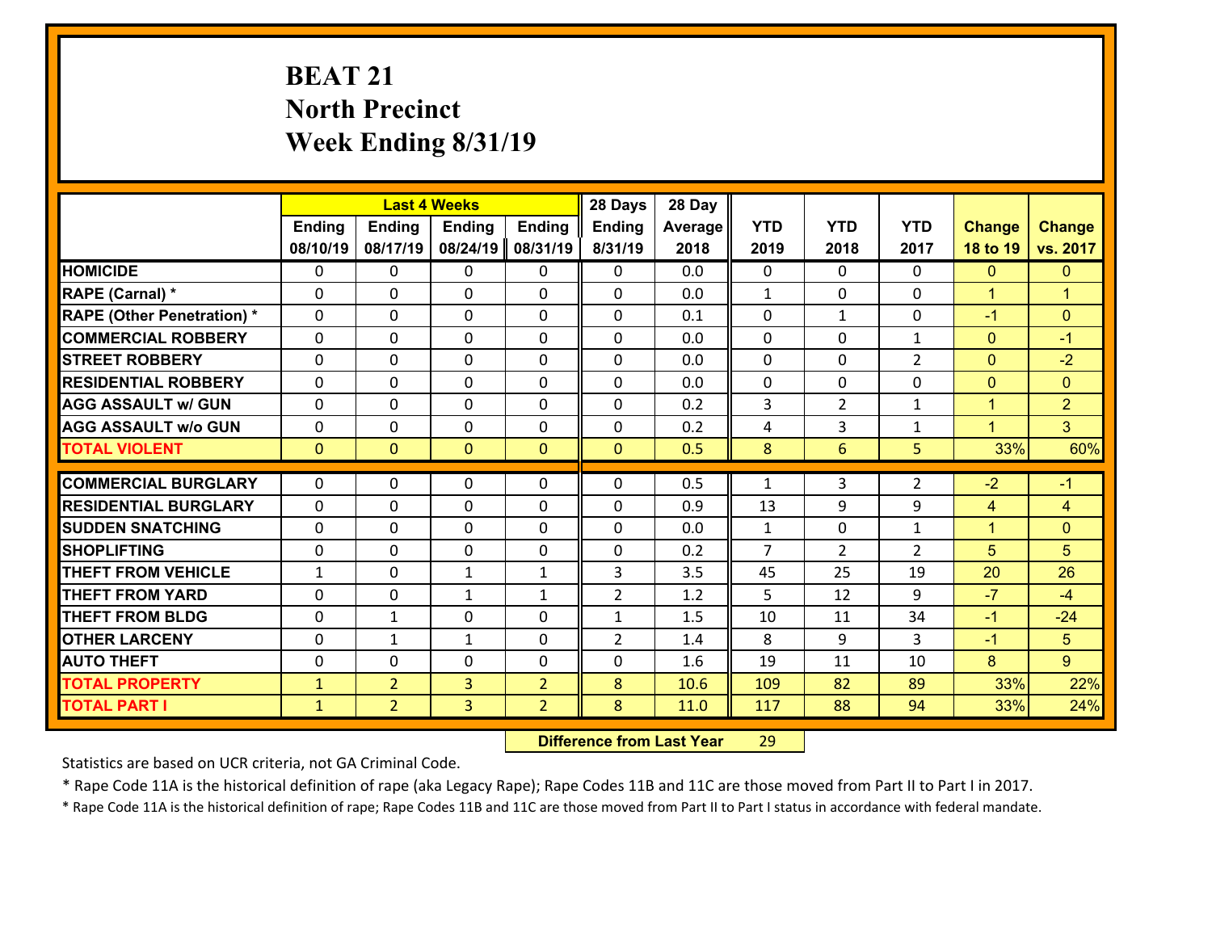# **BEAT 21 North Precinct Week Ending 8/31/19**

|                                   |               |                | <b>Last 4 Weeks</b> |                | 28 Days        | 28 Day  |              |                |                |                |                      |
|-----------------------------------|---------------|----------------|---------------------|----------------|----------------|---------|--------------|----------------|----------------|----------------|----------------------|
|                                   | <b>Ending</b> | <b>Ending</b>  | <b>Ending</b>       | <b>Ending</b>  | <b>Ending</b>  | Average | <b>YTD</b>   | <b>YTD</b>     | <b>YTD</b>     | <b>Change</b>  | <b>Change</b>        |
|                                   | 08/10/19      | 08/17/19       | 08/24/19            | 08/31/19       | 8/31/19        | 2018    | 2019         | 2018           | 2017           | 18 to 19       | vs. 2017             |
| <b>HOMICIDE</b>                   | $\mathbf{0}$  | 0              | 0                   | 0              | 0              | 0.0     | $\mathbf 0$  | $\Omega$       | $\Omega$       | $\mathbf{0}$   | $\mathbf{0}$         |
| RAPE (Carnal) *                   | 0             | 0              | $\mathbf{0}$        | 0              | $\Omega$       | 0.0     | 1            | 0              | 0              | $\mathbf{1}$   | $\blacktriangleleft$ |
| <b>RAPE (Other Penetration) *</b> | $\Omega$      | $\Omega$       | $\Omega$            | $\Omega$       | $\Omega$       | 0.1     | $\Omega$     | $\mathbf{1}$   | $\Omega$       | $-1$           | $\mathbf{0}$         |
| <b>COMMERCIAL ROBBERY</b>         | $\Omega$      | $\Omega$       | $\mathbf 0$         | $\Omega$       | 0              | 0.0     | $\Omega$     | $\Omega$       | $\mathbf{1}$   | $\mathbf{0}$   | $-1$                 |
| <b>STREET ROBBERY</b>             | 0             | 0              | $\mathbf 0$         | 0              | 0              | 0.0     | $\mathbf 0$  | $\mathbf 0$    | $\overline{2}$ | $\mathbf{0}$   | $-2$                 |
| <b>RESIDENTIAL ROBBERY</b>        | $\Omega$      | 0              | $\mathbf 0$         | 0              | 0              | 0.0     | $\mathbf 0$  | 0              | 0              | $\overline{0}$ | $\mathbf{0}$         |
| <b>AGG ASSAULT w/ GUN</b>         | 0             | 0              | $\mathbf 0$         | 0              | 0              | 0.2     | 3            | $\overline{2}$ | $\mathbf{1}$   | $\mathbf{1}$   | $\overline{2}$       |
| <b>AGG ASSAULT w/o GUN</b>        | 0             | 0              | $\mathbf 0$         | 0              | 0              | 0.2     | 4            | $\overline{3}$ | $\mathbf{1}$   | $\mathbf{1}$   | 3 <sup>1</sup>       |
| <b>TOTAL VIOLENT</b>              | $\mathbf{0}$  | $\overline{0}$ | $\mathbf{0}$        | $\mathbf{0}$   | $\mathbf{0}$   | 0.5     | 8            | 6              | 5              | 33%            | 60%                  |
| <b>COMMERCIAL BURGLARY</b>        | $\Omega$      | 0              |                     |                | $\Omega$       | 0.5     |              | 3              | $\overline{2}$ | $-2$           |                      |
|                                   |               |                | 0                   | 0              |                |         | 1            |                |                |                | $-1$                 |
| <b>RESIDENTIAL BURGLARY</b>       | $\Omega$      | 0              | $\mathbf 0$         | $\Omega$       | $\Omega$       | 0.9     | 13           | 9              | 9              | 4              | $\overline{4}$       |
| <b>SUDDEN SNATCHING</b>           | $\Omega$      | 0              | $\mathbf 0$         | $\Omega$       | $\Omega$       | 0.0     | $\mathbf{1}$ | $\Omega$       | $\mathbf{1}$   | $\mathbf{1}$   | $\mathbf{0}$         |
| <b>SHOPLIFTING</b>                | $\mathbf{0}$  | 0              | $\mathbf 0$         | $\Omega$       | 0              | 0.2     | 7            | $\overline{2}$ | $\overline{2}$ | 5              | 5                    |
| <b>THEFT FROM VEHICLE</b>         | $\mathbf{1}$  | 0              | 1                   | 1              | 3              | 3.5     | 45           | 25             | 19             | 20             | 26                   |
| <b>THEFT FROM YARD</b>            | 0             | 0              | 1                   | $\mathbf{1}$   | $\overline{2}$ | 1.2     | 5            | 12             | 9              | $-7$           | $-4$                 |
| <b>THEFT FROM BLDG</b>            | 0             | $\mathbf{1}$   | $\mathbf 0$         | 0              | $\mathbf{1}$   | 1.5     | 10           | 11             | 34             | $-1$           | $-24$                |
| <b>OTHER LARCENY</b>              | 0             | $\mathbf{1}$   | $\mathbf{1}$        | 0              | $\overline{2}$ | 1.4     | 8            | 9              | 3              | $-1$           | 5                    |
| <b>AUTO THEFT</b>                 | 0             | 0              | $\mathbf 0$         | 0              | 0              | 1.6     | 19           | 11             | 10             | 8              | $\overline{9}$       |
| <b>TOTAL PROPERTY</b>             | $\mathbf{1}$  | $\overline{2}$ | $\overline{3}$      | $\overline{2}$ | 8              | 10.6    | 109          | 82             | 89             | 33%            | 22%                  |
| <b>TOTAL PART I</b>               | $\mathbf{1}$  | $\overline{2}$ | $\overline{3}$      | $\overline{2}$ | 8              | 11.0    | 117          | 88             | 94             | 33%            | 24%                  |

 **Difference from Last Year**r 29

Statistics are based on UCR criteria, not GA Criminal Code.

\* Rape Code 11A is the historical definition of rape (aka Legacy Rape); Rape Codes 11B and 11C are those moved from Part II to Part I in 2017.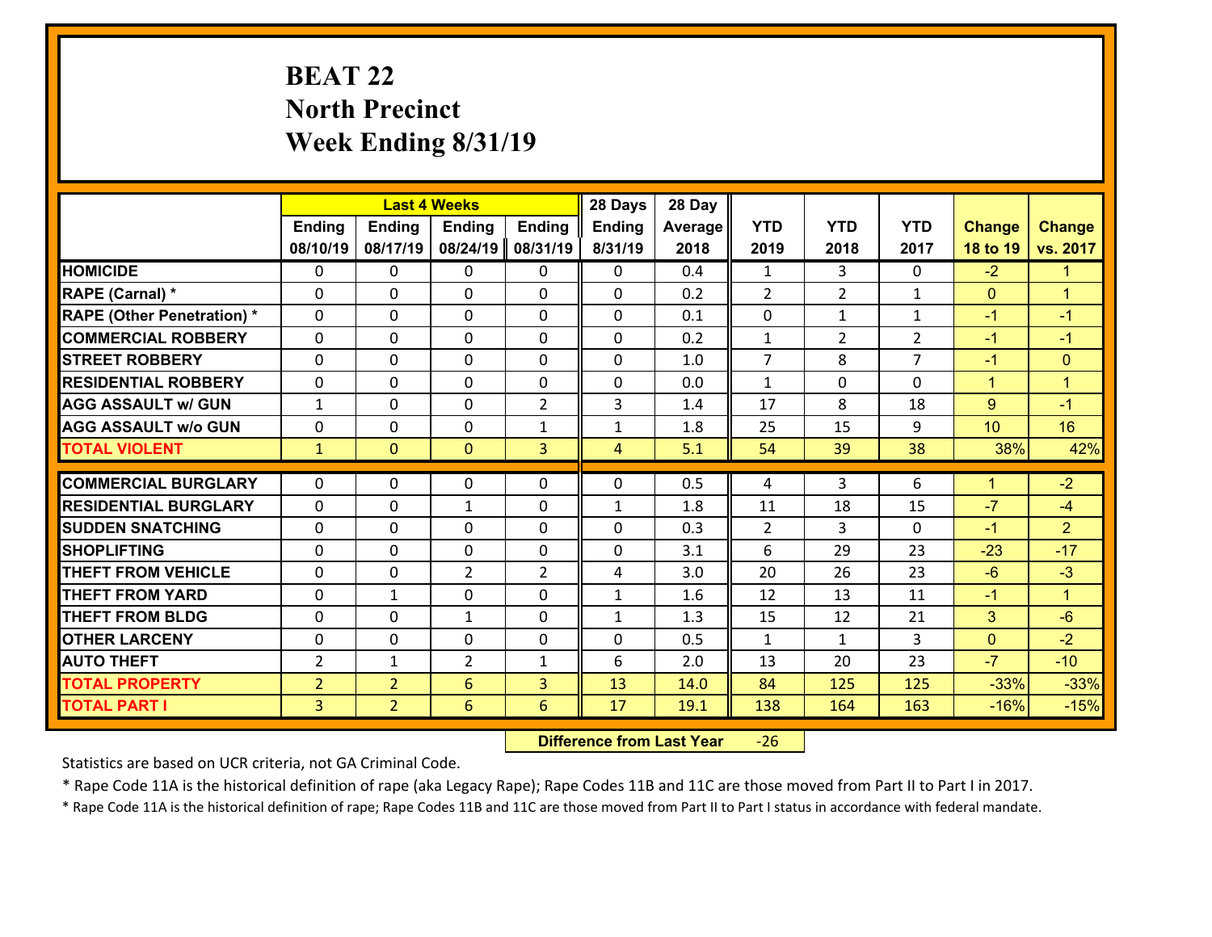# **BEAT 22 North Precinct Week Ending 8/31/19**

|                                   |                |                | <b>Last 4 Weeks</b> |                | 28 Days        | 28 Day  |                |                |                |                |                      |
|-----------------------------------|----------------|----------------|---------------------|----------------|----------------|---------|----------------|----------------|----------------|----------------|----------------------|
|                                   | <b>Ending</b>  | <b>Ending</b>  | <b>Ending</b>       | <b>Ending</b>  | <b>Ending</b>  | Average | <b>YTD</b>     | <b>YTD</b>     | <b>YTD</b>     | <b>Change</b>  | <b>Change</b>        |
|                                   | 08/10/19       | 08/17/19       | 08/24/19            | 08/31/19       | 8/31/19        | 2018    | 2019           | 2018           | 2017           | 18 to 19       | vs. 2017             |
| <b>HOMICIDE</b>                   | $\Omega$       | 0              | $\Omega$            | 0              | 0              | 0.4     | 1              | 3              | 0              | $-2$           | $\blacktriangleleft$ |
| RAPE (Carnal) *                   | 0              | 0              | $\mathbf{0}$        | 0              | $\Omega$       | 0.2     | 2              | $\overline{2}$ | $\mathbf{1}$   | $\mathbf{0}$   | $\blacktriangleleft$ |
| <b>RAPE (Other Penetration) *</b> | $\Omega$       | 0              | $\mathbf{0}$        | $\Omega$       | 0              | 0.1     | 0              | $\mathbf{1}$   | $\mathbf{1}$   | $-1$           | $-1$                 |
| <b>COMMERCIAL ROBBERY</b>         | 0              | 0              | 0                   | 0              | 0              | 0.2     | $\mathbf{1}$   | $\overline{2}$ | $\overline{2}$ | $-1$           | $-1$                 |
| <b>STREET ROBBERY</b>             | $\Omega$       | 0              | $\mathbf 0$         | 0              | 0              | 1.0     | $\overline{7}$ | 8              | $\overline{7}$ | $-1$           | $\mathbf{0}$         |
| <b>RESIDENTIAL ROBBERY</b>        | $\Omega$       | $\Omega$       | $\mathbf 0$         | $\Omega$       | 0              | 0.0     | $\mathbf{1}$   | $\Omega$       | $\Omega$       | $\mathbf{1}$   | $\blacktriangleleft$ |
| <b>AGG ASSAULT w/ GUN</b>         | $\mathbf{1}$   | 0              | $\mathbf 0$         | $\overline{2}$ | 3              | 1.4     | 17             | 8              | 18             | 9              | $-1$                 |
| <b>AGG ASSAULT w/o GUN</b>        | 0              | 0              | $\mathbf 0$         | $\mathbf{1}$   | $\mathbf{1}$   | 1.8     | 25             | 15             | 9              | 10             | 16                   |
| <b>TOTAL VIOLENT</b>              | $\mathbf{1}$   | $\overline{0}$ | $\overline{0}$      | 3              | $\overline{4}$ | 5.1     | 54             | 39             | 38             | 38%            | 42%                  |
| <b>COMMERCIAL BURGLARY</b>        | $\Omega$       | 0              | $\mathbf{0}$        | $\Omega$       | $\Omega$       | 0.5     | 4              | 3              | 6              | $\mathbf{1}$   | $-2$                 |
|                                   |                |                |                     |                |                |         |                |                |                | $-7$           |                      |
| <b>RESIDENTIAL BURGLARY</b>       | 0              | 0              | $\mathbf{1}$        | 0              | $\mathbf{1}$   | 1.8     | 11             | 18             | 15             |                | $-4$                 |
| <b>SUDDEN SNATCHING</b>           | 0              | 0              | $\mathbf 0$         | 0              | 0              | 0.3     | $\overline{2}$ | 3              | 0              | $-1$           | $\overline{2}$       |
| <b>SHOPLIFTING</b>                | $\Omega$       | 0              | $\mathbf 0$         | 0              | 0              | 3.1     | 6              | 29             | 23             | $-23$          | $-17$                |
| <b>THEFT FROM VEHICLE</b>         | $\Omega$       | 0              | $\overline{2}$      | $\overline{2}$ | 4              | 3.0     | 20             | 26             | 23             | $-6$           | $-3$                 |
| <b>THEFT FROM YARD</b>            | 0              | $\mathbf 1$    | $\mathbf 0$         | 0              | $\mathbf{1}$   | 1.6     | 12             | 13             | 11             | $-1$           | $\blacktriangleleft$ |
| <b>THEFT FROM BLDG</b>            | 0              | 0              | 1                   | 0              | $\mathbf{1}$   | 1.3     | 15             | 12             | 21             | 3              | $-6$                 |
| <b>OTHER LARCENY</b>              | 0              | 0              | $\mathbf 0$         | 0              | 0              | 0.5     | $\mathbf{1}$   | $\mathbf{1}$   | 3              | $\overline{0}$ | $-2$                 |
| <b>AUTO THEFT</b>                 | $\overline{2}$ | 1              | $\overline{2}$      | $\mathbf{1}$   | 6              | 2.0     | 13             | 20             | 23             | $-7$           | $-10$                |
| <b>TOTAL PROPERTY</b>             | $\overline{2}$ | $\overline{2}$ | 6                   | 3              | 13             | 14.0    | 84             | 125            | 125            | $-33%$         | $-33%$               |
| <b>TOTAL PART I</b>               | $\overline{3}$ | $\overline{2}$ | 6                   | 6              | 17             | 19.1    | 138            | 164            | 163            | $-16%$         | $-15%$               |

 **Difference from Last Year**r -26

Statistics are based on UCR criteria, not GA Criminal Code.

\* Rape Code 11A is the historical definition of rape (aka Legacy Rape); Rape Codes 11B and 11C are those moved from Part II to Part I in 2017.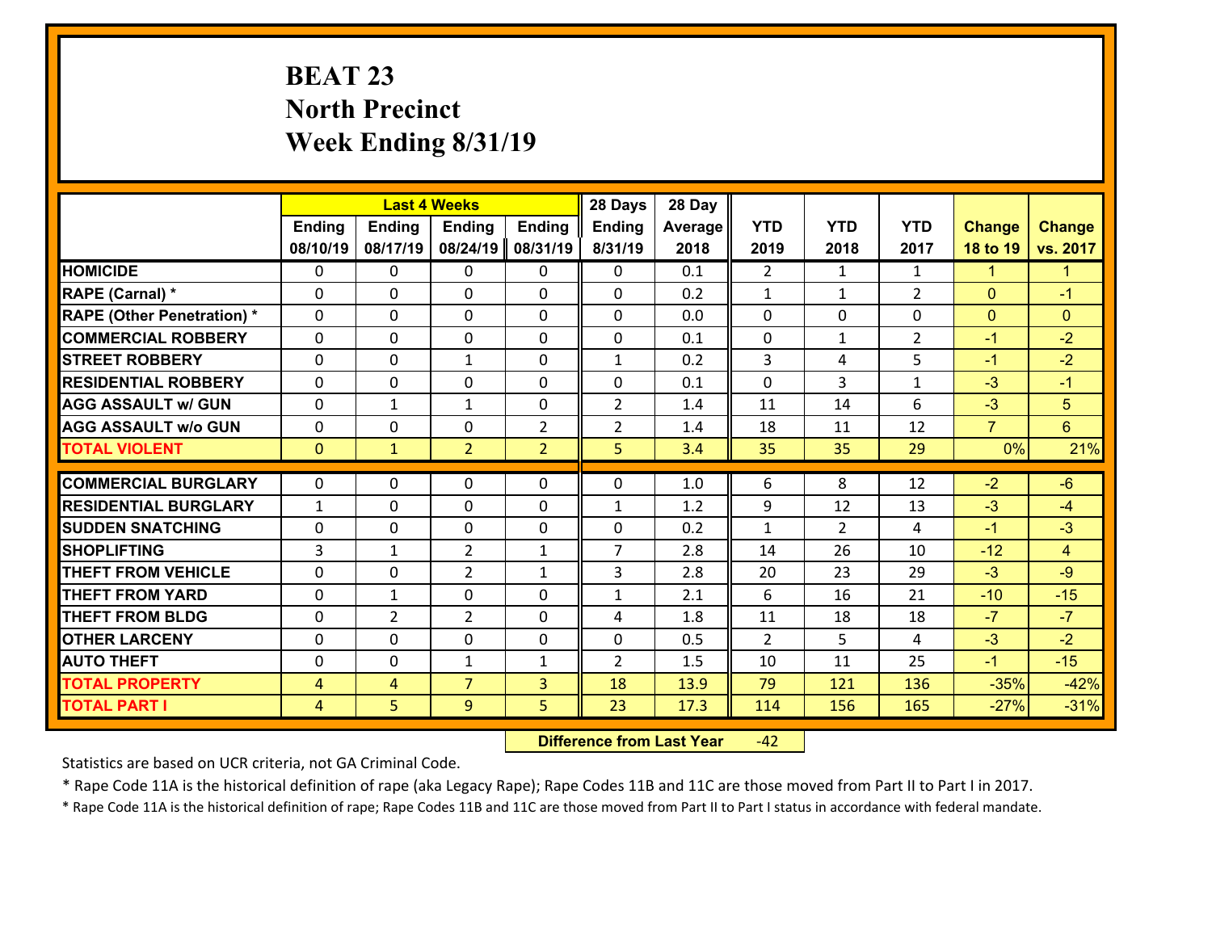# **BEAT 23 North Precinct Week Ending 8/31/19**

|                                   |                |                | <b>Last 4 Weeks</b> |                |                |         |                |                |                |                |                      |
|-----------------------------------|----------------|----------------|---------------------|----------------|----------------|---------|----------------|----------------|----------------|----------------|----------------------|
|                                   | <b>Ending</b>  | <b>Ending</b>  | <b>Ending</b>       | <b>Ending</b>  | Ending         | Average | <b>YTD</b>     | <b>YTD</b>     | <b>YTD</b>     | <b>Change</b>  | <b>Change</b>        |
|                                   | 08/10/19       | 08/17/19       | 08/24/19            | 08/31/19       | 8/31/19        | 2018    | 2019           | 2018           | 2017           | 18 to 19       | vs. 2017             |
| <b>HOMICIDE</b>                   | $\Omega$       | 0              | $\mathbf{0}$        | 0              | 0              | 0.1     | $\mathfrak{D}$ | $\mathbf{1}$   | $\mathbf{1}$   | 1              | $\blacktriangleleft$ |
| RAPE (Carnal) *                   | $\Omega$       | 0              | $\mathbf{0}$        | $\Omega$       | 0              | 0.2     | $\mathbf{1}$   | $\mathbf{1}$   | $\overline{2}$ | $\mathbf{0}$   | $-1$                 |
| <b>RAPE (Other Penetration) *</b> | $\Omega$       | 0              | $\mathbf 0$         | 0              | 0              | 0.0     | 0              | 0              | 0              | $\mathbf{0}$   | $\mathbf{0}$         |
| <b>COMMERCIAL ROBBERY</b>         | 0              | 0              | $\mathbf 0$         | 0              | 0              | 0.1     | $\mathbf 0$    | $\mathbf{1}$   | $\overline{2}$ | $-1$           | $-2$                 |
| <b>STREET ROBBERY</b>             | $\Omega$       | 0              | $\mathbf{1}$        | 0              | $\mathbf{1}$   | 0.2     | $\overline{3}$ | 4              | 5              | $-1$           | $-2$                 |
| <b>RESIDENTIAL ROBBERY</b>        | 0              | 0              | $\mathbf 0$         | 0              | 0              | 0.1     | $\mathbf 0$    | 3              | $\mathbf{1}$   | $-3$           | $-1$                 |
| <b>AGG ASSAULT w/ GUN</b>         | 0              | 1              | $\mathbf{1}$        | 0              | $\overline{2}$ | 1.4     | 11             | 14             | 6              | $-3$           | 5                    |
| <b>AGG ASSAULT w/o GUN</b>        | 0              | 0              | 0                   | 2              | $\overline{2}$ | 1.4     | 18             | 11             | 12             | $\overline{7}$ | $6\phantom{1}$       |
| <b>TOTAL VIOLENT</b>              | $\mathbf{0}$   | $\mathbf{1}$   | $\overline{2}$      | $\overline{2}$ | 5              | 3.4     | 35             | 35             | 29             | 0%             | 21%                  |
|                                   |                |                |                     |                |                |         |                |                |                |                |                      |
| <b>COMMERCIAL BURGLARY</b>        | $\Omega$       | 0              | $\mathbf{0}$        | $\Omega$       | 0              | 1.0     | 6              | 8              | 12             | $-2$           | $-6$                 |
| <b>RESIDENTIAL BURGLARY</b>       | $\mathbf{1}$   | 0              | $\mathbf 0$         | 0              | $\mathbf{1}$   | 1.2     | 9              | 12             | 13             | $-3$           | $-4$                 |
| <b>SUDDEN SNATCHING</b>           | 0              | 0              | $\mathbf 0$         | 0              | 0              | 0.2     | $\mathbf{1}$   | $\overline{2}$ | 4              | $-1$           | $-3$                 |
| <b>SHOPLIFTING</b>                | 3              | 1              | $\overline{2}$      | $\mathbf{1}$   | $\overline{7}$ | 2.8     | 14             | 26             | 10             | $-12$          | $\overline{4}$       |
| <b>THEFT FROM VEHICLE</b>         | 0              | 0              | $\overline{2}$      | $\mathbf{1}$   | 3              | 2.8     | 20             | 23             | 29             | $-3$           | $-9$                 |
| <b>THEFT FROM YARD</b>            | $\mathbf 0$    | $\mathbf 1$    | $\mathbf 0$         | 0              | $\mathbf{1}$   | 2.1     | 6              | 16             | 21             | $-10$          | $-15$                |
| <b>THEFT FROM BLDG</b>            | 0              | $\overline{2}$ | $\overline{2}$      | $\Omega$       | 4              | 1.8     | 11             | 18             | 18             | $-7$           | $-7$                 |
| <b>OTHER LARCENY</b>              | $\mathbf 0$    | 0              | 0                   | $\Omega$       | 0              | 0.5     | $\overline{2}$ | 5              | 4              | $-3$           | $-2$                 |
| <b>AUTO THEFT</b>                 | 0              | 0              | $\mathbf{1}$        | $\mathbf{1}$   | $\overline{2}$ | 1.5     | 10             | 11             | 25             | $-1$           | $-15$                |
| <b>TOTAL PROPERTY</b>             | $\overline{4}$ | 4              | $\overline{7}$      | 3              | 18             | 13.9    | 79             | 121            | 136            | $-35%$         | $-42%$               |
| <b>TOTAL PART I</b>               | $\overline{4}$ | 5              | 9                   | 5              | 23             | 17.3    | 114            | 156            | 165            | $-27%$         | $-31%$               |

 **Difference from Last Year**r -42

Statistics are based on UCR criteria, not GA Criminal Code.

\* Rape Code 11A is the historical definition of rape (aka Legacy Rape); Rape Codes 11B and 11C are those moved from Part II to Part I in 2017.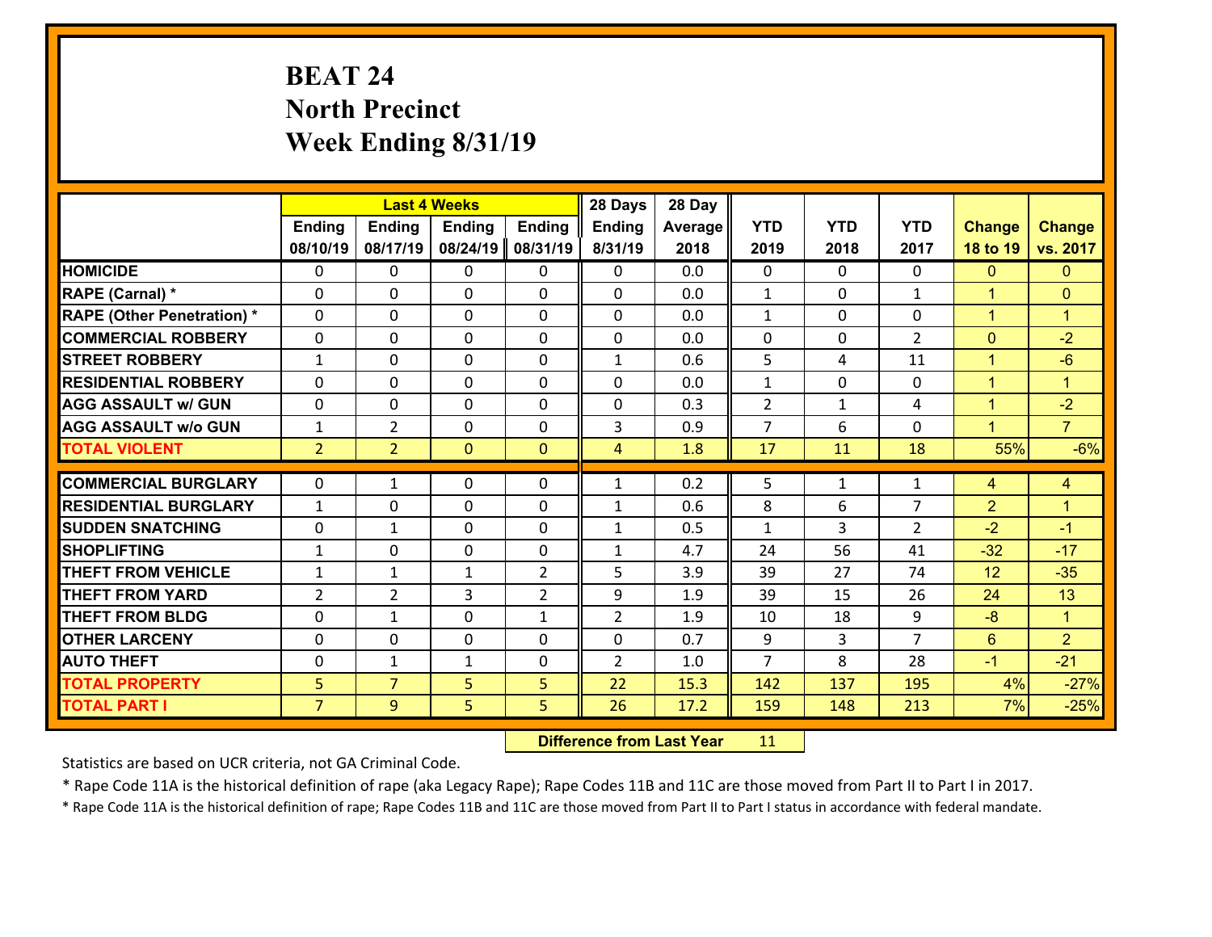# **BEAT 24 North Precinct Week Ending 8/31/19**

|                                   |                |                | <b>Last 4 Weeks</b> |                | 28 Days        | 28 Day  |                |                |                |                      |                      |
|-----------------------------------|----------------|----------------|---------------------|----------------|----------------|---------|----------------|----------------|----------------|----------------------|----------------------|
|                                   | <b>Ending</b>  | <b>Ending</b>  | <b>Ending</b>       | <b>Ending</b>  | Ending         | Average | <b>YTD</b>     | <b>YTD</b>     | <b>YTD</b>     | <b>Change</b>        | <b>Change</b>        |
|                                   | 08/10/19       | 08/17/19       | 08/24/19            | 08/31/19       | 8/31/19        | 2018    | 2019           | 2018           | 2017           | 18 to 19             | vs. 2017             |
| <b>HOMICIDE</b>                   | $\Omega$       | 0              | $\mathbf{0}$        | 0              | 0              | 0.0     | 0              | $\Omega$       | $\Omega$       | $\mathbf{0}$         | $\mathbf{0}$         |
| RAPE (Carnal) *                   | $\Omega$       | 0              | $\mathbf{0}$        | $\Omega$       | $\Omega$       | 0.0     | 1              | $\Omega$       | $\mathbf{1}$   | $\mathbf{1}$         | $\mathbf{0}$         |
| <b>RAPE (Other Penetration) *</b> | $\Omega$       | $\Omega$       | $\mathbf 0$         | $\Omega$       | $\Omega$       | 0.0     | $\mathbf{1}$   | $\Omega$       | $\Omega$       | $\mathbf{1}$         | $\blacktriangleleft$ |
| <b>COMMERCIAL ROBBERY</b>         | $\Omega$       | $\Omega$       | $\mathbf 0$         | $\Omega$       | 0              | 0.0     | $\mathbf 0$    | $\Omega$       | $\overline{2}$ | $\mathbf{0}$         | $-2$                 |
| <b>STREET ROBBERY</b>             | $\mathbf{1}$   | 0              | $\mathbf 0$         | 0              | $\mathbf{1}$   | 0.6     | 5              | 4              | 11             | $\mathbf{1}$         | $-6$                 |
| <b>RESIDENTIAL ROBBERY</b>        | $\Omega$       | 0              | $\mathbf 0$         | 0              | 0              | 0.0     | $\mathbf{1}$   | $\mathbf 0$    | 0              | $\mathbf{1}$         | $\mathbf{1}$         |
| <b>AGG ASSAULT w/ GUN</b>         | 0              | 0              | $\mathbf 0$         | 0              | 0              | 0.3     | $\overline{2}$ | $\mathbf{1}$   | 4              | $\mathbf{1}$         | $-2$                 |
| <b>AGG ASSAULT w/o GUN</b>        | $\mathbf{1}$   | $\overline{2}$ | $\mathbf 0$         | $\Omega$       | 3              | 0.9     | $\overline{7}$ | 6              | $\Omega$       | $\blacktriangleleft$ | $\overline{7}$       |
| <b>TOTAL VIOLENT</b>              | 2 <sup>1</sup> | $\overline{2}$ | $\overline{0}$      | $\mathbf{0}$   | $\overline{4}$ | 1.8     | 17             | 11             | 18             | 55%                  | $-6%$                |
|                                   |                |                |                     |                |                |         |                |                |                |                      |                      |
| <b>COMMERCIAL BURGLARY</b>        | 0              | 1              | $\mathbf{0}$        | 0              | $\mathbf{1}$   | 0.2     | 5              | $\mathbf{1}$   | $\mathbf{1}$   | 4                    | 4                    |
| <b>RESIDENTIAL BURGLARY</b>       | $\mathbf{1}$   | 0              | $\mathbf{0}$        | $\Omega$       | $\mathbf{1}$   | 0.6     | 8              | 6              | $\overline{7}$ | $\overline{2}$       | $\blacktriangleleft$ |
| <b>SUDDEN SNATCHING</b>           | $\mathbf{0}$   | 1              | 0                   | 0              | $\mathbf{1}$   | 0.5     | $\mathbf{1}$   | 3              | $\overline{2}$ | $-2$                 | $-1$                 |
| <b>SHOPLIFTING</b>                | $\mathbf{1}$   | $\Omega$       | $\mathbf 0$         | $\Omega$       | $\mathbf{1}$   | 4.7     | 24             | 56             | 41             | $-32$                | $-17$                |
| <b>THEFT FROM VEHICLE</b>         | $\mathbf{1}$   | 1              | $\mathbf{1}$        | $\overline{2}$ | 5              | 3.9     | 39             | 27             | 74             | 12                   | $-35$                |
| <b>THEFT FROM YARD</b>            | $\overline{2}$ | $\overline{2}$ | 3                   | $\overline{2}$ | 9              | 1.9     | 39             | 15             | 26             | 24                   | 13                   |
| <b>THEFT FROM BLDG</b>            | $\Omega$       | $\mathbf{1}$   | $\mathbf 0$         | $\mathbf{1}$   | $\overline{2}$ | 1.9     | 10             | 18             | 9              | $-8$                 | $\mathbf{1}$         |
| <b>OTHER LARCENY</b>              | $\mathbf 0$    | 0              | $\mathbf 0$         | $\Omega$       | 0              | 0.7     | 9              | $\overline{3}$ | $\overline{7}$ | $6\overline{6}$      | 2 <sup>1</sup>       |
| <b>AUTO THEFT</b>                 | 0              | 1              | 1                   | 0              | $\overline{2}$ | 1.0     | $\overline{7}$ | 8              | 28             | $-1$                 | $-21$                |
| <b>TOTAL PROPERTY</b>             | 5              | $\overline{7}$ | 5                   | 5              | 22             | 15.3    | 142            | 137            | 195            | 4%                   | $-27%$               |
| <b>TOTAL PART I</b>               | $\overline{7}$ | 9              | 5                   | 5              | 26             | 17.2    | 159            | 148            | 213            | 7%                   | $-25%$               |

 **Difference from Last Year**r 11

Statistics are based on UCR criteria, not GA Criminal Code.

\* Rape Code 11A is the historical definition of rape (aka Legacy Rape); Rape Codes 11B and 11C are those moved from Part II to Part I in 2017.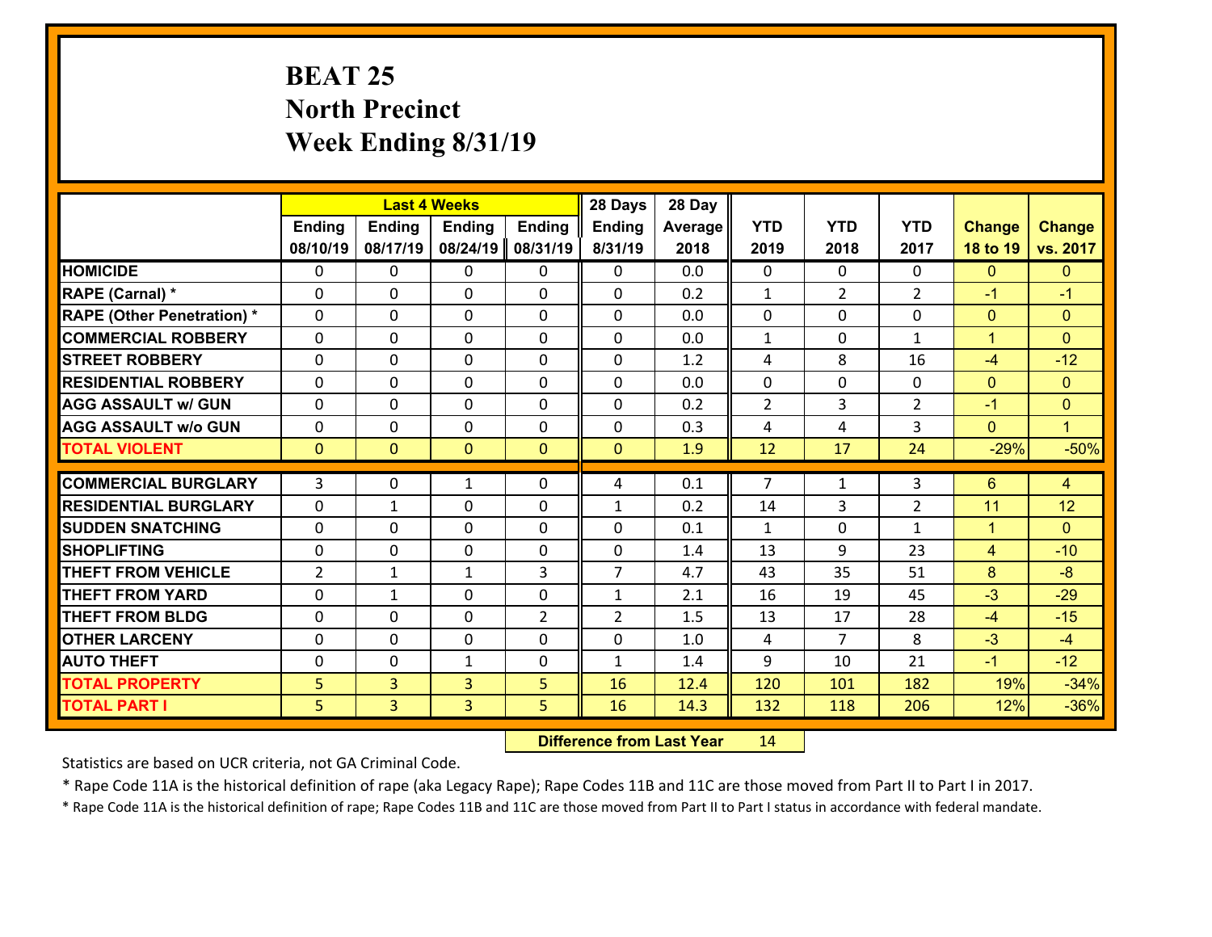# **BEAT 25 North Precinct Week Ending 8/31/19**

|                                   |                |                | <b>Last 4 Weeks</b> |                | 28 Days        | 28 Day         |                |                |                |                |                |
|-----------------------------------|----------------|----------------|---------------------|----------------|----------------|----------------|----------------|----------------|----------------|----------------|----------------|
|                                   | Ending         | Ending         | <b>Ending</b>       | <b>Ending</b>  | <b>Ending</b>  | <b>Average</b> | <b>YTD</b>     | <b>YTD</b>     | <b>YTD</b>     | <b>Change</b>  | <b>Change</b>  |
|                                   | 08/10/19       | 08/17/19       | 08/24/19            | 08/31/19       | 8/31/19        | 2018           | 2019           | 2018           | 2017           | 18 to 19       | vs. 2017       |
| <b>HOMICIDE</b>                   | 0              | $\Omega$       | 0                   | $\Omega$       | 0              | 0.0            | $\Omega$       | $\Omega$       | 0              | $\mathbf{0}$   | $\mathbf{0}$   |
| RAPE (Carnal) *                   | 0              | 0              | $\mathbf{0}$        | $\Omega$       | 0              | 0.2            | $\mathbf{1}$   | $\overline{2}$ | $\overline{2}$ | $-1$           | $-1$           |
| <b>RAPE (Other Penetration) *</b> | 0              | 0              | $\mathbf{0}$        | 0              | 0              | 0.0            | $\mathbf{0}$   | 0              | 0              | $\mathbf{0}$   | $\mathbf{0}$   |
| <b>COMMERCIAL ROBBERY</b>         | 0              | 0              | $\mathbf{0}$        | $\Omega$       | 0              | 0.0            | $\mathbf{1}$   | $\mathbf{0}$   | $\mathbf{1}$   | $\mathbf{1}$   | $\mathbf{0}$   |
| <b>STREET ROBBERY</b>             | 0              | 0              | $\mathbf 0$         | 0              | 0              | 1.2            | 4              | 8              | 16             | $-4$           | $-12$          |
| <b>RESIDENTIAL ROBBERY</b>        | $\Omega$       | $\Omega$       | $\mathbf{0}$        | 0              | $\mathbf{0}$   | 0.0            | $\Omega$       | $\Omega$       | 0              | $\mathbf{0}$   | $\mathbf{0}$   |
| <b>AGG ASSAULT w/ GUN</b>         | 0              | 0              | $\mathbf 0$         | 0              | 0              | 0.2            | $\overline{2}$ | 3              | $\overline{2}$ | $-1$           | $\mathbf{0}$   |
| <b>AGG ASSAULT W/o GUN</b>        | 0              | 0              | 0                   | $\Omega$       | 0              | 0.3            | 4              | 4              | 3              | $\overline{0}$ | $\mathbf{1}$   |
| <b>TOTAL VIOLENT</b>              | $\mathbf{0}$   | $\overline{0}$ | $\mathbf{0}$        | $\overline{0}$ | $\mathbf{0}$   | 1.9            | 12             | 17             | 24             | $-29%$         | $-50%$         |
| <b>COMMERCIAL BURGLARY</b>        | 3              | 0              | 1                   | $\Omega$       | 4              | 0.1            | $\overline{7}$ | $\mathbf{1}$   | 3              | 6              | $\overline{4}$ |
| <b>RESIDENTIAL BURGLARY</b>       | 0              | $\mathbf{1}$   | $\mathbf 0$         | 0              | $\mathbf{1}$   | 0.2            | 14             | 3              | $\overline{2}$ | 11             | 12             |
| <b>SUDDEN SNATCHING</b>           | 0              | 0              | $\mathbf 0$         | 0              | 0              | 0.1            | $\mathbf{1}$   | $\mathbf{0}$   | $\mathbf{1}$   | $\mathbf{1}$   | $\Omega$       |
| <b>SHOPLIFTING</b>                | $\Omega$       | 0              | $\mathbf{0}$        | 0              | $\mathbf{0}$   | 1.4            | 13             | 9              | 23             | 4              | $-10$          |
| <b>THEFT FROM VEHICLE</b>         | $\overline{2}$ | $\mathbf{1}$   | $\mathbf{1}$        | 3              | $\overline{7}$ | 4.7            | 43             | 35             | 51             | 8              | $-8$           |
| <b>THEFT FROM YARD</b>            | 0              | $\mathbf{1}$   | 0                   | $\Omega$       | $\mathbf{1}$   | 2.1            | 16             | 19             | 45             | $-3$           | $-29$          |
| <b>THEFT FROM BLDG</b>            | 0              | 0              | 0                   | $\overline{2}$ | $\overline{2}$ | 1.5            | 13             | 17             | 28             | $-4$           | $-15$          |
| <b>OTHER LARCENY</b>              | 0              | $\mathbf 0$    | 0                   | 0              | 0              | 1.0            | 4              | $\overline{7}$ | 8              | $-3$           | $-4$           |
| <b>AUTO THEFT</b>                 | 0              | 0              | 1                   | 0              | 1              | 1.4            | 9              | 10             | 21             | $-1$           | $-12$          |
| <b>TOTAL PROPERTY</b>             | 5              | $\overline{3}$ | 3                   | 5              | 16             | 12.4           | 120            | 101            | 182            | 19%            | $-34%$         |
| <b>TOTAL PART I</b>               | 5              | $\overline{3}$ | $\overline{3}$      | 5              | 16             | 14.3           | 132            | 118            | 206            | 12%            | $-36%$         |

 **Difference from Last Year**r 14

Statistics are based on UCR criteria, not GA Criminal Code.

\* Rape Code 11A is the historical definition of rape (aka Legacy Rape); Rape Codes 11B and 11C are those moved from Part II to Part I in 2017.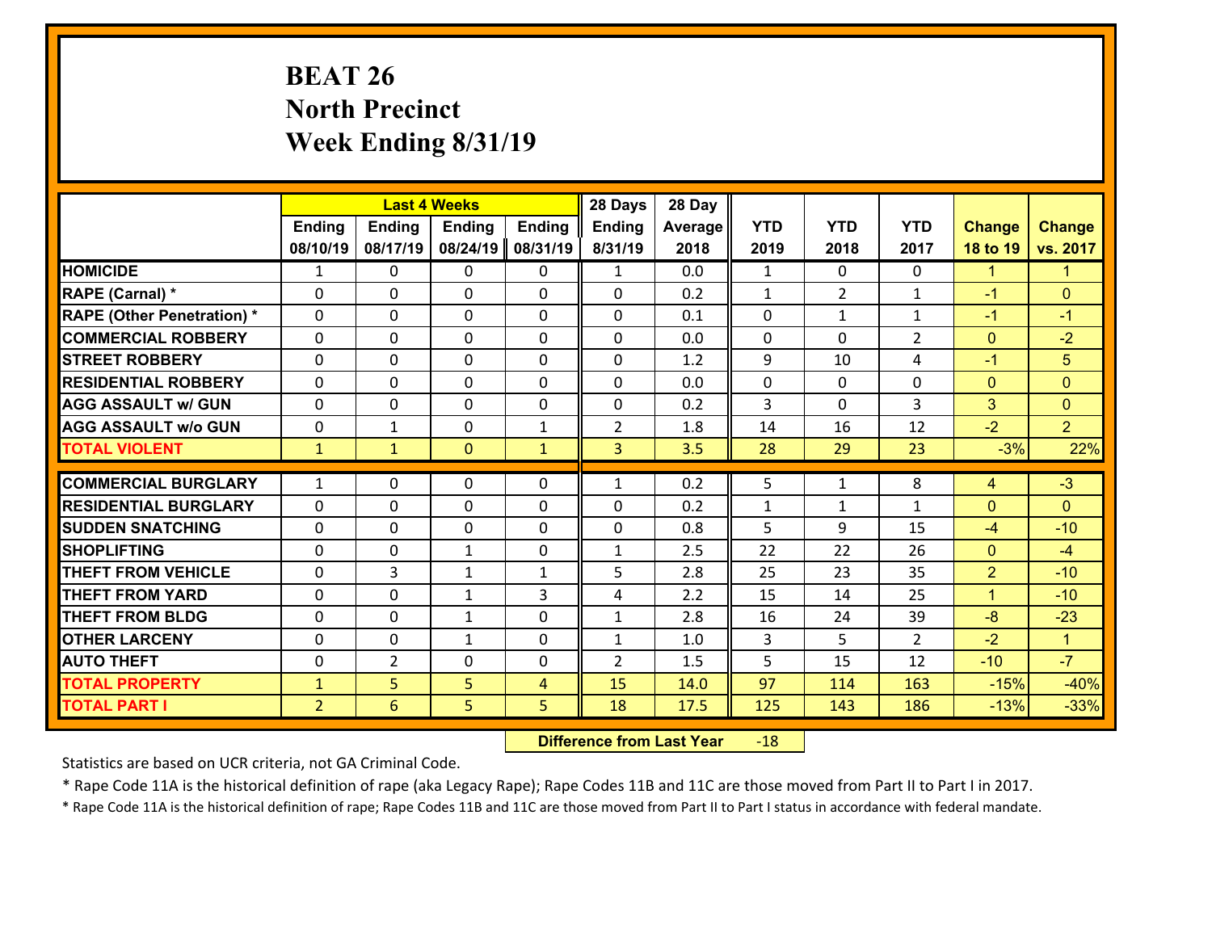# **BEAT 26 North Precinct Week Ending 8/31/19**

|                                   |                |                | <b>Last 4 Weeks</b> |               | 28 Days        | 28 Day  |              |                |                |                |                      |
|-----------------------------------|----------------|----------------|---------------------|---------------|----------------|---------|--------------|----------------|----------------|----------------|----------------------|
|                                   | <b>Ending</b>  | <b>Ending</b>  | <b>Ending</b>       | <b>Ending</b> | <b>Ending</b>  | Average | <b>YTD</b>   | <b>YTD</b>     | <b>YTD</b>     | <b>Change</b>  | <b>Change</b>        |
|                                   | 08/10/19       | 08/17/19       | 08/24/19            | 08/31/19      | 8/31/19        | 2018    | 2019         | 2018           | 2017           | 18 to 19       | vs. 2017             |
| <b>HOMICIDE</b>                   | $\mathbf{1}$   | 0              | $\Omega$            | 0             | $\mathbf{1}$   | 0.0     | 1            | $\Omega$       | 0              | $\mathbf{1}$   | $\blacktriangleleft$ |
| RAPE (Carnal) *                   | 0              | 0              | $\mathbf{0}$        | 0             | $\Omega$       | 0.2     | $\mathbf{1}$ | $\overline{2}$ | $\mathbf{1}$   | $-1$           | $\mathbf{0}$         |
| <b>RAPE (Other Penetration) *</b> | $\Omega$       | 0              | $\mathbf{0}$        | $\Omega$      | $\Omega$       | 0.1     | $\Omega$     | $\mathbf{1}$   | $\mathbf{1}$   | $-1$           | $-1$                 |
| <b>COMMERCIAL ROBBERY</b>         | 0              | 0              | 0                   | 0             | 0              | 0.0     | $\mathbf{0}$ | 0              | $\overline{2}$ | $\mathbf{0}$   | $-2$                 |
| <b>STREET ROBBERY</b>             | $\Omega$       | 0              | $\mathbf 0$         | 0             | 0              | 1.2     | 9            | 10             | 4              | $-1$           | 5                    |
| <b>RESIDENTIAL ROBBERY</b>        | $\Omega$       | $\Omega$       | $\mathbf 0$         | $\Omega$      | 0              | 0.0     | $\Omega$     | $\Omega$       | $\Omega$       | $\overline{0}$ | $\overline{0}$       |
| <b>AGG ASSAULT w/ GUN</b>         | $\Omega$       | 0              | $\mathbf 0$         | $\Omega$      | 0              | 0.2     | 3            | $\Omega$       | 3              | 3              | $\overline{0}$       |
| <b>AGG ASSAULT w/o GUN</b>        | 0              | 1              | $\mathbf 0$         | $\mathbf{1}$  | $\overline{2}$ | 1.8     | 14           | 16             | 12             | $-2$           | 2 <sup>1</sup>       |
| <b>TOTAL VIOLENT</b>              | $\mathbf{1}$   | $\mathbf{1}$   | $\overline{0}$      | $\mathbf{1}$  | 3              | 3.5     | 28           | 29             | 23             | $-3%$          | 22%                  |
| <b>COMMERCIAL BURGLARY</b>        | $\mathbf{1}$   | 0              | $\mathbf{0}$        | $\Omega$      | $\mathbf{1}$   | 0.2     | 5            | $\mathbf{1}$   | 8              | 4              | $-3$                 |
|                                   |                |                |                     |               |                |         |              |                |                |                |                      |
| <b>RESIDENTIAL BURGLARY</b>       | 0              | 0              | $\mathbf 0$         | 0             | 0              | 0.2     | $\mathbf{1}$ | $\mathbf{1}$   | $\mathbf{1}$   | $\mathbf{0}$   | $\mathbf{0}$         |
| <b>SUDDEN SNATCHING</b>           | 0              | 0              | $\mathbf 0$         | 0             | 0              | 0.8     | 5            | 9              | 15             | $-4$           | $-10$                |
| <b>SHOPLIFTING</b>                | $\Omega$       | 0              | 1                   | 0             | $\mathbf{1}$   | 2.5     | 22           | 22             | 26             | $\overline{0}$ | $-4$                 |
| <b>THEFT FROM VEHICLE</b>         | $\Omega$       | 3              | 1                   | $\mathbf{1}$  | 5              | 2.8     | 25           | 23             | 35             | $\overline{2}$ | $-10$                |
| <b>THEFT FROM YARD</b>            | 0              | 0              | 1                   | 3             | 4              | 2.2     | 15           | 14             | 25             | $\mathbf{1}$   | $-10$                |
| <b>THEFT FROM BLDG</b>            | 0              | 0              | 1                   | 0             | $\mathbf{1}$   | 2.8     | 16           | 24             | 39             | $-8$           | $-23$                |
| <b>OTHER LARCENY</b>              | 0              | 0              | $\mathbf{1}$        | 0             | $\mathbf{1}$   | 1.0     | 3            | 5              | $\overline{2}$ | $-2$           | $\mathbf{1}$         |
| <b>AUTO THEFT</b>                 | 0              | $\overline{2}$ | $\mathbf{0}$        | 0             | $\overline{2}$ | 1.5     | 5            | 15             | 12             | $-10$          | $-7$                 |
| <b>TOTAL PROPERTY</b>             | $\mathbf{1}$   | 5              | 5                   | 4             | 15             | 14.0    | 97           | 114            | 163            | $-15%$         | $-40%$               |
| <b>TOTAL PART I</b>               | $\overline{2}$ | 6              | 5                   | 5             | 18             | 17.5    | 125          | 143            | 186            | $-13%$         | $-33%$               |

 **Difference from Last Year**r -18

Statistics are based on UCR criteria, not GA Criminal Code.

\* Rape Code 11A is the historical definition of rape (aka Legacy Rape); Rape Codes 11B and 11C are those moved from Part II to Part I in 2017.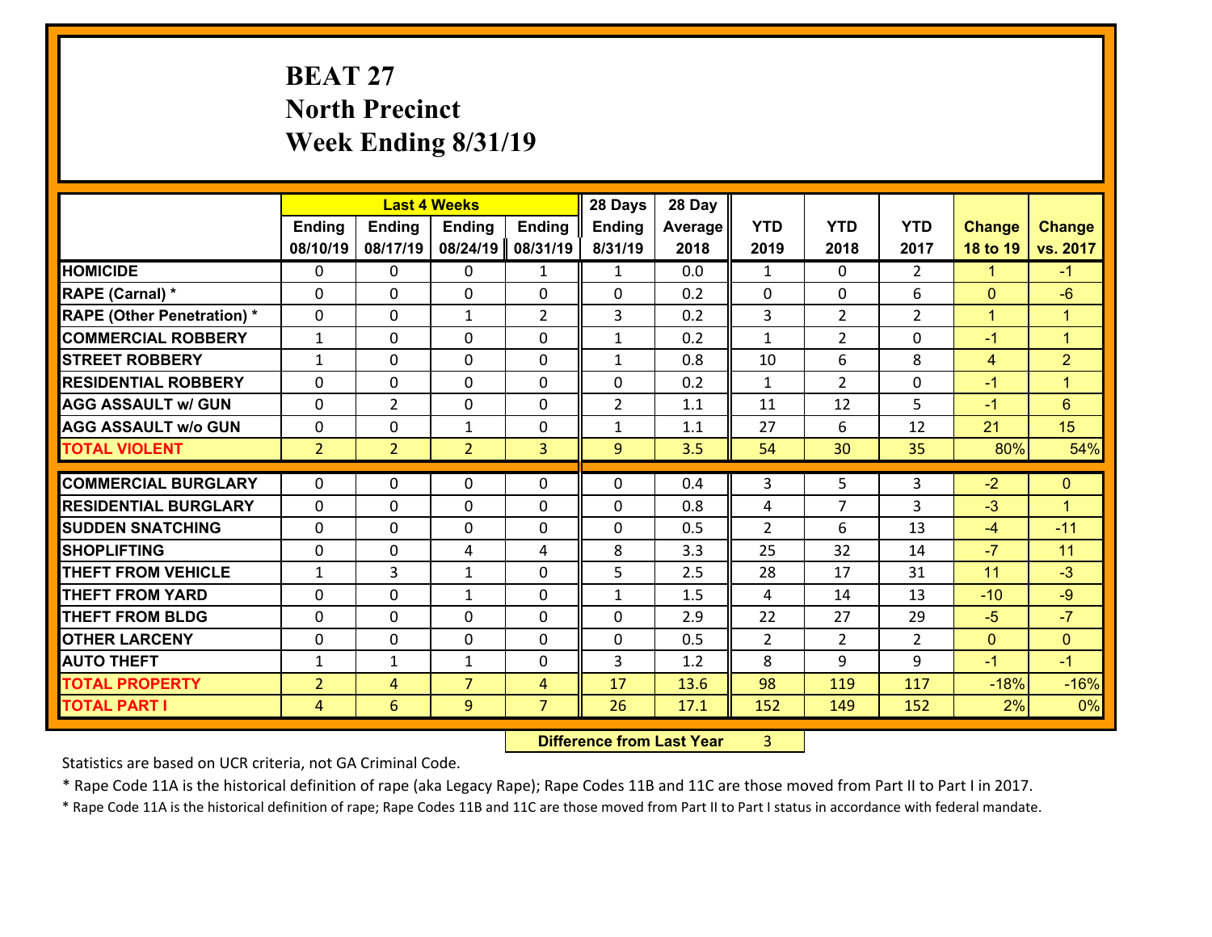# **BEAT 27 North Precinct Week Ending 8/31/19**

|                                              |                                  | <b>Last 4 Weeks</b> |                     |                                  | 28 Days        | 28 Day       |                     |                |                |               |                      |
|----------------------------------------------|----------------------------------|---------------------|---------------------|----------------------------------|----------------|--------------|---------------------|----------------|----------------|---------------|----------------------|
|                                              | <b>Ending</b>                    | <b>Ending</b>       | <b>Ending</b>       | <b>Ending</b>                    | <b>Ending</b>  | Average      | <b>YTD</b>          | <b>YTD</b>     | <b>YTD</b>     | <b>Change</b> | <b>Change</b>        |
|                                              | 08/10/19                         | 08/17/19            | 08/24/19            | 08/31/19                         | 8/31/19        | 2018         | 2019                | 2018           | 2017           | 18 to 19      | vs. 2017             |
| <b>HOMICIDE</b>                              | $\mathbf{0}$                     | 0                   | 0                   | $\mathbf{1}$                     | $\mathbf{1}$   | 0.0          | $\mathbf{1}$        | $\Omega$       | $\overline{2}$ | $\mathbf{1}$  | $-1$                 |
| RAPE (Carnal) *                              | $\Omega$                         | 0                   | $\mathbf{0}$        | 0                                | $\Omega$       | 0.2          | $\mathbf{0}$        | 0              | 6              | $\mathbf{0}$  | $-6$                 |
| <b>RAPE (Other Penetration) *</b>            | $\Omega$                         | $\Omega$            | $\mathbf{1}$        | $\overline{2}$                   | 3              | 0.2          | 3                   | $\overline{2}$ | $\overline{2}$ | $\mathbf{1}$  | $\blacktriangleleft$ |
| <b>COMMERCIAL ROBBERY</b>                    | $\mathbf{1}$                     | 0                   | $\mathbf 0$         | $\Omega$                         | $\mathbf{1}$   | 0.2          | $\mathbf{1}$        | $\overline{2}$ | 0              | $-1$          | $\mathbf{1}$         |
| <b>STREET ROBBERY</b>                        | $\mathbf{1}$                     | 0                   | $\mathbf 0$         | $\Omega$                         | $\mathbf{1}$   | 0.8          | 10                  | 6              | 8              | 4             | $\overline{2}$       |
| <b>RESIDENTIAL ROBBERY</b>                   | $\Omega$                         | $\Omega$            | $\mathbf 0$         | $\Omega$                         | 0              | 0.2          | $\mathbf{1}$        | $\overline{2}$ | $\Omega$       | $-1$          | $\blacktriangleleft$ |
| <b>AGG ASSAULT w/ GUN</b>                    | $\Omega$                         | $\overline{2}$      | $\mathbf 0$         | $\Omega$                         | $\overline{2}$ | 1.1          | 11                  | 12             | 5              | $-1$          | 6                    |
| <b>AGG ASSAULT w/o GUN</b>                   | 0                                | 0                   | $\mathbf{1}$        | 0                                | $\mathbf{1}$   | 1.1          | 27                  | 6              | 12             | 21            | 15                   |
| <b>TOTAL VIOLENT</b>                         | 2 <sup>2</sup>                   | $\overline{2}$      | $\overline{2}$      | 3                                | 9 <sup>°</sup> | 3.5          | 54                  | 30             | 35             | 80%           | 54%                  |
| <b>COMMERCIAL BURGLARY</b>                   | $\Omega$                         | 0                   | 0                   | 0                                | $\Omega$       | 0.4          | 3                   | 5              | 3              | $-2$          | $\mathbf{0}$         |
| <b>RESIDENTIAL BURGLARY</b>                  | $\Omega$                         | 0                   | $\mathbf{0}$        | 0                                | $\Omega$       | 0.8          |                     | 7              | 3              | $-3$          | 1                    |
| <b>SUDDEN SNATCHING</b>                      | $\Omega$                         | 0                   | $\mathbf{0}$        | $\Omega$                         |                |              | 4<br>$\overline{2}$ |                |                |               | $-11$                |
|                                              |                                  |                     |                     |                                  |                |              |                     |                |                |               |                      |
|                                              |                                  |                     |                     |                                  | $\Omega$       | 0.5          |                     | 6              | 13             | $-4$          |                      |
| <b>SHOPLIFTING</b>                           | 0                                | 0                   | 4                   | 4                                | 8              | 3.3          | 25                  | 32             | 14             | $-7$          | 11                   |
| <b>THEFT FROM VEHICLE</b>                    | $\mathbf{1}$                     | 3                   | $\mathbf{1}$        | $\Omega$                         | 5              | 2.5          | 28                  | 17             | 31             | 11            | $-3$                 |
| <b>THEFT FROM YARD</b>                       | 0                                | 0                   | 1                   | 0                                | $\mathbf{1}$   | 1.5          | 4                   | 14             | 13             | $-10$         | $-9$                 |
| <b>THEFT FROM BLDG</b>                       | 0                                | 0                   | $\mathbf 0$         | 0                                | 0              | 2.9          | 22                  | 27             | 29             | $-5$          | $-7$                 |
| <b>OTHER LARCENY</b>                         | 0                                | 0                   | $\mathbf 0$         | 0                                | 0              | 0.5          | $\overline{2}$      | $\overline{2}$ | $\overline{2}$ | $\mathbf{0}$  | $\mathbf{0}$         |
| <b>AUTO THEFT</b>                            | $\mathbf{1}$                     | $\mathbf{1}$        | 1                   | 0                                | 3              | 1.2          | 8                   | 9              | 9              | $-1$          | $-1$                 |
| <b>TOTAL PROPERTY</b><br><b>TOTAL PART I</b> | $\overline{2}$<br>$\overline{4}$ | 4<br>6              | $\overline{7}$<br>9 | $\overline{4}$<br>$\overline{7}$ | 17<br>26       | 13.6<br>17.1 | 98<br>152           | 119<br>149     | 117<br>152     | $-18%$<br>2%  | $-16%$<br>0%         |

**19. Difference from Last Year** 3  $3 \mid$ 

Statistics are based on UCR criteria, not GA Criminal Code.

\* Rape Code 11A is the historical definition of rape (aka Legacy Rape); Rape Codes 11B and 11C are those moved from Part II to Part I in 2017.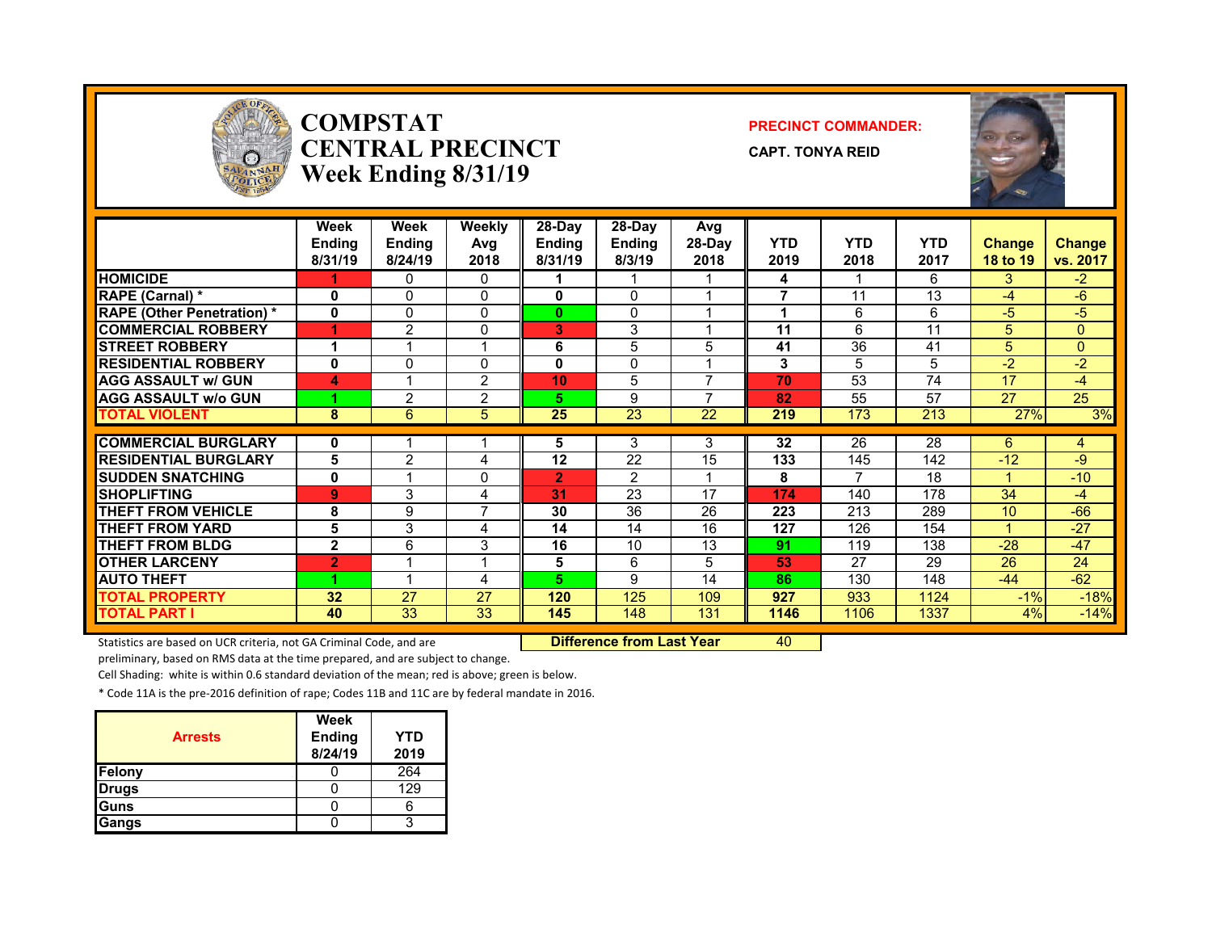

### **COMPSTATCENTRAL PRECINCTWeek Ending 8/31/19**

#### **PRECINCT COMMANDER:**

**CAPT. TONYA REID**



| Week<br><b>Ending</b><br>8/31/19 | Week<br>Ending<br>8/24/19                                   | Weekly<br>Avg<br>2018                          | 28-Day<br><b>Ending</b><br>8/31/19                       | $28-Dav$<br><b>Ending</b><br>8/3/19                           | Avg<br>28-Day<br>2018                                        | <b>YTD</b><br>2019                                       | <b>YTD</b><br>2018                                                   | <b>YTD</b><br>2017                                                | <b>Change</b><br>18 to 19                                                | <b>Change</b><br>vs. 2017                                     |
|----------------------------------|-------------------------------------------------------------|------------------------------------------------|----------------------------------------------------------|---------------------------------------------------------------|--------------------------------------------------------------|----------------------------------------------------------|----------------------------------------------------------------------|-------------------------------------------------------------------|--------------------------------------------------------------------------|---------------------------------------------------------------|
|                                  | 0                                                           | 0                                              |                                                          |                                                               |                                                              | 4                                                        |                                                                      | 6                                                                 | 3                                                                        | $-2$                                                          |
| 0                                | 0                                                           | $\Omega$                                       | 0                                                        | $\Omega$                                                      |                                                              | 7                                                        | 11                                                                   | 13                                                                | $-4$                                                                     | $-6$                                                          |
| $\mathbf 0$                      | $\Omega$                                                    | $\Omega$                                       | $\mathbf{0}$                                             | $\Omega$                                                      |                                                              |                                                          | 6                                                                    | 6                                                                 | $-5$                                                                     | $-5$                                                          |
| 4                                | 2                                                           | 0                                              | 3                                                        | 3                                                             |                                                              | 11                                                       | 6                                                                    | 11                                                                | 5                                                                        | 0                                                             |
| 1                                |                                                             | 4                                              | 6                                                        | 5                                                             | 5                                                            | 41                                                       | 36                                                                   | 41                                                                | 5                                                                        | 0                                                             |
| $\bf{0}$                         | $\mathbf{0}$                                                | 0                                              | 0                                                        | $\Omega$                                                      |                                                              | 3                                                        | 5                                                                    | 5                                                                 | $-2$                                                                     | $-2$                                                          |
| 4                                |                                                             | 2                                              | 10                                                       | 5                                                             | 7                                                            | 70                                                       | 53                                                                   | 74                                                                | 17                                                                       | $-4$                                                          |
|                                  | 2                                                           | 2                                              | 5.                                                       | 9                                                             | ⇁                                                            | 82                                                       | 55                                                                   | 57                                                                | 27                                                                       | 25                                                            |
| 8                                | 6                                                           | 5                                              | 25                                                       | 23                                                            | 22                                                           | 219                                                      | 173                                                                  | 213                                                               | 27%                                                                      | 3%                                                            |
|                                  |                                                             |                                                |                                                          |                                                               |                                                              |                                                          |                                                                      |                                                                   |                                                                          | 4                                                             |
|                                  |                                                             |                                                |                                                          |                                                               |                                                              |                                                          |                                                                      |                                                                   |                                                                          | -9                                                            |
|                                  |                                                             |                                                |                                                          |                                                               |                                                              |                                                          |                                                                      |                                                                   |                                                                          | $-10$                                                         |
|                                  |                                                             |                                                |                                                          |                                                               |                                                              |                                                          |                                                                      |                                                                   |                                                                          | $-4$                                                          |
|                                  |                                                             |                                                |                                                          |                                                               |                                                              |                                                          |                                                                      |                                                                   |                                                                          | $-66$                                                         |
|                                  |                                                             |                                                |                                                          |                                                               |                                                              |                                                          |                                                                      |                                                                   | и                                                                        | $-27$                                                         |
|                                  |                                                             |                                                |                                                          |                                                               |                                                              |                                                          |                                                                      |                                                                   |                                                                          | $-47$                                                         |
|                                  | ◢                                                           | -1                                             |                                                          |                                                               |                                                              |                                                          |                                                                      |                                                                   |                                                                          | 24                                                            |
|                                  | 1                                                           |                                                |                                                          |                                                               |                                                              |                                                          |                                                                      |                                                                   |                                                                          | $-62$                                                         |
|                                  |                                                             |                                                |                                                          |                                                               |                                                              |                                                          |                                                                      |                                                                   |                                                                          | $-18%$                                                        |
|                                  |                                                             |                                                |                                                          |                                                               |                                                              |                                                          |                                                                      |                                                                   |                                                                          | $-14%$                                                        |
|                                  | 0<br>5<br>0<br>9<br>8<br>5<br>$\mathbf{2}$<br>2<br>32<br>40 | $\overline{2}$<br>3<br>9<br>3<br>6<br>27<br>33 | 4<br>0<br>4<br>$\overline{7}$<br>4<br>3<br>4<br>27<br>33 | 5<br>12<br>2<br>31<br>30<br>14<br>16<br>5<br>5.<br>120<br>145 | 3<br>22<br>2<br>23<br>36<br>14<br>10<br>6<br>9<br>125<br>148 | 3<br>15<br>17<br>26<br>16<br>13<br>5<br>14<br>109<br>131 | 32<br>133<br>8<br>174<br>223<br>127<br>91<br>53<br>86<br>927<br>1146 | 26<br>145<br>140<br>213<br>126<br>119<br>27<br>130<br>933<br>1106 | 28<br>142<br>18<br>178<br>289<br>154<br>138<br>29<br>148<br>1124<br>1337 | 6<br>$-12$<br>34<br>10<br>$-28$<br>26<br>$-44$<br>$-1%$<br>4% |

Statistics are based on UCR criteria, not GA Criminal Code, and are **Difference from Last Year** 40

preliminary, based on RMS data at the time prepared, and are subject to change.

Cell Shading: white is within 0.6 standard deviation of the mean; red is above; green is below.

\* Code 11A is the pre‐2016 definition of rape; Codes 11B and 11C are by federal mandate in 2016.

| <b>Arrests</b> | Week<br><b>Ending</b><br>8/24/19 | YTD<br>2019 |
|----------------|----------------------------------|-------------|
| Felony         |                                  | 264         |
| <b>Drugs</b>   |                                  | 129         |
| Guns           |                                  |             |
| Gangs          |                                  |             |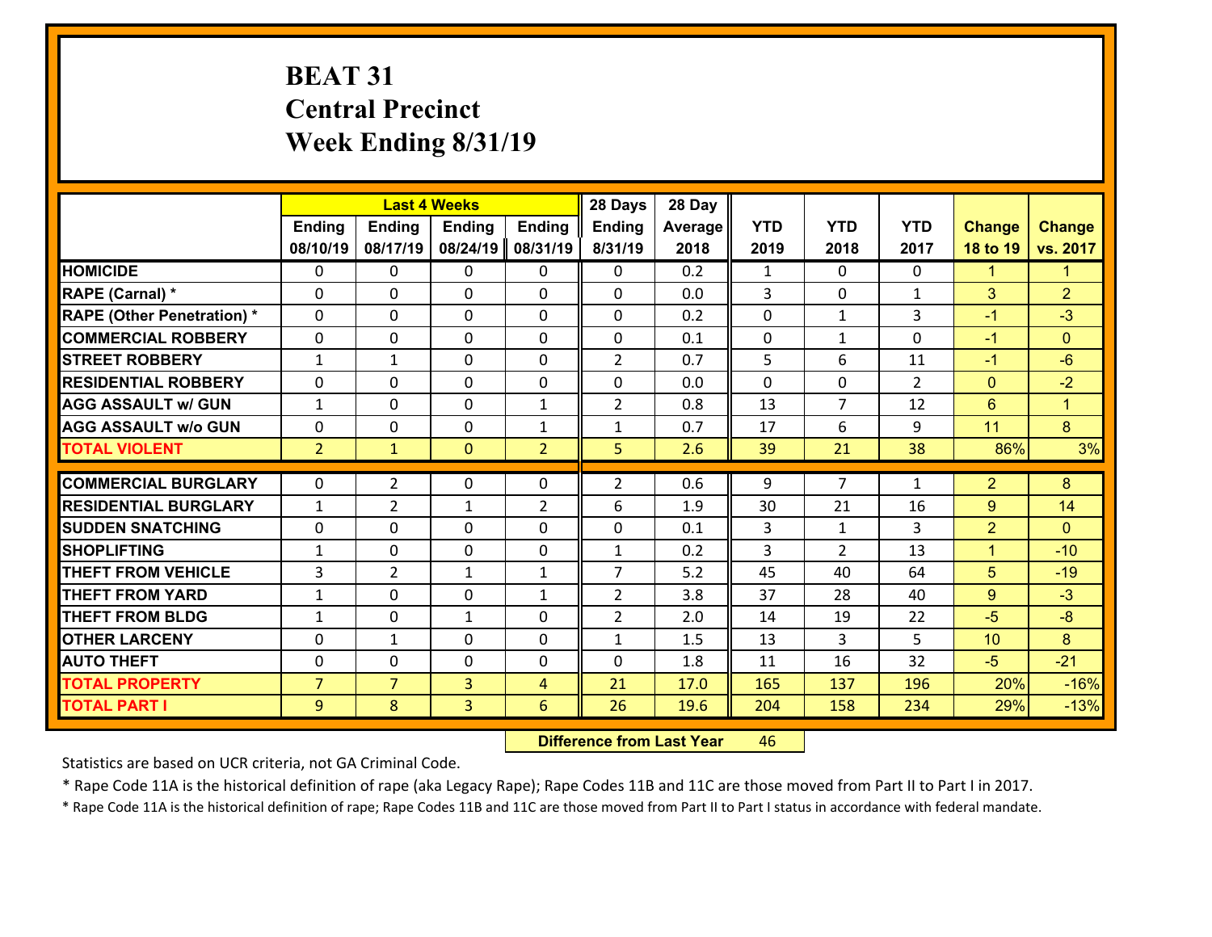# **BEAT 31 Central Precinct Week Ending 8/31/19**

|                                   |                |                | <b>Last 4 Weeks</b> |                | 28 Days        | 28 Day  |              |                |                |                |                      |
|-----------------------------------|----------------|----------------|---------------------|----------------|----------------|---------|--------------|----------------|----------------|----------------|----------------------|
|                                   | <b>Ending</b>  | <b>Ending</b>  | <b>Ending</b>       | <b>Ending</b>  | <b>Ending</b>  | Average | <b>YTD</b>   | <b>YTD</b>     | <b>YTD</b>     | <b>Change</b>  | <b>Change</b>        |
|                                   | 08/10/19       | 08/17/19       | 08/24/19            | 08/31/19       | 8/31/19        | 2018    | 2019         | 2018           | 2017           | 18 to 19       | vs. 2017             |
| <b>HOMICIDE</b>                   | $\mathbf{0}$   | 0              | 0                   | 0              | 0              | 0.2     | $\mathbf{1}$ | $\Omega$       | $\Omega$       | $\mathbf{1}$   | $\blacktriangleleft$ |
| <b>RAPE (Carnal) *</b>            | $\Omega$       | 0              | $\mathbf{0}$        | 0              | 0              | 0.0     | 3            | 0              | $\mathbf{1}$   | 3              | $\overline{2}$       |
| <b>RAPE (Other Penetration) *</b> | $\Omega$       | 0              | $\Omega$            | $\Omega$       | $\Omega$       | 0.2     | $\Omega$     | $\mathbf{1}$   | 3              | $-1$           | $-3$                 |
| <b>COMMERCIAL ROBBERY</b>         | $\Omega$       | $\Omega$       | $\mathbf 0$         | $\Omega$       | 0              | 0.1     | $\mathbf{0}$ | $\mathbf{1}$   | $\Omega$       | $-1$           | $\Omega$             |
| <b>STREET ROBBERY</b>             | $\mathbf{1}$   | $\mathbf 1$    | $\mathbf 0$         | 0              | $\overline{2}$ | 0.7     | 5            | 6              | 11             | $-1$           | $-6$                 |
| <b>RESIDENTIAL ROBBERY</b>        | 0              | 0              | $\mathbf 0$         | 0              | 0              | 0.0     | $\mathbf 0$  | 0              | $\overline{2}$ | $\mathbf{0}$   | $-2$                 |
| <b>AGG ASSAULT w/ GUN</b>         | $\mathbf{1}$   | 0              | $\mathbf 0$         | $\mathbf{1}$   | $\overline{2}$ | 0.8     | 13           | $\overline{7}$ | 12             | $6\phantom{1}$ | $\blacktriangleleft$ |
| <b>AGG ASSAULT w/o GUN</b>        | 0              | 0              | $\mathbf 0$         | $\mathbf{1}$   | $\mathbf{1}$   | 0.7     | 17           | 6              | 9              | 11             | 8                    |
| <b>TOTAL VIOLENT</b>              | 2 <sup>1</sup> | $\mathbf{1}$   | $\mathbf{0}$        | $\overline{2}$ | 5              | 2.6     | 39           | 21             | 38             | 86%            | 3%                   |
|                                   |                |                |                     |                |                |         |              |                |                |                |                      |
| <b>COMMERCIAL BURGLARY</b>        | $\Omega$       | $\overline{2}$ | 0                   | 0              | $\overline{2}$ | 0.6     | 9            | $\overline{7}$ | $\mathbf{1}$   | $\overline{2}$ | 8                    |
| <b>RESIDENTIAL BURGLARY</b>       | $\mathbf{1}$   | $\overline{2}$ | 1                   | $\overline{2}$ | 6              | 1.9     | 30           | 21             | 16             | 9              | 14                   |
| <b>SUDDEN SNATCHING</b>           | $\Omega$       | 0              | $\mathbf 0$         | $\Omega$       | 0              | 0.1     | 3            | $\mathbf{1}$   | 3              | $\overline{2}$ | $\Omega$             |
| <b>SHOPLIFTING</b>                | $\mathbf{1}$   | 0              | $\mathbf 0$         | $\Omega$       | $\mathbf{1}$   | 0.2     | 3            | $\overline{2}$ | 13             | $\mathbf{1}$   | $-10$                |
| <b>THEFT FROM VEHICLE</b>         | 3              | $\overline{2}$ | 1                   | $\mathbf{1}$   | $\overline{7}$ | 5.2     | 45           | 40             | 64             | 5              | $-19$                |
| <b>THEFT FROM YARD</b>            | $\mathbf{1}$   | 0              | $\mathbf 0$         | $\mathbf{1}$   | $\overline{2}$ | 3.8     | 37           | 28             | 40             | 9              | $-3$                 |
| <b>THEFT FROM BLDG</b>            | $\mathbf{1}$   | 0              | $\mathbf{1}$        | 0              | $\overline{2}$ | 2.0     | 14           | 19             | 22             | $-5$           | $-8$                 |
| <b>OTHER LARCENY</b>              | 0              | 1              | $\mathbf 0$         | 0              | $\mathbf{1}$   | 1.5     | 13           | 3              | 5              | 10             | 8                    |
| <b>AUTO THEFT</b>                 | 0              | 0              | $\mathbf{0}$        | 0              | 0              | 1.8     | 11           | 16             | 32             | $-5$           | $-21$                |
| <b>TOTAL PROPERTY</b>             | $\overline{7}$ | $\overline{7}$ | 3                   | $\overline{4}$ | 21             | 17.0    | 165          | 137            | 196            | 20%            | $-16%$               |
| <b>TOTAL PART I</b>               | 9              | 8              | 3                   | 6              | 26             | 19.6    | 204          | 158            | 234            | 29%            | $-13%$               |

 **Difference from Last Year**r 46

Statistics are based on UCR criteria, not GA Criminal Code.

\* Rape Code 11A is the historical definition of rape (aka Legacy Rape); Rape Codes 11B and 11C are those moved from Part II to Part I in 2017.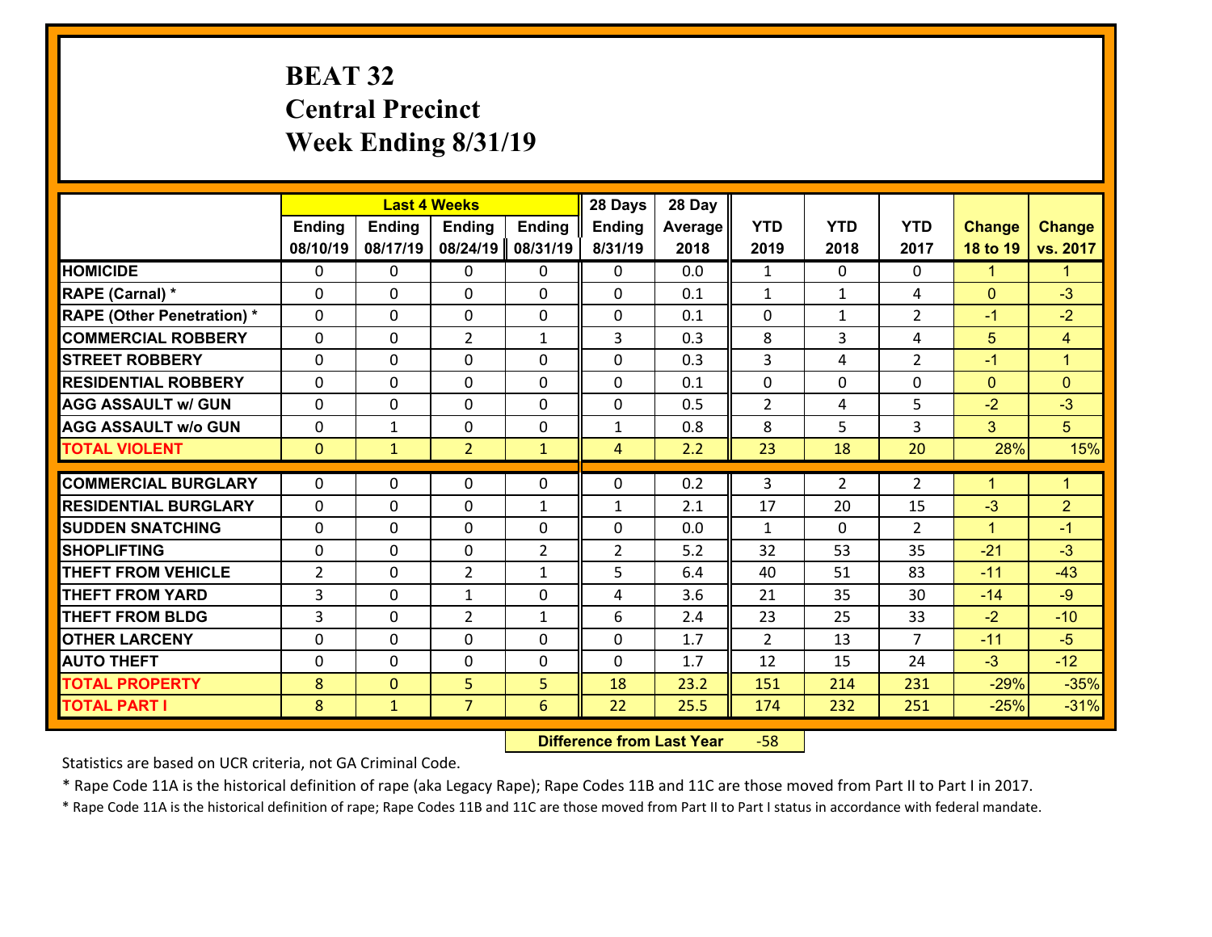# **BEAT 32 Central Precinct Week Ending 8/31/19**

|                                   |                |               | <b>Last 4 Weeks</b> |                | 28 Days        | 28 Day  |                |                |                      |               |                      |
|-----------------------------------|----------------|---------------|---------------------|----------------|----------------|---------|----------------|----------------|----------------------|---------------|----------------------|
|                                   | <b>Ending</b>  | <b>Ending</b> | <b>Ending</b>       | <b>Ending</b>  | <b>Ending</b>  | Average | <b>YTD</b>     | <b>YTD</b>     | <b>YTD</b>           | <b>Change</b> | <b>Change</b>        |
|                                   | 08/10/19       | 08/17/19      | 08/24/19            | 08/31/19       | 8/31/19        | 2018    | 2019           | 2018           | 2017                 | 18 to 19      | vs. 2017             |
| <b>HOMICIDE</b>                   | $\Omega$       | 0             | 0                   | 0              | $\Omega$       | 0.0     | 1              | $\Omega$       | 0                    | $\mathbf{1}$  | $\mathbf{1}$         |
| RAPE (Carnal) *                   | 0              | 0             | $\mathbf{0}$        | 0              | $\Omega$       | 0.1     | $\mathbf{1}$   | $\mathbf{1}$   | 4                    | $\mathbf{0}$  | $-3$                 |
| <b>RAPE (Other Penetration) *</b> | $\Omega$       | 0             | $\mathbf{0}$        | $\Omega$       | 0              | 0.1     | $\Omega$       | $\mathbf{1}$   | $\overline{2}$       | $-1$          | $-2$                 |
| <b>COMMERCIAL ROBBERY</b>         | 0              | 0             | $\overline{2}$      | $\mathbf{1}$   | 3              | 0.3     | 8              | 3              | 4                    | 5             | 4                    |
| <b>STREET ROBBERY</b>             | $\Omega$       | 0             | $\mathbf 0$         | 0              | 0              | 0.3     | $\overline{3}$ | 4              | $\overline{2}$       | $-1$          | $\mathbf{1}$         |
| <b>RESIDENTIAL ROBBERY</b>        | $\Omega$       | $\Omega$      | $\mathbf 0$         | $\Omega$       | 0              | 0.1     | $\mathbf 0$    | 0              | $\Omega$             | $\mathbf{0}$  | $\overline{0}$       |
| <b>AGG ASSAULT w/ GUN</b>         | $\Omega$       | 0             | $\mathbf 0$         | $\Omega$       | 0              | 0.5     | $\overline{2}$ | 4              | 5                    | $-2$          | $-3$                 |
| <b>AGG ASSAULT w/o GUN</b>        | 0              | 1             | $\mathbf 0$         | 0              | $\mathbf{1}$   | 0.8     | 8              | 5              | 3                    | 3             | 5 <sup>5</sup>       |
| <b>TOTAL VIOLENT</b>              | $\mathbf{0}$   | $\mathbf{1}$  | $\overline{2}$      | $\mathbf{1}$   | $\overline{4}$ | 2.2     | 23             | 18             | 20                   | 28%           | 15%                  |
| <b>COMMERCIAL BURGLARY</b>        | $\Omega$       | 0             | $\mathbf{0}$        | $\Omega$       | $\Omega$       | 0.2     | 3              | $\overline{2}$ | $\overline{2}$       | $\mathbf{1}$  | $\blacktriangleleft$ |
|                                   |                |               |                     |                |                |         |                |                |                      |               |                      |
| <b>RESIDENTIAL BURGLARY</b>       | 0              | 0             | $\mathbf 0$         | $\mathbf{1}$   | $\mathbf{1}$   | 2.1     | 17             | 20             | 15                   | $-3$          | $\overline{2}$       |
| <b>SUDDEN SNATCHING</b>           | 0              | 0             | $\mathbf 0$         | 0              | 0              | 0.0     | $\mathbf{1}$   | $\mathbf{0}$   | $\overline{2}$<br>35 | $\mathbf{1}$  | $-1$<br>$-3$         |
| <b>SHOPLIFTING</b>                | 0              | 0             | $\mathbf 0$         | $\overline{2}$ | $\overline{2}$ | 5.2     | 32             | 53             |                      | $-21$         |                      |
| <b>THEFT FROM VEHICLE</b>         | $\overline{2}$ | 0             | $\overline{2}$      | $\mathbf{1}$   | 5              | 6.4     | 40             | 51             | 83                   | $-11$         | $-43$                |
| <b>THEFT FROM YARD</b>            | 3              | 0             | 1                   | 0              | 4              | 3.6     | 21             | 35             | 30                   | $-14$         | $-9$                 |
| <b>THEFT FROM BLDG</b>            | 3              | 0             | $\overline{2}$      | $\mathbf{1}$   | 6              | 2.4     | 23             | 25             | 33                   | $-2$          | $-10$                |
| <b>OTHER LARCENY</b>              | 0              | 0             | $\mathbf 0$         | 0              | 0              | 1.7     | $\overline{2}$ | 13             | $\overline{7}$       | $-11$         | $-5$                 |
| <b>AUTO THEFT</b>                 | $\mathbf{0}$   | 0             | $\mathbf{0}$        | 0              | 0              | 1.7     | 12             | 15             | 24                   | $-3$          | $-12$                |
| <b>TOTAL PROPERTY</b>             | 8              | $\mathbf{0}$  | 5                   | 5              | 18             | 23.2    | 151            | 214            | 231                  | $-29%$        | $-35%$               |
| <b>TOTAL PART I</b>               | 8              | $\mathbf{1}$  | $\overline{7}$      | 6              | 22             | 25.5    | 174            | 232            | 251                  | $-25%$        | $-31%$               |

 **Difference from Last Year**‐58

Statistics are based on UCR criteria, not GA Criminal Code.

\* Rape Code 11A is the historical definition of rape (aka Legacy Rape); Rape Codes 11B and 11C are those moved from Part II to Part I in 2017.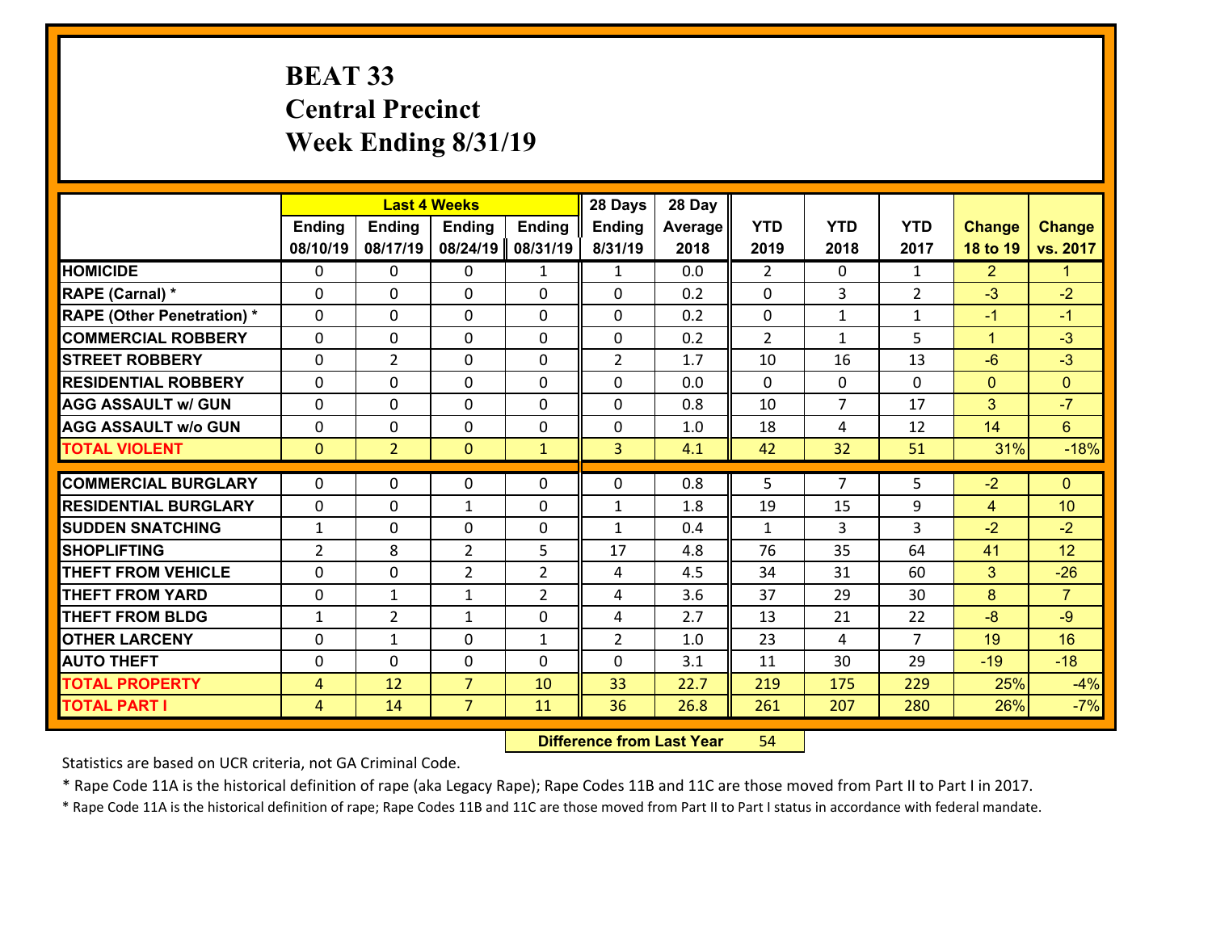# **BEAT 33 Central Precinct Week Ending 8/31/19**

|                                   |                |                | <b>Last 4 Weeks</b> |                | 28 Days        | 28 Day  |                |                |                |                |                |
|-----------------------------------|----------------|----------------|---------------------|----------------|----------------|---------|----------------|----------------|----------------|----------------|----------------|
|                                   | <b>Ending</b>  | <b>Ending</b>  | <b>Ending</b>       | <b>Ending</b>  | <b>Ending</b>  | Average | <b>YTD</b>     | <b>YTD</b>     | <b>YTD</b>     | <b>Change</b>  | <b>Change</b>  |
|                                   | 08/10/19       | 08/17/19       | 08/24/19            | 08/31/19       | 8/31/19        | 2018    | 2019           | 2018           | 2017           | 18 to 19       | vs. 2017       |
| <b>HOMICIDE</b>                   | 0              | $\Omega$       | 0                   | $\mathbf{1}$   | $\mathbf{1}$   | 0.0     | 2              | $\Omega$       | $\mathbf{1}$   | $\overline{2}$ | $\mathbf{1}$   |
| RAPE (Carnal) *                   | $\Omega$       | 0              | $\mathbf{0}$        | 0              | 0              | 0.2     | $\mathbf{0}$   | 3              | $\overline{2}$ | $-3$           | $-2$           |
| <b>RAPE (Other Penetration) *</b> | $\Omega$       | 0              | $\mathbf{0}$        | $\Omega$       | 0              | 0.2     | $\Omega$       | $\mathbf{1}$   | $\mathbf{1}$   | $-1$           | $-1$           |
| <b>COMMERCIAL ROBBERY</b>         | 0              | 0              | 0                   | $\Omega$       | $\mathbf{0}$   | 0.2     | $\overline{2}$ | $\mathbf{1}$   | 5              | $\mathbf{1}$   | $-3$           |
| <b>STREET ROBBERY</b>             | 0              | $\overline{2}$ | $\mathbf 0$         | 0              | $\overline{2}$ | 1.7     | 10             | 16             | 13             | $-6$           | $-3$           |
| <b>RESIDENTIAL ROBBERY</b>        | $\Omega$       | $\Omega$       | $\mathbf 0$         | $\Omega$       | $\Omega$       | 0.0     | $\Omega$       | $\mathbf 0$    | $\Omega$       | $\mathbf{0}$   | $\overline{0}$ |
| <b>AGG ASSAULT w/ GUN</b>         | 0              | $\Omega$       | $\mathbf 0$         | $\Omega$       | 0              | 0.8     | 10             | $\overline{7}$ | 17             | 3              | $-7$           |
| <b>AGG ASSAULT w/o GUN</b>        | 0              | 0              | $\mathbf 0$         | 0              | 0              | 1.0     | 18             | 4              | 12             | 14             | $6^{\circ}$    |
| <b>TOTAL VIOLENT</b>              | $\mathbf{0}$   | $\overline{2}$ | $\mathbf{0}$        | $\mathbf{1}$   | 3              | 4.1     | 42             | 32             | 51             | 31%            | $-18%$         |
| <b>COMMERCIAL BURGLARY</b>        | $\Omega$       | $\Omega$       | $\mathbf{0}$        | $\Omega$       | 0              | 0.8     | 5              | $\overline{7}$ | 5              | $-2$           | $\mathbf{0}$   |
| <b>RESIDENTIAL BURGLARY</b>       | 0              | 0              | $\mathbf{1}$        | 0              | $\mathbf{1}$   | 1.8     | 19             | 15             | 9              | 4              | 10             |
| <b>SUDDEN SNATCHING</b>           | $\mathbf{1}$   | 0              | 0                   | $\Omega$       | $\mathbf{1}$   | 0.4     | $\mathbf{1}$   | 3              | 3              | $-2$           | $-2$           |
| <b>SHOPLIFTING</b>                | $\overline{2}$ | 8              | $\overline{2}$      | 5              | 17             | 4.8     | 76             | 35             | 64             | 41             | 12             |
| <b>THEFT FROM VEHICLE</b>         | 0              | 0              | $\overline{2}$      | $\overline{2}$ | 4              | 4.5     | 34             | 31             | 60             | 3              | $-26$          |
| <b>THEFT FROM YARD</b>            | 0              | $\mathbf{1}$   | $\mathbf{1}$        | $\overline{2}$ | 4              | 3.6     | 37             | 29             | 30             | 8              | $\overline{7}$ |
| <b>THEFT FROM BLDG</b>            | $\mathbf{1}$   | $\overline{2}$ | $\mathbf{1}$        | $\Omega$       | 4              | 2.7     | 13             | 21             | 22             | $-8$           | $-9$           |
| <b>OTHER LARCENY</b>              | 0              | $\mathbf{1}$   | $\mathbf 0$         | $\mathbf{1}$   | $\overline{2}$ | 1.0     | 23             | 4              | $\overline{7}$ | 19             | 16             |
| <b>AUTO THEFT</b>                 | $\Omega$       | 0              | $\mathbf{0}$        | $\Omega$       | 0              | 3.1     | 11             | 30             | 29             | $-19$          | $-18$          |
| <b>TOTAL PROPERTY</b>             | 4              | 12             | $\overline{7}$      | 10             | 33             | 22.7    | 219            | 175            | 229            | 25%            | $-4%$          |
| <b>TOTAL PART I</b>               | $\overline{4}$ | 14             | $\overline{7}$      | 11             | 36             | 26.8    | 261            | 207            | 280            | 26%            | $-7%$          |
|                                   |                |                |                     |                |                |         |                |                |                |                |                |

 **Difference from Last Year**r 54

Statistics are based on UCR criteria, not GA Criminal Code.

\* Rape Code 11A is the historical definition of rape (aka Legacy Rape); Rape Codes 11B and 11C are those moved from Part II to Part I in 2017.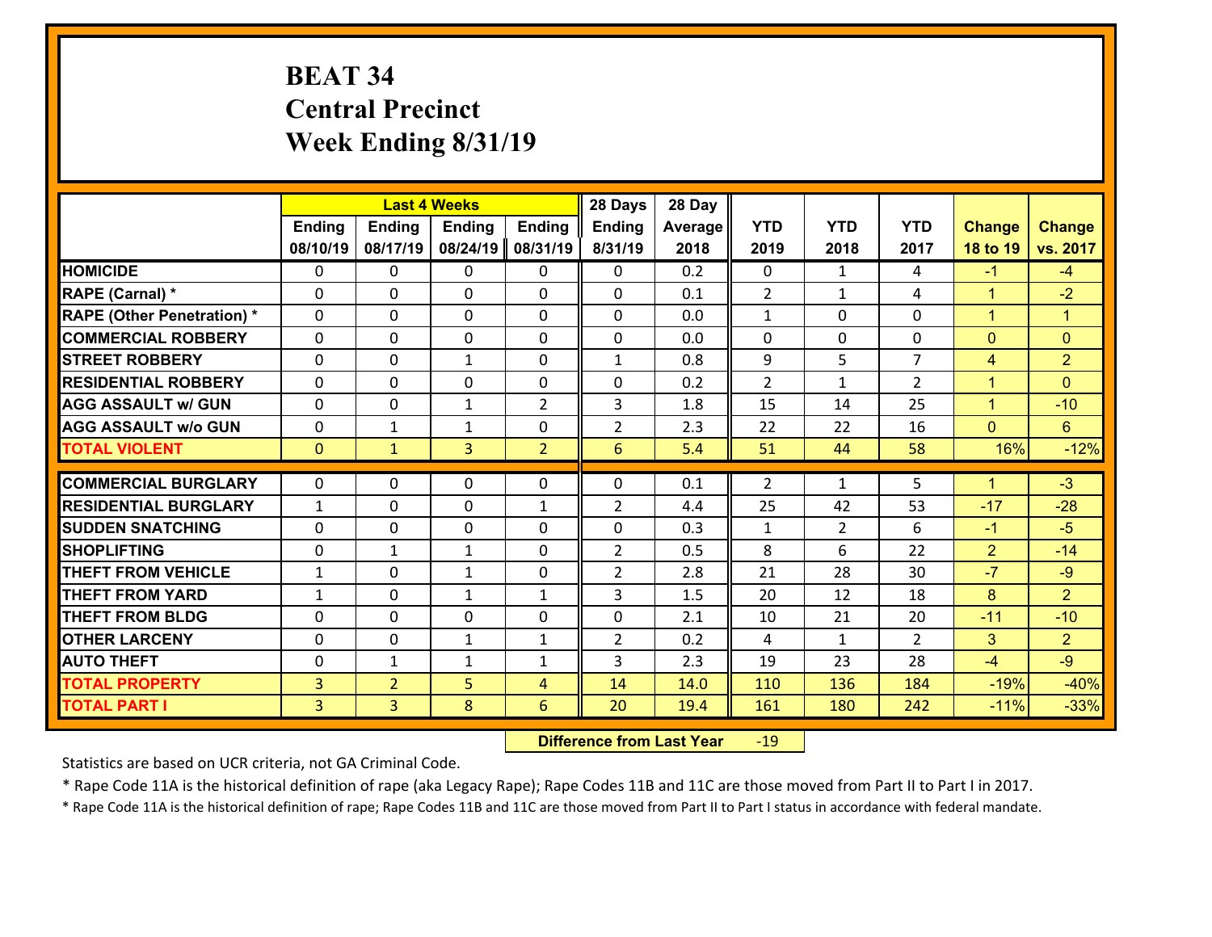# **BEAT 34 Central Precinct Week Ending 8/31/19**

|                                   |                |                | <b>Last 4 Weeks</b> |                | 28 Days         | 28 Day  |                |                |                |                      |                      |
|-----------------------------------|----------------|----------------|---------------------|----------------|-----------------|---------|----------------|----------------|----------------|----------------------|----------------------|
|                                   | <b>Ending</b>  | <b>Ending</b>  | <b>Ending</b>       | <b>Ending</b>  | <b>Ending</b>   | Average | <b>YTD</b>     | <b>YTD</b>     | <b>YTD</b>     | <b>Change</b>        | <b>Change</b>        |
|                                   | 08/10/19       | 08/17/19       | 08/24/19            | 08/31/19       | 8/31/19         | 2018    | 2019           | 2018           | 2017           | 18 to 19             | vs. 2017             |
| <b>HOMICIDE</b>                   | $\Omega$       | 0              | 0                   | 0              | 0               | 0.2     | 0              | $\mathbf{1}$   | 4              | $-1$                 | $-4$                 |
| RAPE (Carnal) *                   | $\Omega$       | 0              | $\Omega$            | $\Omega$       | $\Omega$        | 0.1     | 2              | $\mathbf{1}$   | 4              | $\mathbf{1}$         | $-2$                 |
| <b>RAPE (Other Penetration) *</b> | 0              | 0              | $\mathbf 0$         | 0              | 0               | 0.0     | $\mathbf{1}$   | 0              | 0              | $\mathbf{1}$         | $\blacktriangleleft$ |
| <b>COMMERCIAL ROBBERY</b>         | 0              | 0              | $\mathbf 0$         | 0              | 0               | 0.0     | $\mathbf 0$    | $\mathbf 0$    | 0              | $\overline{0}$       | $\mathbf{0}$         |
| <b>STREET ROBBERY</b>             | 0              | 0              | $\mathbf{1}$        | 0              | $\mathbf{1}$    | 0.8     | 9              | 5              | $\overline{7}$ | 4                    | $\overline{2}$       |
| <b>RESIDENTIAL ROBBERY</b>        | $\Omega$       | 0              | $\mathbf 0$         | 0              | 0               | 0.2     | $\overline{2}$ | $\mathbf{1}$   | $\overline{2}$ | $\mathbf{1}$         | $\overline{0}$       |
| <b>AGG ASSAULT w/ GUN</b>         | 0              | 0              | 1                   | $\overline{2}$ | 3               | 1.8     | 15             | 14             | 25             | $\mathbf{1}$         | $-10$                |
| <b>AGG ASSAULT w/o GUN</b>        | 0              | 1              | 1                   | 0              | $\overline{2}$  | 2.3     | 22             | 22             | 16             | $\overline{0}$       | $6\phantom{a}$       |
| <b>TOTAL VIOLENT</b>              | $\mathbf{O}$   | $\mathbf{1}$   | $\overline{3}$      | $\overline{2}$ | $6\overline{6}$ | 5.4     | 51             | 44             | 58             | 16%                  | $-12%$               |
|                                   |                |                |                     |                |                 |         |                |                |                |                      |                      |
| <b>COMMERCIAL BURGLARY</b>        | $\Omega$       | 0              | $\mathbf{0}$        | 0              | 0               | 0.1     | 2              | $\mathbf{1}$   | 5              | $\blacktriangleleft$ | $-3$                 |
| <b>RESIDENTIAL BURGLARY</b>       | $\mathbf{1}$   | 0              | 0                   | $\mathbf{1}$   | $\overline{2}$  | 4.4     | 25             | 42             | 53             | $-17$                | $-28$                |
| <b>SUDDEN SNATCHING</b>           | 0              | 0              | $\mathbf 0$         | 0              | 0               | 0.3     | $\mathbf{1}$   | $\overline{2}$ | 6              | $-1$                 | $-5$                 |
| <b>SHOPLIFTING</b>                | 0              | $\mathbf{1}$   | $\mathbf{1}$        | 0              | $\overline{2}$  | 0.5     | 8              | 6              | 22             | $\overline{2}$       | $-14$                |
| <b>THEFT FROM VEHICLE</b>         | $\mathbf{1}$   | 0              | 1                   | 0              | $\overline{2}$  | 2.8     | 21             | 28             | 30             | $-7$                 | $-9$                 |
| <b>THEFT FROM YARD</b>            | $\mathbf{1}$   | 0              | $\mathbf{1}$        | $\mathbf{1}$   | 3               | 1.5     | 20             | 12             | 18             | 8                    | $\overline{2}$       |
| <b>THEFT FROM BLDG</b>            | 0              | 0              | $\mathbf 0$         | 0              | 0               | 2.1     | 10             | 21             | 20             | $-11$                | $-10$                |
| <b>OTHER LARCENY</b>              | 0              | 0              | $\mathbf{1}$        | $\mathbf{1}$   | $\overline{2}$  | 0.2     | 4              | $\mathbf{1}$   | $\overline{2}$ | 3                    | $\overline{2}$       |
| <b>AUTO THEFT</b>                 | 0              | 1              | $\mathbf{1}$        | $\mathbf{1}$   | 3               | 2.3     | 19             | 23             | 28             | $-4$                 | $-9$                 |
| <b>TOTAL PROPERTY</b>             | $\overline{3}$ | $\overline{2}$ | 5                   | $\overline{4}$ | 14              | 14.0    | 110            | 136            | 184            | $-19%$               | $-40%$               |
| <b>TOTAL PART I</b>               | $\overline{3}$ | $\overline{3}$ | 8                   | 6              | 20              | 19.4    | 161            | 180            | 242            | $-11%$               | $-33%$               |

 **Difference from Last Year**r -19

Statistics are based on UCR criteria, not GA Criminal Code.

\* Rape Code 11A is the historical definition of rape (aka Legacy Rape); Rape Codes 11B and 11C are those moved from Part II to Part I in 2017.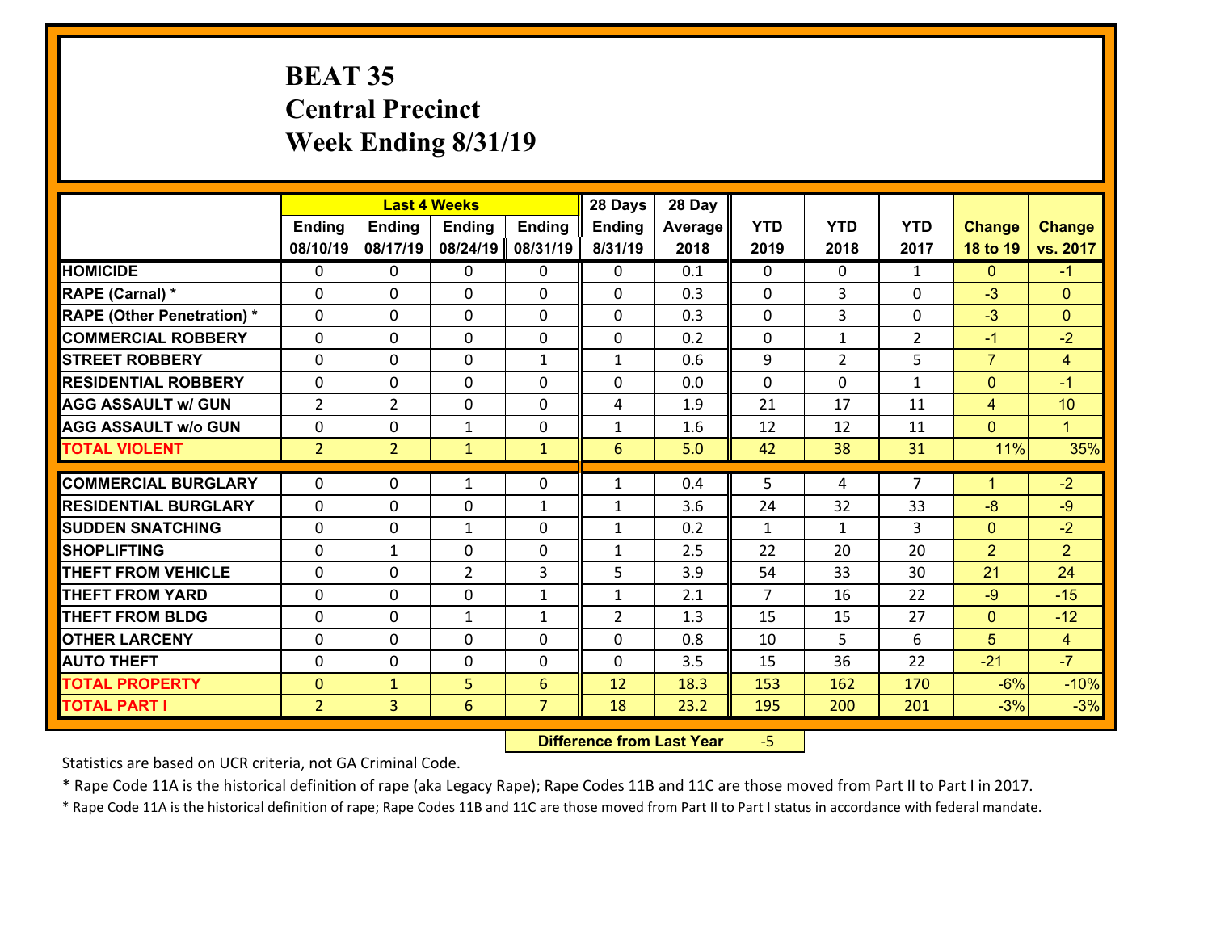## **BEAT 35 Central Precinct Week Ending 8/31/19**

|                                   |                | <b>Last 4 Weeks</b> |                |                | 28 Days        | 28 Day  |                |                |                |                |                |
|-----------------------------------|----------------|---------------------|----------------|----------------|----------------|---------|----------------|----------------|----------------|----------------|----------------|
|                                   | <b>Ending</b>  | <b>Ending</b>       | <b>Ending</b>  | <b>Ending</b>  | <b>Ending</b>  | Average | <b>YTD</b>     | <b>YTD</b>     | <b>YTD</b>     | <b>Change</b>  | <b>Change</b>  |
|                                   | 08/10/19       | 08/17/19            | 08/24/19       | 08/31/19       | 8/31/19        | 2018    | 2019           | 2018           | 2017           | 18 to 19       | vs. 2017       |
| <b>HOMICIDE</b>                   | $\mathbf{0}$   | 0                   | 0              | 0              | 0              | 0.1     | 0              | $\mathbf{0}$   | $\mathbf{1}$   | $\mathbf{0}$   | $-1$           |
| RAPE (Carnal) *                   | 0              | 0                   | $\mathbf{0}$   | 0              | 0              | 0.3     | $\mathbf{0}$   | 3              | 0              | $-3$           | $\mathbf{0}$   |
| <b>RAPE (Other Penetration) *</b> | $\Omega$       | 0                   | $\Omega$       | $\Omega$       | $\Omega$       | 0.3     | $\Omega$       | 3              | $\Omega$       | $-3$           | $\Omega$       |
| <b>COMMERCIAL ROBBERY</b>         | $\Omega$       | $\Omega$            | $\mathbf 0$    | $\Omega$       | 0              | 0.2     | $\mathbf{0}$   | $\mathbf{1}$   | $\overline{2}$ | $-1$           | $-2$           |
| <b>STREET ROBBERY</b>             | 0              | 0                   | $\mathbf 0$    | $\mathbf{1}$   | $\mathbf{1}$   | 0.6     | 9              | $\overline{2}$ | 5              | $\overline{7}$ | $\overline{4}$ |
| <b>RESIDENTIAL ROBBERY</b>        | 0              | 0                   | $\mathbf 0$    | 0              | 0              | 0.0     | $\mathbf 0$    | $\mathbf{0}$   | $\mathbf{1}$   | $\mathbf{0}$   | $-1$           |
| <b>AGG ASSAULT w/ GUN</b>         | $\overline{2}$ | $\overline{2}$      | $\mathbf 0$    | 0              | 4              | 1.9     | 21             | 17             | 11             | $\overline{4}$ | 10             |
| <b>AGG ASSAULT w/o GUN</b>        | 0              | 0                   | $\mathbf{1}$   | 0              | $\mathbf{1}$   | 1.6     | 12             | 12             | 11             | $\mathbf{0}$   | $\mathbf{1}$   |
| <b>TOTAL VIOLENT</b>              | 2 <sup>1</sup> | $\overline{2}$      | $\mathbf{1}$   | $\mathbf{1}$   | 6              | 5.0     | 42             | 38             | 31             | 11%            | 35%            |
| <b>COMMERCIAL BURGLARY</b>        | $\Omega$       | 0                   |                | 0              |                | 0.4     | 5              | 4              | $\overline{7}$ | 1              | $-2$           |
|                                   |                |                     | 1              |                | $\mathbf{1}$   |         |                |                |                |                |                |
| <b>RESIDENTIAL BURGLARY</b>       | $\Omega$       | 0                   | $\mathbf{0}$   | $\mathbf{1}$   | 1              | 3.6     | 24             | 32             | 33             | $-8$           | $-9$           |
| <b>SUDDEN SNATCHING</b>           | $\Omega$       | 0                   | $\mathbf{1}$   | $\Omega$       | $\mathbf{1}$   | 0.2     | $\mathbf{1}$   | $\mathbf{1}$   | 3              | $\mathbf{0}$   | $-2$           |
| <b>SHOPLIFTING</b>                | $\Omega$       | 1                   | $\mathbf 0$    | $\Omega$       | $\mathbf{1}$   | 2.5     | 22             | 20             | 20             | $\overline{2}$ | $\overline{2}$ |
| <b>THEFT FROM VEHICLE</b>         | $\mathbf{0}$   | 0                   | $\overline{2}$ | 3              | 5              | 3.9     | 54             | 33             | 30             | 21             | 24             |
| <b>THEFT FROM YARD</b>            | 0              | 0                   | $\mathbf 0$    | $\mathbf{1}$   | $\mathbf{1}$   | 2.1     | $\overline{7}$ | 16             | 22             | $-9$           | $-15$          |
| <b>THEFT FROM BLDG</b>            | 0              | 0                   | $\mathbf{1}$   | $\mathbf{1}$   | $\overline{2}$ | 1.3     | 15             | 15             | 27             | $\mathbf{0}$   | $-12$          |
| <b>OTHER LARCENY</b>              | 0              | 0                   | $\mathbf 0$    | 0              | 0              | 0.8     | 10             | 5 <sup>1</sup> | 6              | 5              | $\overline{4}$ |
| <b>AUTO THEFT</b>                 | 0              | 0                   | $\mathbf 0$    | 0              | 0              | 3.5     | 15             | 36             | 22             | $-21$          | $-7$           |
| <b>TOTAL PROPERTY</b>             | $\mathbf{0}$   | $\mathbf{1}$        | 5              | 6              | 12             | 18.3    | 153            | 162            | 170            | $-6%$          | $-10%$         |
| <b>TOTAL PART I</b>               | 2 <sup>1</sup> | $\overline{3}$      | 6              | $\overline{7}$ | 18             | 23.2    | 195            | 200            | 201            | $-3%$          | $-3%$          |

 **Difference from Last Year**‐5

Statistics are based on UCR criteria, not GA Criminal Code.

\* Rape Code 11A is the historical definition of rape (aka Legacy Rape); Rape Codes 11B and 11C are those moved from Part II to Part I in 2017.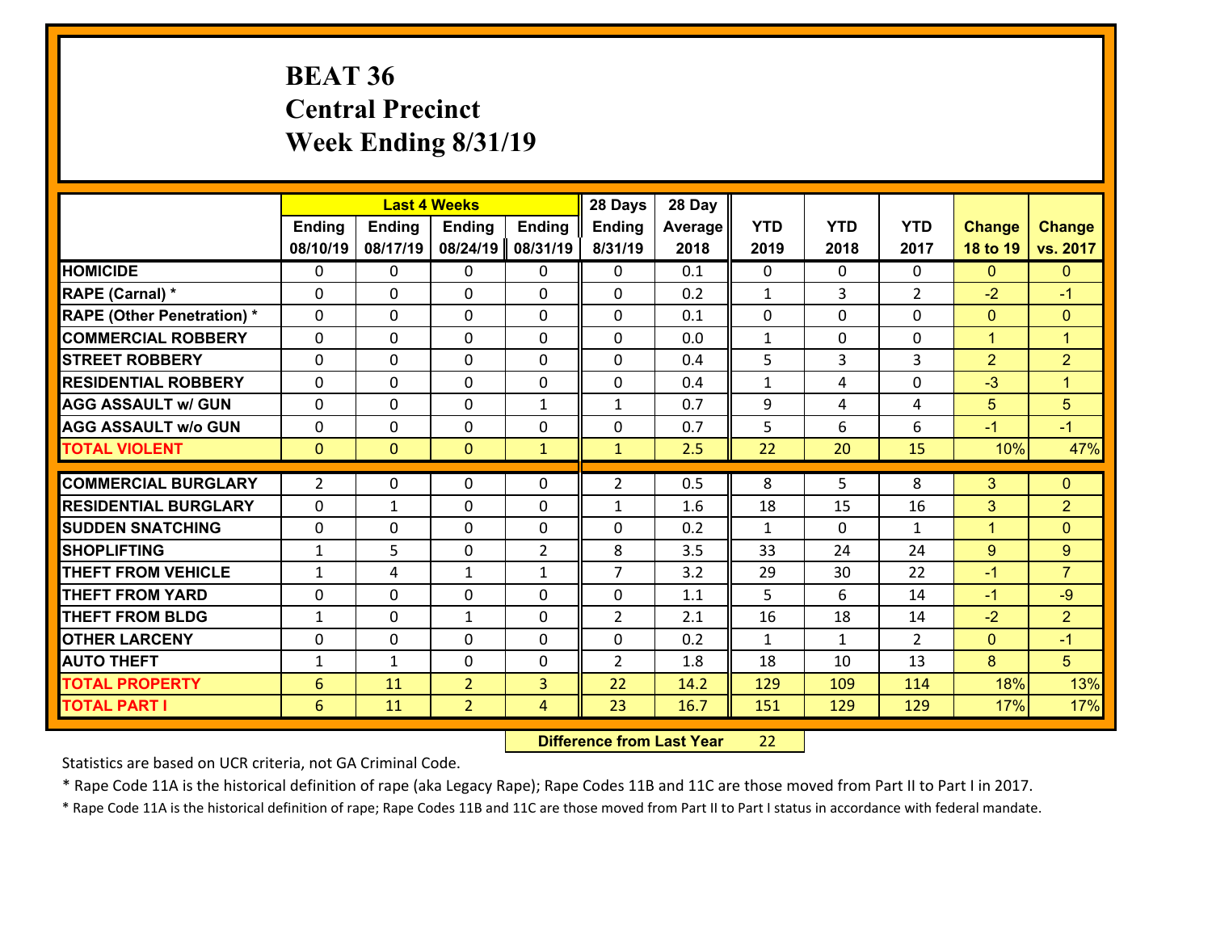## **BEAT 36 Central Precinct Week Ending 8/31/19**

|                                   |                |                | <b>Last 4 Weeks</b> |                | 28 Days        | 28 Day  |              |              |                |                |                      |
|-----------------------------------|----------------|----------------|---------------------|----------------|----------------|---------|--------------|--------------|----------------|----------------|----------------------|
|                                   | <b>Ending</b>  | <b>Ending</b>  | <b>Ending</b>       | <b>Ending</b>  | <b>Ending</b>  | Average | <b>YTD</b>   | <b>YTD</b>   | <b>YTD</b>     | <b>Change</b>  | <b>Change</b>        |
|                                   | 08/10/19       | 08/17/19       | 08/24/19            | 08/31/19       | 8/31/19        | 2018    | 2019         | 2018         | 2017           | 18 to 19       | vs. 2017             |
| <b>HOMICIDE</b>                   | $\Omega$       | 0              | 0                   | 0              | 0              | 0.1     | $\Omega$     | $\Omega$     | 0              | $\mathbf{0}$   | $\mathbf{0}$         |
| RAPE (Carnal) *                   | $\Omega$       | 0              | $\mathbf 0$         | 0              | 0              | 0.2     | $\mathbf{1}$ | 3            | $\overline{2}$ | $-2$           | $-1$                 |
| <b>RAPE (Other Penetration) *</b> | $\Omega$       | 0              | $\mathbf{0}$        | $\Omega$       | $\Omega$       | 0.1     | $\mathbf{0}$ | $\Omega$     | $\Omega$       | $\mathbf{0}$   | $\mathbf{0}$         |
| <b>COMMERCIAL ROBBERY</b>         | $\Omega$       | 0              | $\mathbf{0}$        | $\Omega$       | $\Omega$       | 0.0     | $\mathbf{1}$ | $\Omega$     | $\Omega$       | $\mathbf{1}$   | $\blacktriangleleft$ |
| <b>STREET ROBBERY</b>             | $\Omega$       | 0              | $\mathbf{0}$        | $\Omega$       | $\Omega$       | 0.4     | 5            | 3            | 3              | $\overline{2}$ | $\overline{2}$       |
| <b>RESIDENTIAL ROBBERY</b>        | $\Omega$       | 0              | $\mathbf{0}$        | $\Omega$       | $\Omega$       | 0.4     | $\mathbf{1}$ | 4            | $\Omega$       | $-3$           | $\blacktriangleleft$ |
| <b>AGG ASSAULT w/ GUN</b>         | 0              | 0              | $\mathbf 0$         | $\mathbf{1}$   | $\mathbf{1}$   | 0.7     | 9            | 4            | 4              | 5              | 5                    |
| <b>AGG ASSAULT w/o GUN</b>        | 0              | 0              | 0                   | 0              | $\mathbf 0$    | 0.7     | 5            | 6            | 6              | $-1$           | $-1$                 |
| <b>TOTAL VIOLENT</b>              | $\mathbf{0}$   | $\overline{0}$ | $\mathbf{0}$        | $\mathbf{1}$   | $\mathbf{1}$   | 2.5     | 22           | 20           | 15             | 10%            | 47%                  |
|                                   |                |                |                     |                |                |         |              |              |                |                |                      |
|                                   |                |                |                     |                |                |         |              |              |                |                |                      |
| <b>COMMERCIAL BURGLARY</b>        | $\overline{2}$ | 0              | 0                   | 0              | $\overline{2}$ | 0.5     | 8            | 5            | 8              | 3              | $\mathbf{0}$         |
| <b>RESIDENTIAL BURGLARY</b>       | $\Omega$       | 1              | $\mathbf 0$         | $\Omega$       | $\mathbf{1}$   | 1.6     | 18           | 15           | 16             | 3              | $\overline{2}$       |
| <b>SUDDEN SNATCHING</b>           | 0              | 0              | $\mathbf{0}$        | 0              | $\Omega$       | 0.2     | $\mathbf{1}$ | $\Omega$     | $\mathbf{1}$   | $\mathbf{1}$   | $\mathbf{0}$         |
| <b>SHOPLIFTING</b>                | 1              | 5              | $\mathbf 0$         | $\overline{2}$ | 8              | 3.5     | 33           | 24           | 24             | 9              | 9                    |
| <b>THEFT FROM VEHICLE</b>         | $\mathbf{1}$   | 4              | $\mathbf{1}$        | $\mathbf{1}$   | $\overline{7}$ | 3.2     | 29           | 30           | 22             | $-1$           | $\overline{7}$       |
| <b>THEFT FROM YARD</b>            | 0              | 0              | $\mathbf{0}$        | $\Omega$       | $\Omega$       | 1.1     | 5            | 6            | 14             | $-1$           | $-9$                 |
| <b>THEFT FROM BLDG</b>            | $\mathbf{1}$   | 0              | $\mathbf{1}$        | $\Omega$       | $\overline{2}$ | 2.1     | 16           | 18           | 14             | $-2$           | $\overline{2}$       |
| <b>OTHER LARCENY</b>              | 0              | 0              | $\mathbf{0}$        | $\Omega$       | $\Omega$       | 0.2     | $\mathbf{1}$ | $\mathbf{1}$ | $\mathcal{P}$  | $\mathbf{0}$   | $-1$                 |
| <b>AUTO THEFT</b>                 | 1              | $\mathbf{1}$   | $\mathbf{0}$        | 0              | $\overline{2}$ | 1.8     | 18           | 10           | 13             | 8              | 5                    |
| <b>TOTAL PROPERTY</b>             | 6              | 11             | $\overline{2}$      | 3              | 22             | 14.2    | 129          | 109          | 114            | 18%            | 13%                  |
| <b>TOTAL PART I</b>               | 6              | 11             | $\overline{2}$      | 4              | 23             | 16.7    | 151          | 129          | 129            | 17%            | 17%                  |

 **Difference from Last Year**r 22

Statistics are based on UCR criteria, not GA Criminal Code.

\* Rape Code 11A is the historical definition of rape (aka Legacy Rape); Rape Codes 11B and 11C are those moved from Part II to Part I in 2017.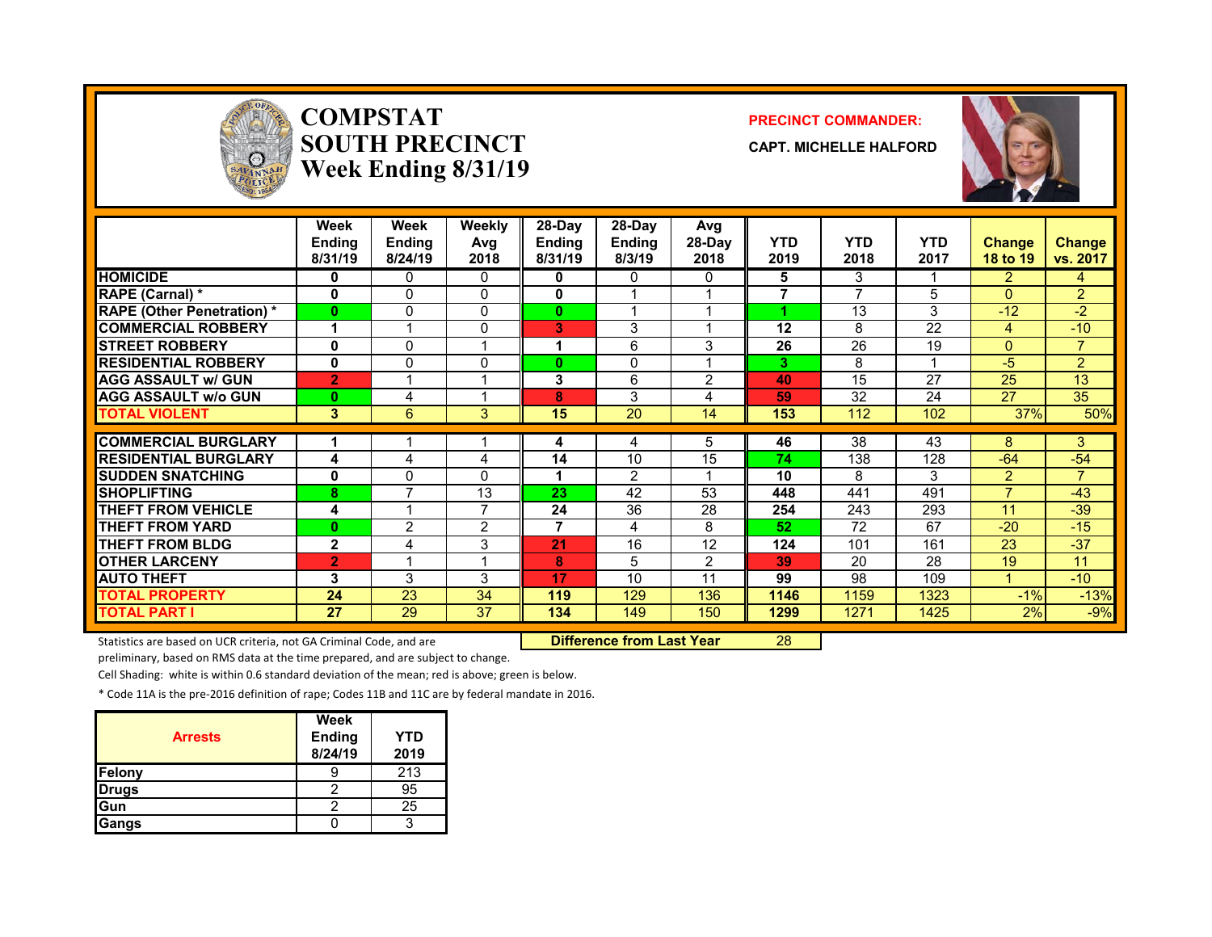

### **COMPSTATSOUTH PRECINCTWeek Ending 8/31/19**

#### **PRECINCT COMMANDER:**

**CAPT. MICHELLE HALFORD**



|                                   | Week<br><b>Ending</b><br>8/31/19 | Week<br><b>Ending</b><br>8/24/19 | Weekly<br>Avg<br>2018   | $28-Dav$<br><b>Ending</b><br>8/31/19 | $28-Dav$<br><b>Ending</b><br>8/3/19 | Avg<br>28-Day<br>2018 | <b>YTD</b><br>2019 | <b>YTD</b><br>2018 | <b>YTD</b><br>2017 | <b>Change</b><br>18 to 19 | <b>Change</b><br>vs. 2017 |
|-----------------------------------|----------------------------------|----------------------------------|-------------------------|--------------------------------------|-------------------------------------|-----------------------|--------------------|--------------------|--------------------|---------------------------|---------------------------|
| <b>HOMICIDE</b>                   | 0                                | 0                                | $\mathbf{0}$            | 0                                    | 0                                   | 0                     | 5                  | 3                  |                    | $\overline{2}$            | 4                         |
| <b>RAPE (Carnal) *</b>            | 0                                | $\Omega$                         | $\Omega$                | 0                                    |                                     |                       | $\overline{7}$     | ⇁                  | 5                  | $\Omega$                  | $\overline{2}$            |
| <b>RAPE (Other Penetration) *</b> | $\bf{0}$                         | 0                                | 0                       | $\bf{0}$                             |                                     |                       |                    | 13                 | 3                  | $-12$                     | $-2$                      |
| <b>COMMERCIAL ROBBERY</b>         |                                  |                                  | $\mathbf{0}$            | в                                    | 3                                   |                       | 12                 | 8                  | 22                 | 4                         | $-10$                     |
| <b>ISTREET ROBBERY</b>            | 0                                | $\Omega$                         | 1                       | 1                                    | 6                                   | 3                     | 26                 | 26                 | 19                 | $\Omega$                  | $\overline{7}$            |
| <b>RESIDENTIAL ROBBERY</b>        | 0                                | 0                                | 0                       | $\bf{0}$                             | 0                                   |                       | 3                  | 8                  |                    | $-5$                      | $\overline{2}$            |
| <b>AGG ASSAULT w/ GUN</b>         | $\overline{2}$                   |                                  | 1                       | 3                                    | 6                                   | 2                     | 40                 | 15                 | 27                 | 25                        | 13                        |
| <b>AGG ASSAULT w/o GUN</b>        | $\bf{0}$                         | 4                                | 1                       | 8                                    | 3                                   | 4                     | 59                 | 32                 | 24                 | 27                        | 35                        |
| <b>TOTAL VIOLENT</b>              | 3                                | 6                                | 3                       | 15                                   | 20                                  | 14                    | 153                | 112                | 102                | 37%                       | 50%                       |
| <b>COMMERCIAL BURGLARY</b>        |                                  |                                  |                         |                                      |                                     | 5                     | 46                 | 38                 | 43                 | 8                         | 3                         |
|                                   |                                  |                                  |                         | 4                                    | 4                                   |                       | 74                 |                    |                    |                           |                           |
| <b>RESIDENTIAL BURGLARY</b>       | 4                                | 4                                | 4                       | 14                                   | 10                                  | 15                    |                    | 138                | 128                | $-64$                     | $-54$                     |
| <b>ISUDDEN SNATCHING</b>          | 0                                | 0                                | $\Omega$                |                                      | 2                                   |                       | 10                 | 8                  | 3                  | $\overline{2}$            | 7                         |
| <b>SHOPLIFTING</b>                | 8                                | $\overline{ }$                   | 13                      | 23                                   | 42                                  | 53                    | 448                | 441                | 491                | $\overline{ }$            | $-43$                     |
| <b>THEFT FROM VEHICLE</b>         | 4                                |                                  | 7                       | 24                                   | 36                                  | 28                    | 254                | 243                | 293                | 11                        | $-39$                     |
| <b>THEFT FROM YARD</b>            | $\bf{0}$                         | $\overline{2}$                   | $\overline{2}$          | 7                                    | 4                                   | 8                     | 52                 | 72                 | 67                 | $-20$                     | $-15$                     |
| <b>THEFT FROM BLDG</b>            | $\mathbf{2}$                     | 4                                | 3                       | 21                                   | 16                                  | 12                    | 124                | 101                | 161                | 23                        | $-37$                     |
| <b>OTHER LARCENY</b>              | $\overline{2}$                   |                                  | $\overline{\mathbf{A}}$ | 8                                    | 5                                   | 2                     | 39                 | 20                 | 28                 | 19                        | 11                        |
| <b>AUTO THEFT</b>                 | 3                                | 3                                | 3                       | 17                                   | 10                                  | 11                    | 99                 | 98                 | 109                |                           | $-10$                     |
| <b>TOTAL PROPERTY</b>             | 24                               | 23                               | 34                      | 119                                  | 129                                 | 136                   | 1146               | 1159               | 1323               | $-1%$                     | $-13%$                    |
| <b>TOTAL PART I</b>               | 27                               | 29                               | 37                      | 134                                  | 149                                 | 150                   | 1299               | 1271               | 1425               | 2%                        | $-9%$                     |

Statistics are based on UCR criteria, not GA Criminal Code, and are **Difference from Last Year** 28

preliminary, based on RMS data at the time prepared, and are subject to change.

Cell Shading: white is within 0.6 standard deviation of the mean; red is above; green is below.

\* Code 11A is the pre‐2016 definition of rape; Codes 11B and 11C are by federal mandate in 2016.

| <b>Arrests</b> | Week<br><b>Ending</b><br>8/24/19 | YTD<br>2019 |
|----------------|----------------------------------|-------------|
| Felony         |                                  | 213         |
| <b>Drugs</b>   |                                  | 95          |
| Gun            |                                  | 25          |
| Gangs          |                                  | 2           |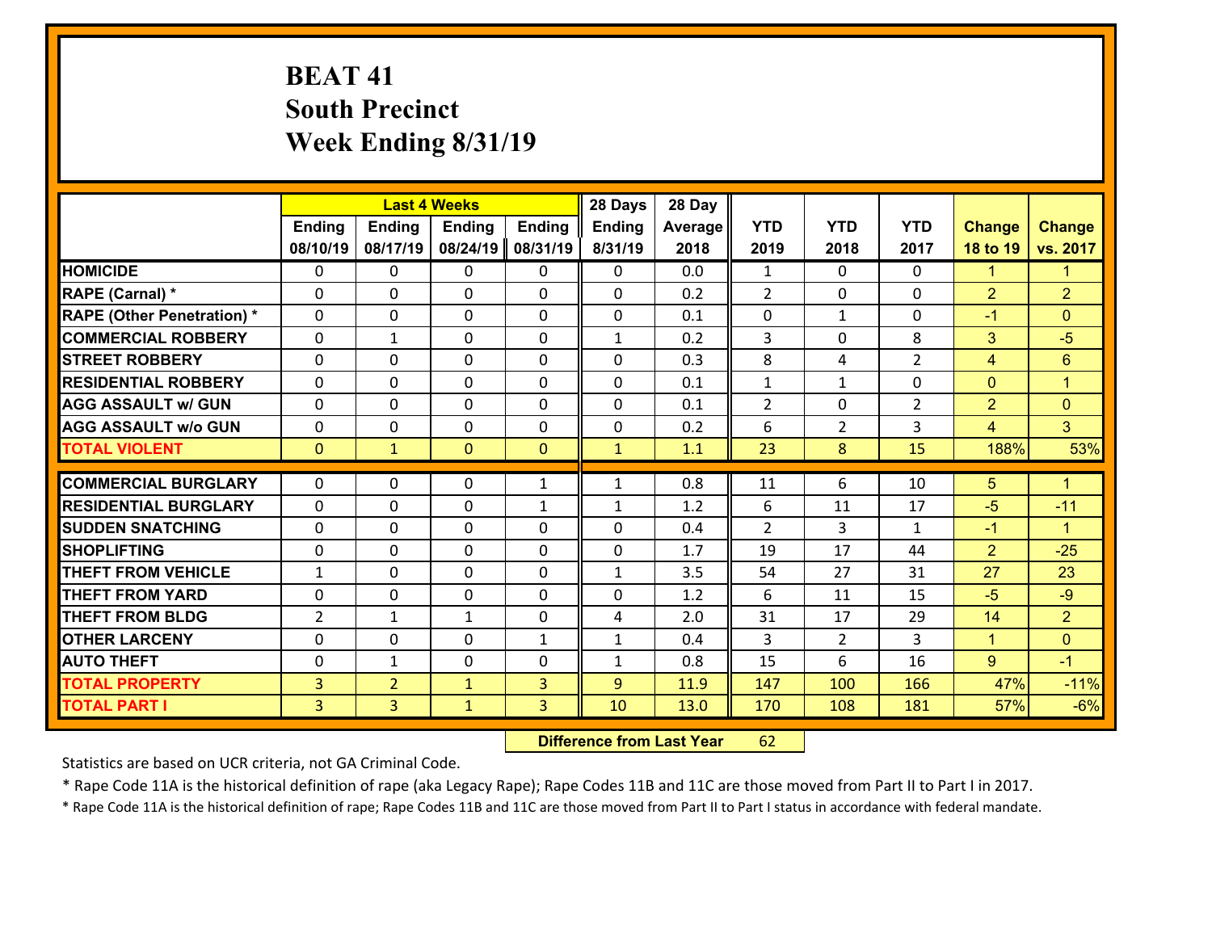# **BEAT 41 South Precinct Week Ending 8/31/19**

|                                   |                |                | <b>Last 4 Weeks</b> |               | 28 Days      | 28 Day  |                |                |                |                |                      |
|-----------------------------------|----------------|----------------|---------------------|---------------|--------------|---------|----------------|----------------|----------------|----------------|----------------------|
|                                   | <b>Ending</b>  | <b>Ending</b>  | Ending              | <b>Ending</b> | Ending       | Average | <b>YTD</b>     | <b>YTD</b>     | <b>YTD</b>     | <b>Change</b>  | <b>Change</b>        |
|                                   | 08/10/19       | 08/17/19       | 08/24/19            | 08/31/19      | 8/31/19      | 2018    | 2019           | 2018           | 2017           | 18 to 19       | vs. 2017             |
| <b>HOMICIDE</b>                   | $\Omega$       | 0              | $\mathbf{0}$        | 0             | $\Omega$     | 0.0     | 1              | $\Omega$       | $\Omega$       | 1              | $\mathbf{1}$         |
| RAPE (Carnal) *                   | $\Omega$       | 0              | $\mathbf{0}$        | $\Omega$      | 0            | 0.2     | $\overline{2}$ | $\mathbf{0}$   | $\Omega$       | $\overline{2}$ | $\overline{2}$       |
| <b>RAPE (Other Penetration) *</b> | $\Omega$       | 0              | $\mathbf 0$         | 0             | 0            | 0.1     | 0              | $\mathbf{1}$   | $\Omega$       | $-1$           | $\mathbf{0}$         |
| <b>COMMERCIAL ROBBERY</b>         | 0              | $\mathbf{1}$   | $\mathbf 0$         | 0             | $\mathbf{1}$ | 0.2     | 3              | $\mathbf 0$    | 8              | 3              | $-5$                 |
| <b>STREET ROBBERY</b>             | $\Omega$       | 0              | $\mathbf 0$         | 0             | 0            | 0.3     | 8              | 4              | $\overline{2}$ | $\overline{4}$ | $6\phantom{1}$       |
| <b>RESIDENTIAL ROBBERY</b>        | 0              | 0              | $\mathbf 0$         | 0             | 0            | 0.1     | $\mathbf 1$    | $\mathbf{1}$   | 0              | $\mathbf{0}$   | $\mathbf{1}$         |
| <b>AGG ASSAULT w/ GUN</b>         | 0              | 0              | $\mathbf 0$         | 0             | 0            | 0.1     | $\overline{2}$ | 0              | $\overline{2}$ | $\overline{2}$ | $\mathbf{0}$         |
| <b>AGG ASSAULT w/o GUN</b>        | 0              | 0              | 0                   | 0             | $\mathbf 0$  | 0.2     | 6              | $\overline{2}$ | 3              | $\overline{4}$ | 3 <sup>1</sup>       |
| <b>TOTAL VIOLENT</b>              | $\mathbf{0}$   | $\mathbf{1}$   | $\mathbf{O}$        | $\mathbf{0}$  | $\mathbf{1}$ | 1.1     | 23             | 8              | 15             | 188%           | 53%                  |
|                                   |                |                |                     |               |              |         |                |                |                |                |                      |
| <b>COMMERCIAL BURGLARY</b>        | $\Omega$       | 0              | 0                   | $\mathbf{1}$  | $\mathbf{1}$ | 0.8     | 11             | 6              | 10             | 5              | $\blacktriangleleft$ |
| <b>RESIDENTIAL BURGLARY</b>       | $\Omega$       | 0              | $\mathbf 0$         | $\mathbf{1}$  | $\mathbf{1}$ | 1.2     | 6              | 11             | 17             | $-5$           | $-11$                |
| <b>SUDDEN SNATCHING</b>           | $\Omega$       | 0              | $\mathbf 0$         | $\Omega$      | 0            | 0.4     | $\overline{2}$ | 3              | $\mathbf{1}$   | $-1$           | $\blacktriangleleft$ |
| <b>SHOPLIFTING</b>                | 0              | 0              | $\mathbf 0$         | 0             | 0            | 1.7     | 19             | 17             | 44             | $\overline{2}$ | $-25$                |
| <b>THEFT FROM VEHICLE</b>         | $\mathbf{1}$   | 0              | $\mathbf 0$         | 0             | $\mathbf{1}$ | 3.5     | 54             | 27             | 31             | 27             | 23                   |
| <b>THEFT FROM YARD</b>            | $\mathbf 0$    | 0              | $\mathbf 0$         | 0             | 0            | 1.2     | 6              | 11             | 15             | $-5$           | $-9$                 |
| <b>THEFT FROM BLDG</b>            | $\overline{2}$ | 1              | $\mathbf{1}$        | 0             | 4            | 2.0     | 31             | 17             | 29             | 14             | $\overline{2}$       |
| <b>OTHER LARCENY</b>              | $\mathbf 0$    | 0              | $\mathbf 0$         | $\mathbf{1}$  | $\mathbf{1}$ | 0.4     | 3              | $\overline{2}$ | 3              | $\mathbf{1}$   | $\overline{0}$       |
| <b>AUTO THEFT</b>                 | 0              | 1              | $\mathbf 0$         | 0             | $\mathbf{1}$ | 0.8     | 15             | 6              | 16             | 9              | $-1$                 |
| <b>TOTAL PROPERTY</b>             | $\overline{3}$ | $\overline{2}$ | $\mathbf{1}$        | 3             | 9            | 11.9    | 147            | 100            | 166            | 47%            | $-11%$               |
| <b>TOTAL PART I</b>               | $\overline{3}$ | $\overline{3}$ | $\mathbf{1}$        | 3             | 10           | 13.0    | 170            | 108            | 181            | 57%            | $-6%$                |

 **Difference from Last Year**r 62

Statistics are based on UCR criteria, not GA Criminal Code.

\* Rape Code 11A is the historical definition of rape (aka Legacy Rape); Rape Codes 11B and 11C are those moved from Part II to Part I in 2017.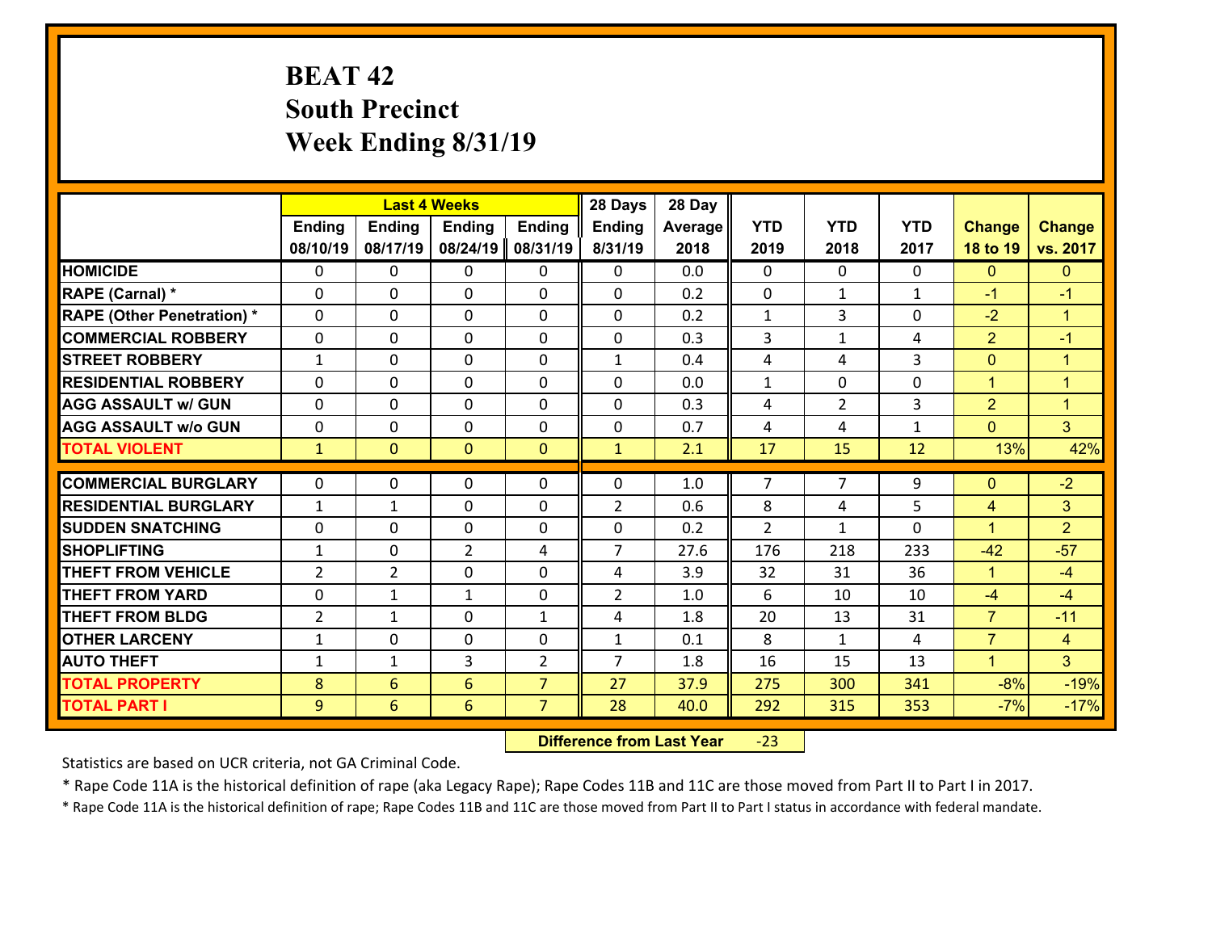# **BEAT 42 South Precinct Week Ending 8/31/19**

|                                   |                |                 | <b>Last 4 Weeks</b> |                | 28 Days        | 28 Day  |                |                |              |                      |                      |
|-----------------------------------|----------------|-----------------|---------------------|----------------|----------------|---------|----------------|----------------|--------------|----------------------|----------------------|
|                                   | <b>Ending</b>  | Ending          | <b>Ending</b>       | <b>Ending</b>  | Ending         | Average | <b>YTD</b>     | <b>YTD</b>     | <b>YTD</b>   | <b>Change</b>        | <b>Change</b>        |
|                                   | 08/10/19       | 08/17/19        | 08/24/19            | 08/31/19       | 8/31/19        | 2018    | 2019           | 2018           | 2017         | 18 to 19             | vs. 2017             |
| <b>HOMICIDE</b>                   | $\Omega$       | 0               | $\mathbf{0}$        | 0              | 0              | 0.0     | $\Omega$       | $\Omega$       | $\Omega$     | $\mathbf{0}$         | $\mathbf{0}$         |
| RAPE (Carnal) *                   | $\Omega$       | 0               | $\mathbf{0}$        | 0              | $\Omega$       | 0.2     | $\Omega$       | $\mathbf{1}$   | $\mathbf{1}$ | $-1$                 | $-1$                 |
| <b>RAPE (Other Penetration) *</b> | $\Omega$       | 0               | $\mathbf 0$         | 0              | 0              | 0.2     | $\mathbf{1}$   | 3              | 0            | $-2$                 | $\blacktriangleleft$ |
| <b>COMMERCIAL ROBBERY</b>         | 0              | 0               | 0                   | 0              | 0              | 0.3     | 3              | $\mathbf{1}$   | 4            | $\overline{2}$       | $-1$                 |
| <b>STREET ROBBERY</b>             | $\mathbf{1}$   | 0               | $\mathbf 0$         | 0              | $\mathbf{1}$   | 0.4     | 4              | 4              | 3            | $\mathbf{0}$         | $\mathbf{1}$         |
| <b>RESIDENTIAL ROBBERY</b>        | 0              | 0               | $\mathbf 0$         | 0              | 0              | 0.0     | $\mathbf{1}$   | $\mathbf 0$    | 0            | $\mathbf{1}$         | $\mathbf{1}$         |
| <b>AGG ASSAULT w/ GUN</b>         | 0              | 0               | $\mathbf 0$         | 0              | 0              | 0.3     | 4              | $\overline{2}$ | 3            | $\overline{2}$       | $\mathbf{1}$         |
| <b>AGG ASSAULT w/o GUN</b>        | 0              | 0               | $\mathbf 0$         | 0              | $\mathbf 0$    | 0.7     | 4              | 4              | $\mathbf{1}$ | $\mathbf{0}$         | 3 <sup>1</sup>       |
| <b>TOTAL VIOLENT</b>              | $\mathbf{1}$   | $\overline{0}$  | $\mathbf{0}$        | $\overline{0}$ | $\mathbf{1}$   | 2.1     | 17             | 15             | 12           | 13%                  | 42%                  |
| <b>COMMERCIAL BURGLARY</b>        | $\Omega$       | 0               | $\mathbf{0}$        | 0              | $\Omega$       | 1.0     | 7              | $\overline{7}$ | 9            | $\mathbf{0}$         | $-2$                 |
|                                   |                |                 |                     |                |                |         |                |                |              |                      |                      |
| <b>RESIDENTIAL BURGLARY</b>       | $\mathbf{1}$   | 1               | $\mathbf 0$         | 0              | $\overline{2}$ | 0.6     | 8              | 4              | 5            | 4                    | 3                    |
| <b>SUDDEN SNATCHING</b>           | $\mathbf{0}$   | 0               | $\mathbf{0}$        | $\Omega$       | $\Omega$       | 0.2     | $\overline{2}$ | $\mathbf{1}$   | $\Omega$     | $\blacktriangleleft$ | $\overline{2}$       |
| <b>SHOPLIFTING</b>                | $\mathbf{1}$   | 0               | $\overline{2}$      | 4              | $\overline{7}$ | 27.6    | 176            | 218            | 233          | $-42$                | $-57$                |
| <b>THEFT FROM VEHICLE</b>         | $\overline{2}$ | $\overline{2}$  | $\mathbf 0$         | 0              | 4              | 3.9     | 32             | 31             | 36           | $\mathbf{1}$         | $-4$                 |
| <b>THEFT FROM YARD</b>            | $\mathbf{0}$   | 1               | 1                   | 0              | $\overline{2}$ | 1.0     | 6              | 10             | 10           | $-4$                 | $-4$                 |
| <b>THEFT FROM BLDG</b>            | $\overline{2}$ | 1               | $\mathbf 0$         | $\mathbf{1}$   | 4              | 1.8     | 20             | 13             | 31           | $\overline{7}$       | $-11$                |
| <b>OTHER LARCENY</b>              | $\mathbf{1}$   | 0               | $\mathbf 0$         | 0              | $\mathbf{1}$   | 0.1     | 8              | $\mathbf{1}$   | 4            | $\overline{7}$       | $\overline{4}$       |
| <b>AUTO THEFT</b>                 | $\mathbf{1}$   | 1               | 3                   | $\overline{2}$ | $\overline{7}$ | 1.8     | 16             | 15             | 13           | $\mathbf{1}$         | 3 <sup>1</sup>       |
| <b>TOTAL PROPERTY</b>             | 8              | $6\overline{6}$ | $6\overline{6}$     | $\overline{7}$ | 27             | 37.9    | 275            | 300            | 341          | $-8%$                | $-19%$               |
| <b>TOTAL PART I</b>               | 9              | 6               | 6                   | $\overline{7}$ | 28             | 40.0    | 292            | 315            | 353          | $-7%$                | $-17%$               |

 **Difference from Last Year**‐23

Statistics are based on UCR criteria, not GA Criminal Code.

\* Rape Code 11A is the historical definition of rape (aka Legacy Rape); Rape Codes 11B and 11C are those moved from Part II to Part I in 2017.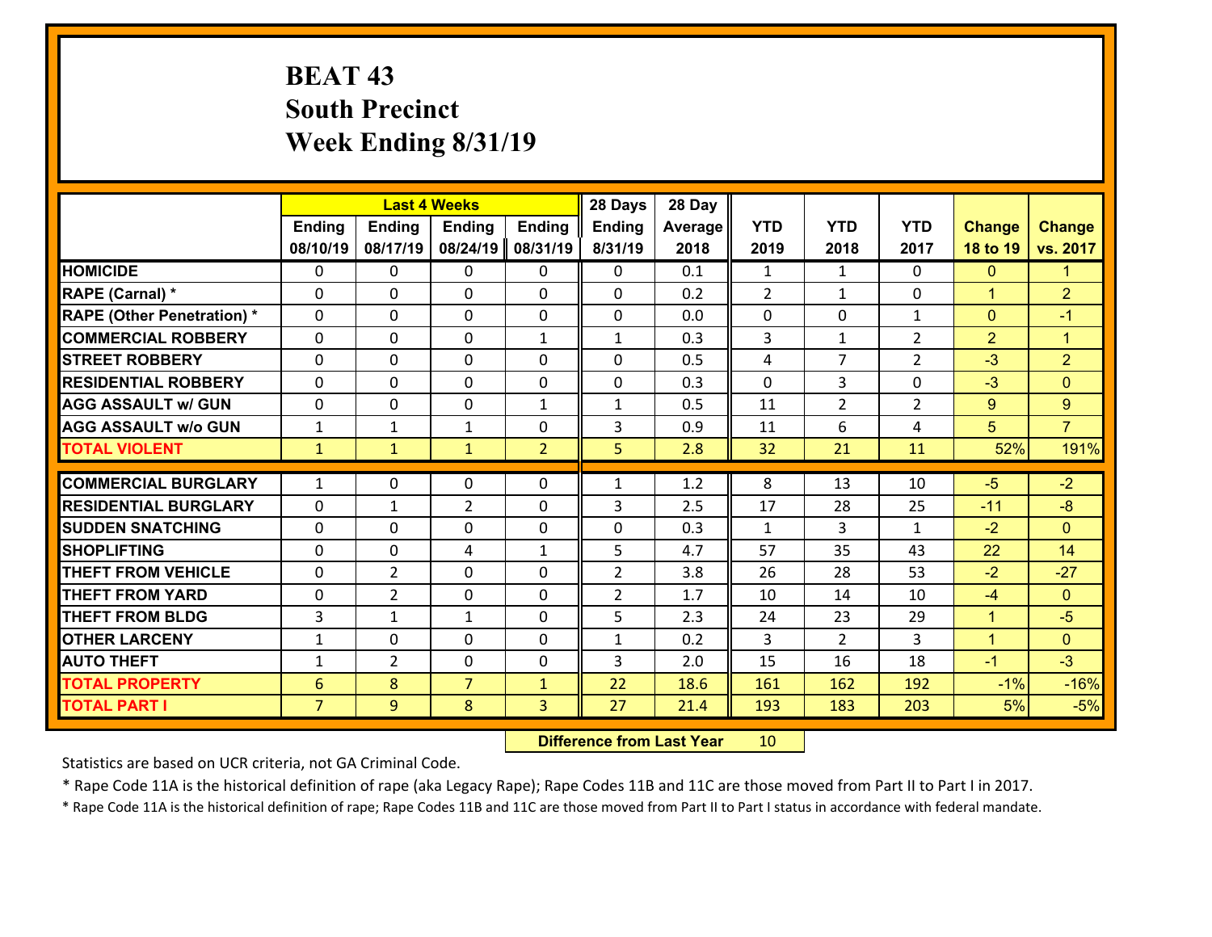# **BEAT 43 South Precinct Week Ending 8/31/19**

|                                   |                 |                | <b>Last 4 Weeks</b> |                | 28 Days        | 28 Day  |                |                |                |                |                |
|-----------------------------------|-----------------|----------------|---------------------|----------------|----------------|---------|----------------|----------------|----------------|----------------|----------------|
|                                   | <b>Ending</b>   | <b>Ending</b>  | <b>Ending</b>       | <b>Ending</b>  | Ending         | Average | <b>YTD</b>     | <b>YTD</b>     | <b>YTD</b>     | <b>Change</b>  | <b>Change</b>  |
|                                   | 08/10/19        | 08/17/19       | 08/24/19            | 08/31/19       | 8/31/19        | 2018    | 2019           | 2018           | 2017           | 18 to 19       | vs. 2017       |
| <b>HOMICIDE</b>                   | $\Omega$        | 0              | $\mathbf{0}$        | 0              | 0              | 0.1     | 1              | $\mathbf{1}$   | $\Omega$       | $\mathbf{0}$   | $\mathbf{1}$   |
| RAPE (Carnal) *                   | $\Omega$        | 0              | $\mathbf{0}$        | $\Omega$       | 0              | 0.2     | 2              | $\mathbf{1}$   | $\Omega$       | $\mathbf{1}$   | $\overline{2}$ |
| <b>RAPE (Other Penetration) *</b> | $\Omega$        | 0              | $\mathbf 0$         | 0              | 0              | 0.0     | 0              | 0              | $\mathbf{1}$   | $\mathbf{0}$   | $-1$           |
| <b>COMMERCIAL ROBBERY</b>         | 0               | 0              | $\mathbf 0$         | $\mathbf{1}$   | $\mathbf{1}$   | 0.3     | 3              | $\mathbf{1}$   | $\overline{2}$ | $\overline{2}$ | $\mathbf{1}$   |
| <b>STREET ROBBERY</b>             | $\Omega$        | 0              | $\mathbf 0$         | 0              | 0              | 0.5     | 4              | $\overline{7}$ | $\overline{2}$ | $-3$           | $\overline{2}$ |
| <b>RESIDENTIAL ROBBERY</b>        | 0               | 0              | $\mathbf 0$         | 0              | 0              | 0.3     | $\mathbf 0$    | 3              | 0              | $-3$           | $\mathbf{0}$   |
| <b>AGG ASSAULT w/ GUN</b>         | 0               | 0              | $\mathbf 0$         | $\mathbf{1}$   | $\mathbf{1}$   | 0.5     | 11             | $\overline{2}$ | $\overline{2}$ | 9              | $\overline{9}$ |
| <b>AGG ASSAULT w/o GUN</b>        | $\mathbf{1}$    | 1              | 1                   | 0              | 3              | 0.9     | 11             | 6              | 4              | 5              | $\overline{7}$ |
| <b>TOTAL VIOLENT</b>              | $\mathbf{1}$    | $\mathbf{1}$   | $\mathbf{1}$        | $\overline{2}$ | 5              | 2.8     | 32             | 21             | 11             | 52%            | 191%           |
|                                   |                 |                |                     |                |                |         |                |                |                |                |                |
| <b>COMMERCIAL BURGLARY</b>        | $\mathbf{1}$    | 0              | $\mathbf{0}$        | 0              | $\mathbf{1}$   | 1.2     | 8              | 13             | 10             | $-5$           | $-2$           |
| <b>RESIDENTIAL BURGLARY</b>       | $\Omega$        | 1              | $\overline{2}$      | 0              | 3              | 2.5     | 17             | 28             | 25             | $-11$          | $-8$           |
| <b>SUDDEN SNATCHING</b>           | $\Omega$        | 0              | $\mathbf 0$         | 0              | 0              | 0.3     | $\mathbf{1}$   | 3              | $\mathbf{1}$   | $-2$           | $\Omega$       |
| <b>SHOPLIFTING</b>                | 0               | 0              | $\overline{4}$      | $\mathbf{1}$   | 5              | 4.7     | 57             | 35             | 43             | 22             | 14             |
| <b>THEFT FROM VEHICLE</b>         | 0               | $\overline{2}$ | $\mathbf 0$         | 0              | $\overline{2}$ | 3.8     | 26             | 28             | 53             | $-2$           | $-27$          |
| <b>THEFT FROM YARD</b>            | $\mathbf 0$     | $\overline{2}$ | $\mathbf 0$         | 0              | $\overline{2}$ | 1.7     | 10             | 14             | 10             | $-4$           | $\overline{0}$ |
| <b>THEFT FROM BLDG</b>            | 3               | 1              | 1                   | $\Omega$       | 5              | 2.3     | 24             | 23             | 29             | $\mathbf{1}$   | $-5$           |
| <b>OTHER LARCENY</b>              | $\mathbf{1}$    | 0              | $\mathbf 0$         | $\Omega$       | $\mathbf{1}$   | 0.2     | $\overline{3}$ | $\overline{2}$ | 3              | $\mathbf{1}$   | $\overline{0}$ |
| <b>AUTO THEFT</b>                 | $\mathbf{1}$    | $\overline{2}$ | $\mathbf 0$         | 0              | 3              | 2.0     | 15             | 16             | 18             | $-1$           | $-3$           |
| <b>TOTAL PROPERTY</b>             | $6\phantom{1}6$ | 8              | $\overline{7}$      | $\mathbf{1}$   | 22             | 18.6    | 161            | 162            | 192            | $-1%$          | $-16%$         |
| <b>TOTAL PART I</b>               | $\overline{7}$  | 9              | 8                   | 3              | 27             | 21.4    | 193            | 183            | 203            | 5%             | $-5%$          |

 **Difference from Last Year**r 10

Statistics are based on UCR criteria, not GA Criminal Code.

\* Rape Code 11A is the historical definition of rape (aka Legacy Rape); Rape Codes 11B and 11C are those moved from Part II to Part I in 2017.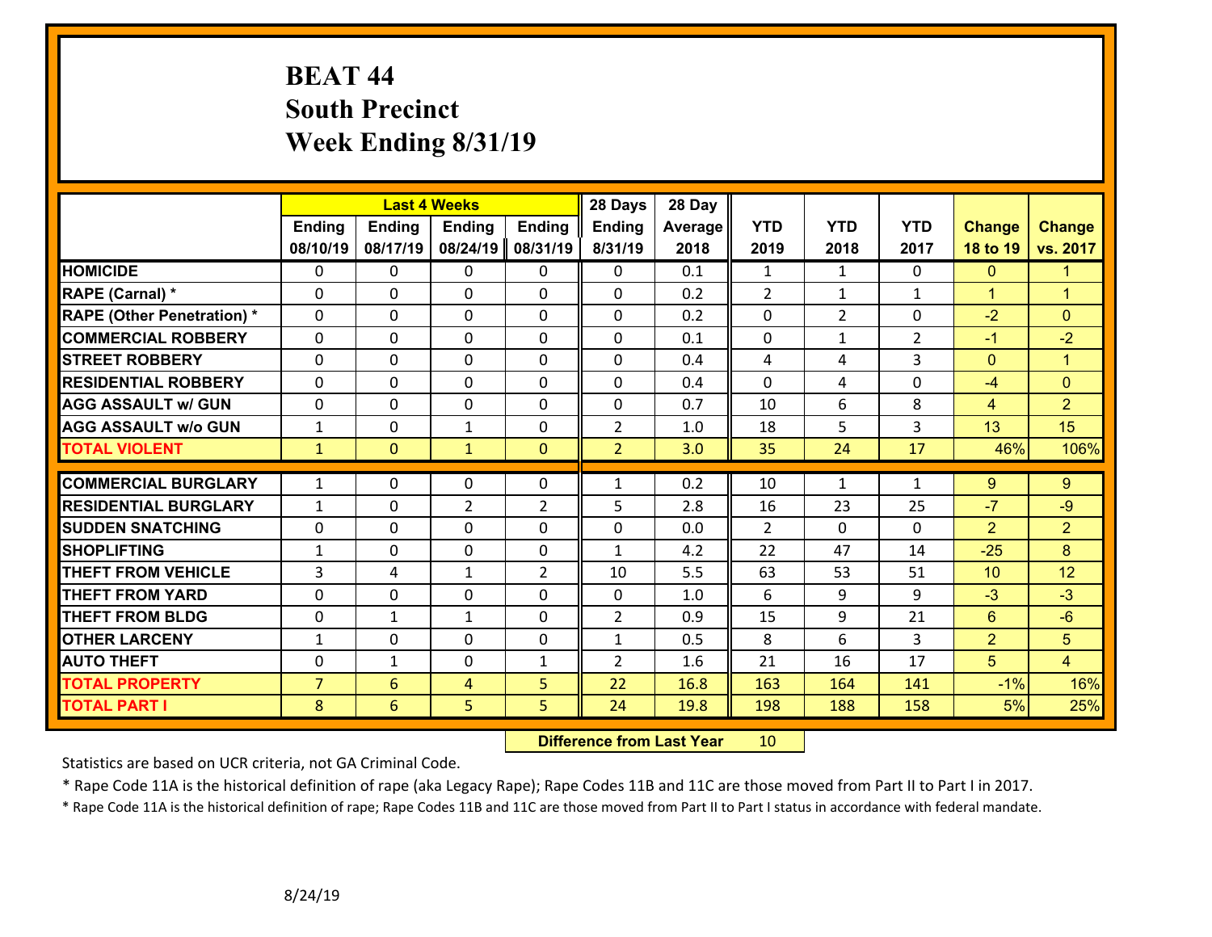# **BEAT 44 South Precinct Week Ending 8/31/19**

|                                   |                |                | <b>Last 4 Weeks</b> |                | 28 Days        | 28 Day  |                |                |                |                 |                      |
|-----------------------------------|----------------|----------------|---------------------|----------------|----------------|---------|----------------|----------------|----------------|-----------------|----------------------|
|                                   | <b>Ending</b>  | <b>Ending</b>  | <b>Ending</b>       | <b>Ending</b>  | <b>Ending</b>  | Average | <b>YTD</b>     | <b>YTD</b>     | <b>YTD</b>     | <b>Change</b>   | <b>Change</b>        |
|                                   | 08/10/19       | 08/17/19       | 08/24/19            | 08/31/19       | 8/31/19        | 2018    | 2019           | 2018           | 2017           | 18 to 19        | vs. 2017             |
| <b>HOMICIDE</b>                   | $\Omega$       | 0              | $\mathbf{0}$        | $\mathbf{0}$   | 0              | 0.1     | 1              | $\mathbf{1}$   | $\Omega$       | $\mathbf{0}$    | $\mathbf{1}$         |
| RAPE (Carnal) *                   | $\Omega$       | $\Omega$       | $\mathbf 0$         | $\Omega$       | $\Omega$       | 0.2     | $\overline{2}$ | $\mathbf{1}$   | $\mathbf{1}$   | $\mathbf{1}$    | $\overline{1}$       |
| <b>RAPE (Other Penetration) *</b> | 0              | 0              | $\mathbf 0$         | 0              | 0              | 0.2     | 0              | $\overline{2}$ | 0              | $-2$            | $\mathbf{0}$         |
| <b>COMMERCIAL ROBBERY</b>         | 0              | 0              | $\mathbf 0$         | 0              | 0              | 0.1     | $\mathbf 0$    | $\mathbf{1}$   | $\overline{2}$ | $-1$            | $-2$                 |
| <b>STREET ROBBERY</b>             | 0              | 0              | $\mathbf 0$         | $\Omega$       | 0              | 0.4     | 4              | 4              | 3              | $\mathbf{0}$    | $\blacktriangleleft$ |
| <b>RESIDENTIAL ROBBERY</b>        | $\Omega$       | 0              | $\mathbf 0$         | $\Omega$       | 0              | 0.4     | $\Omega$       | 4              | $\Omega$       | $-4$            | $\mathbf{0}$         |
| <b>AGG ASSAULT w/ GUN</b>         | 0              | 0              | $\mathbf 0$         | 0              | 0              | 0.7     | 10             | 6              | 8              | $\overline{4}$  | $\overline{2}$       |
| <b>AGG ASSAULT w/o GUN</b>        | $\mathbf{1}$   | 0              | $\mathbf{1}$        | 0              | $\overline{2}$ | 1.0     | 18             | 5              | 3              | 13              | 15                   |
| <b>TOTAL VIOLENT</b>              | $\mathbf{1}$   | $\overline{0}$ | $\mathbf{1}$        | $\mathbf{0}$   | $\overline{2}$ | 3.0     | 35             | 24             | 17             | 46%             | 106%                 |
|                                   |                |                |                     |                |                |         |                |                |                |                 |                      |
| <b>COMMERCIAL BURGLARY</b>        | $\mathbf{1}$   | 0              | $\mathbf 0$         | 0              | $\mathbf{1}$   | 0.2     | 10             | $\mathbf{1}$   | $\mathbf{1}$   | $9^{\circ}$     | 9                    |
| <b>RESIDENTIAL BURGLARY</b>       | $\mathbf{1}$   | 0              | $\overline{2}$      | $\overline{2}$ | 5              | 2.8     | 16             | 23             | 25             | $-7$            | $-9$                 |
| <b>SUDDEN SNATCHING</b>           | 0              | 0              | $\mathbf 0$         | $\Omega$       | 0              | 0.0     | 2              | $\Omega$       | $\Omega$       | $\overline{2}$  | $\overline{2}$       |
| <b>SHOPLIFTING</b>                | $\mathbf{1}$   | 0              | $\mathbf 0$         | 0              | $\mathbf{1}$   | 4.2     | 22             | 47             | 14             | $-25$           | 8                    |
| <b>THEFT FROM VEHICLE</b>         | 3              | 4              | 1                   | $\overline{2}$ | 10             | 5.5     | 63             | 53             | 51             | 10 <sup>1</sup> | 12                   |
| <b>THEFT FROM YARD</b>            | 0              | 0              | $\mathbf 0$         | 0              | 0              | 1.0     | 6              | 9              | 9              | $-3$            | $-3$                 |
| <b>THEFT FROM BLDG</b>            | 0              | 1              | $\mathbf{1}$        | $\Omega$       | $\overline{2}$ | 0.9     | 15             | 9              | 21             | $6\phantom{a}$  | $-6$                 |
| <b>OTHER LARCENY</b>              | $\mathbf{1}$   | 0              | $\mathbf 0$         | 0              | $\mathbf{1}$   | 0.5     | 8              | 6              | 3              | $\overline{2}$  | 5                    |
| <b>AUTO THEFT</b>                 | $\Omega$       | $\mathbf{1}$   | $\mathbf 0$         | $\mathbf{1}$   | $\overline{2}$ | 1.6     | 21             | 16             | 17             | 5               | $\overline{4}$       |
| <b>TOTAL PROPERTY</b>             | $\overline{7}$ | 6              | $\overline{4}$      | 5              | 22             | 16.8    | 163            | 164            | 141            | $-1%$           | 16%                  |
| <b>TOTAL PART I</b>               | 8              | 6              | 5                   | 5              | 24             | 19.8    | 198            | 188            | 158            | 5%              | 25%                  |

 **Difference from Last Year**r 10

Statistics are based on UCR criteria, not GA Criminal Code.

\* Rape Code 11A is the historical definition of rape (aka Legacy Rape); Rape Codes 11B and 11C are those moved from Part II to Part I in 2017.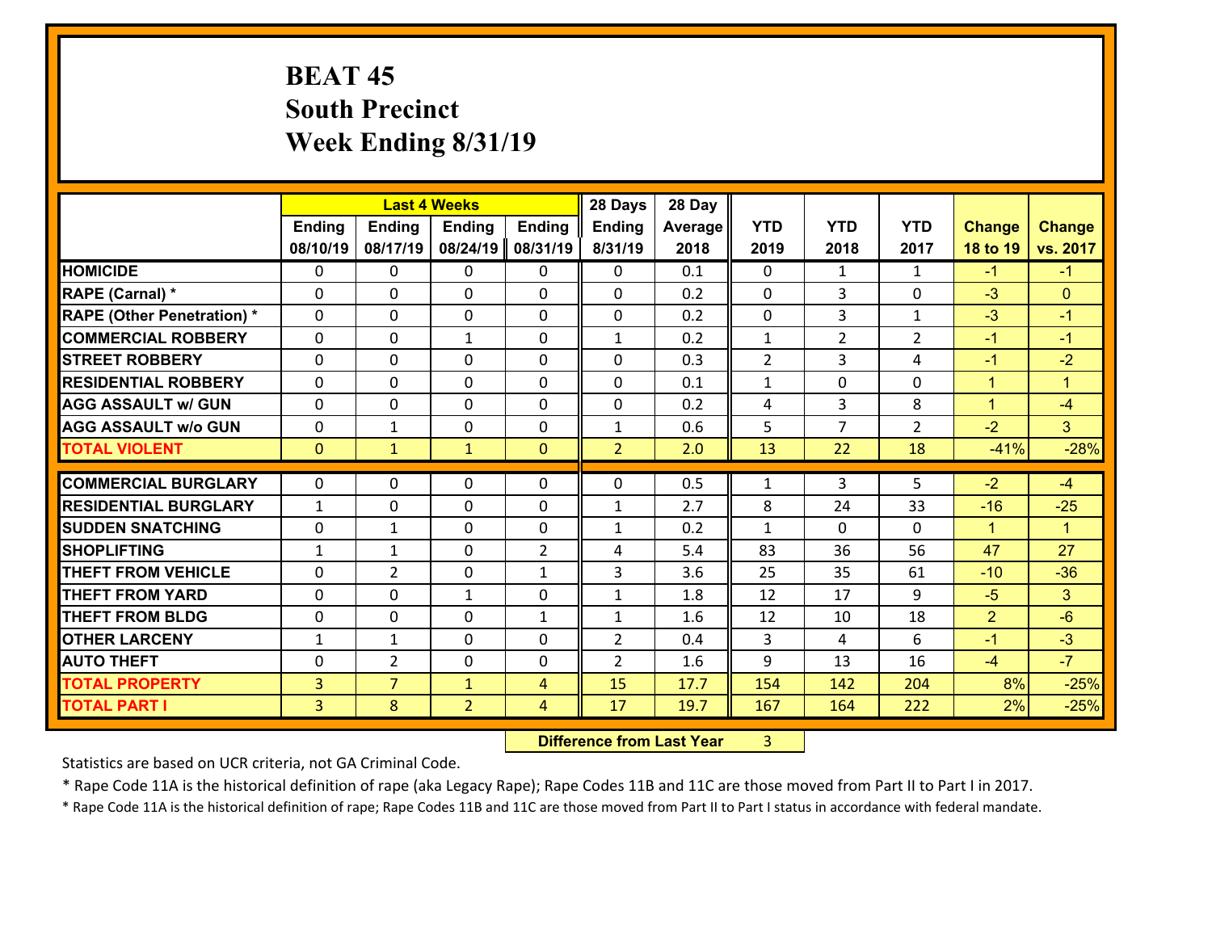# **BEAT 45 South Precinct Week Ending 8/31/19**

|                                   |                |                | <b>Last 4 Weeks</b> |                | 28 Days        | 28 Day  |              |                |                |                |                      |
|-----------------------------------|----------------|----------------|---------------------|----------------|----------------|---------|--------------|----------------|----------------|----------------|----------------------|
|                                   | <b>Ending</b>  | Ending         | <b>Ending</b>       | <b>Ending</b>  | <b>Ending</b>  | Average | <b>YTD</b>   | <b>YTD</b>     | <b>YTD</b>     | <b>Change</b>  | <b>Change</b>        |
|                                   | 08/10/19       | 08/17/19       | 08/24/19            | 08/31/19       | 8/31/19        | 2018    | 2019         | 2018           | 2017           | 18 to 19       | vs. 2017             |
| <b>HOMICIDE</b>                   | $\mathbf{0}$   | 0              | $\mathbf{0}$        | 0              | $\mathbf{0}$   | 0.1     | $\Omega$     | $\mathbf{1}$   | $\mathbf{1}$   | $-1$           | $-1$                 |
| RAPE (Carnal) *                   | $\Omega$       | 0              | $\mathbf{0}$        | $\Omega$       | 0              | 0.2     | $\mathbf{0}$ | 3              | $\Omega$       | $-3$           | $\mathbf{0}$         |
| <b>RAPE (Other Penetration) *</b> | $\Omega$       | 0              | $\mathbf 0$         | $\Omega$       | 0              | 0.2     | $\Omega$     | 3              | $\mathbf{1}$   | $-3$           | $-1$                 |
| <b>COMMERCIAL ROBBERY</b>         | 0              | 0              | $\mathbf{1}$        | 0              | $\mathbf{1}$   | 0.2     | $\mathbf{1}$ | $\overline{2}$ | $\overline{2}$ | $-1$           | $-1$                 |
| <b>STREET ROBBERY</b>             | $\Omega$       | 0              | $\mathbf{0}$        | $\Omega$       | 0              | 0.3     | 2            | 3              | 4              | $-1$           | $-2$                 |
| <b>RESIDENTIAL ROBBERY</b>        | $\Omega$       | 0              | $\mathbf{0}$        | $\Omega$       | 0              | 0.1     | $\mathbf{1}$ | $\Omega$       | $\Omega$       | $\mathbf{1}$   | $\blacktriangleleft$ |
| <b>AGG ASSAULT w/ GUN</b>         | $\Omega$       | $\Omega$       | $\mathbf 0$         | $\Omega$       | 0              | 0.2     | 4            | 3              | 8              | $\mathbf{1}$   | $-4$                 |
| <b>AGG ASSAULT w/o GUN</b>        | 0              | 1              | $\mathbf 0$         | 0              | $\mathbf{1}$   | 0.6     | 5            | $\overline{7}$ | $\overline{2}$ | $-2$           | 3 <sup>1</sup>       |
| <b>TOTAL VIOLENT</b>              | $\mathbf{0}$   | $\mathbf{1}$   | $\mathbf{1}$        | $\mathbf{0}$   | $\overline{2}$ | 2.0     | 13           | 22             | 18             | $-41%$         | $-28%$               |
| <b>COMMERCIAL BURGLARY</b>        | $\Omega$       | 0              | $\mathbf{0}$        | 0              | 0              | 0.5     | 1            | 3              | 5              | $-2$           | $-4$                 |
|                                   |                |                |                     |                |                |         |              |                |                |                |                      |
| <b>RESIDENTIAL BURGLARY</b>       | $\mathbf{1}$   | 0              | $\mathbf 0$         | 0              | 1              | 2.7     | 8            | 24             | 33             | $-16$          | $-25$                |
| <b>SUDDEN SNATCHING</b>           | 0              | 1              | $\mathbf 0$         | 0              | $\mathbf{1}$   | 0.2     | $\mathbf{1}$ | $\Omega$       | $\Omega$       | $\mathbf{1}$   | $\blacktriangleleft$ |
| <b>SHOPLIFTING</b>                | 1              | 1              | $\mathbf{0}$        | $\overline{2}$ | 4              | 5.4     | 83           | 36             | 56             | 47             | 27                   |
|                                   |                |                |                     |                |                |         |              |                |                |                |                      |
| <b>THEFT FROM VEHICLE</b>         | $\Omega$       | $\overline{2}$ | $\mathbf{0}$        | $\mathbf{1}$   | 3              | 3.6     | 25           | 35             | 61             | $-10$          | $-36$                |
| <b>THEFT FROM YARD</b>            | $\Omega$       | $\Omega$       | $\mathbf{1}$        | $\Omega$       | $\mathbf{1}$   | 1.8     | 12           | 17             | 9              | $-5$           | 3                    |
| <b>THEFT FROM BLDG</b>            | $\mathbf{0}$   | 0              | 0                   | $\mathbf{1}$   | $\mathbf{1}$   | 1.6     | 12           | 10             | 18             | $\overline{2}$ | $-6$                 |
| <b>OTHER LARCENY</b>              | $\mathbf{1}$   | 1              | $\mathbf 0$         | 0              | $\overline{2}$ | 0.4     | 3            | 4              | 6              | $-1$           | $-3$                 |
| <b>AUTO THEFT</b>                 | 0              | $\overline{2}$ | $\mathbf 0$         | 0              | $\overline{2}$ | 1.6     | 9            | 13             | 16             | $-4$           | $-7$                 |
| <b>TOTAL PROPERTY</b>             | $\overline{3}$ | $\overline{7}$ | $\mathbf{1}$        | $\overline{4}$ | 15             | 17.7    | 154          | 142            | 204            | 8%             | $-25%$               |

 **Difference from Last Year**r 3

Statistics are based on UCR criteria, not GA Criminal Code.

\* Rape Code 11A is the historical definition of rape (aka Legacy Rape); Rape Codes 11B and 11C are those moved from Part II to Part I in 2017.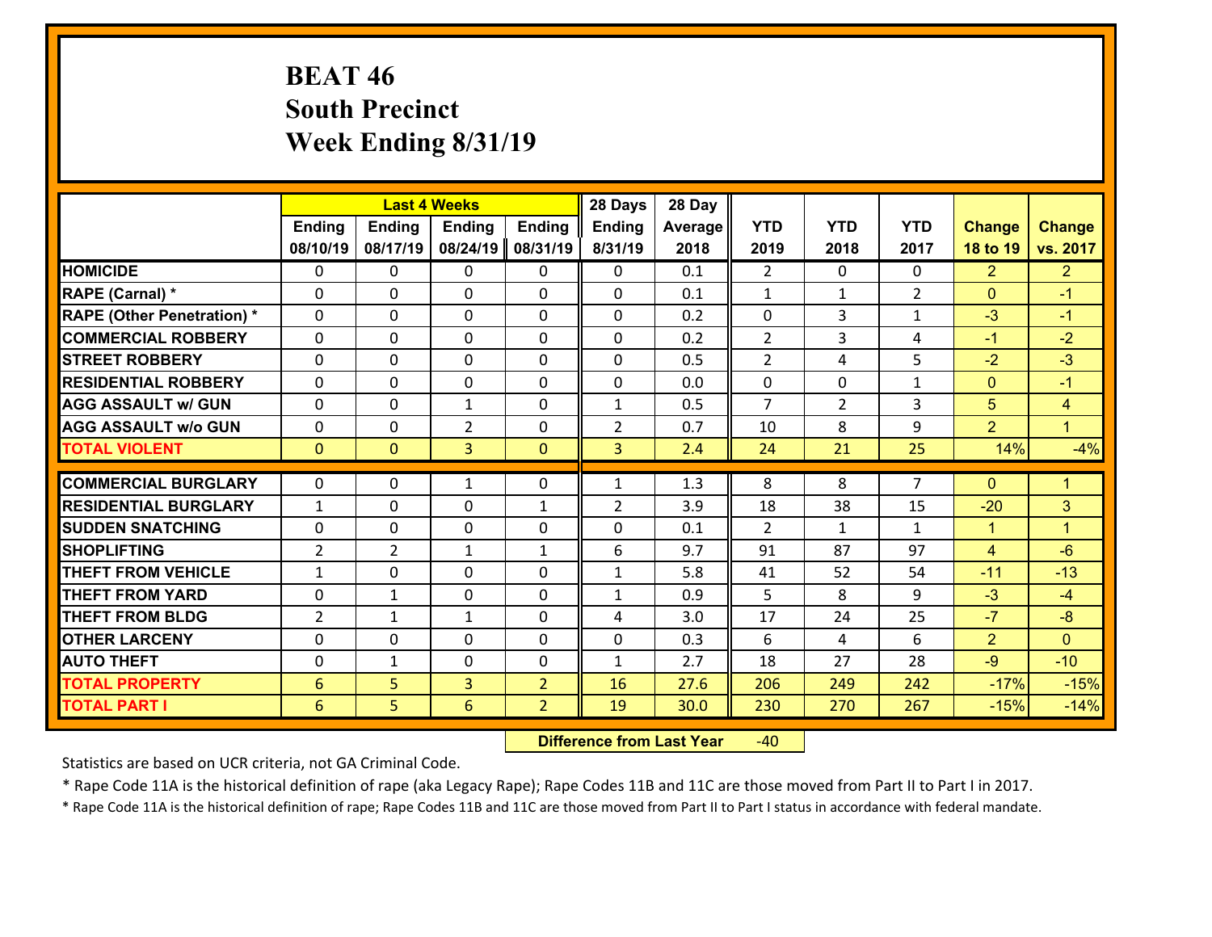# **BEAT 46 South Precinct Week Ending 8/31/19**

|                                               |                     | <b>Last 4 Weeks</b> |                |                | 28 Days        | 28 Day     |                |                    |                    |                |                      |
|-----------------------------------------------|---------------------|---------------------|----------------|----------------|----------------|------------|----------------|--------------------|--------------------|----------------|----------------------|
|                                               | <b>Ending</b>       | <b>Ending</b>       | <b>Ending</b>  | <b>Ending</b>  | <b>Ending</b>  | Average    | <b>YTD</b>     | <b>YTD</b>         | <b>YTD</b>         | <b>Change</b>  | <b>Change</b>        |
|                                               | 08/10/19            | 08/17/19            | 08/24/19       | 08/31/19       | 8/31/19        | 2018       | 2019           | 2018               | 2017               | 18 to 19       | vs. 2017             |
| <b>HOMICIDE</b>                               | $\Omega$            | 0                   | 0              | 0              | 0              | 0.1        | $\overline{2}$ | $\Omega$           | 0                  | $\overline{2}$ | 2 <sup>1</sup>       |
| RAPE (Carnal) *                               | 0                   | 0                   | $\mathbf{0}$   | 0              | $\Omega$       | 0.1        | $\mathbf{1}$   | $\mathbf{1}$       | $\overline{2}$     | $\mathbf{0}$   | $-1$                 |
| <b>RAPE (Other Penetration) *</b>             | $\Omega$            | 0                   | $\mathbf{0}$   | $\Omega$       | $\Omega$       | 0.2        | $\Omega$       | 3                  | $\mathbf{1}$       | $-3$           | $-1$                 |
| <b>COMMERCIAL ROBBERY</b>                     | 0                   | 0                   | 0              | 0              | 0              | 0.2        | $\overline{2}$ | 3                  | 4                  | $-1$           | $-2$                 |
| <b>STREET ROBBERY</b>                         | $\Omega$            | 0                   | $\mathbf 0$    | 0              | 0              | 0.5        | $\overline{2}$ | 4                  | 5                  | $-2$           | $-3$                 |
| <b>RESIDENTIAL ROBBERY</b>                    | $\Omega$            | $\Omega$            | $\mathbf 0$    | $\Omega$       | 0              | 0.0        | $\mathbf 0$    | 0                  | $\mathbf{1}$       | $\mathbf{0}$   | $-1$                 |
| <b>AGG ASSAULT w/ GUN</b>                     | $\Omega$            | 0                   | $\mathbf{1}$   | 0              | $\mathbf{1}$   | 0.5        | $\overline{7}$ | $\overline{2}$     | 3                  | 5              | $\overline{4}$       |
| <b>AGG ASSAULT w/o GUN</b>                    | 0                   | 0                   | $\overline{2}$ | 0              | $\overline{2}$ | 0.7        | 10             | 8                  | 9                  | $\overline{2}$ | $\mathbf{1}$         |
| <b>TOTAL VIOLENT</b>                          | $\mathbf{0}$        | $\overline{0}$      | $\overline{3}$ | $\mathbf{0}$   | 3              | 2.4        | 24             | 21                 | 25                 | 14%            | $-4%$                |
| <b>COMMERCIAL BURGLARY</b>                    | $\Omega$            | 0                   | 1              | $\Omega$       | $\mathbf{1}$   | 1.3        | 8              | 8                  | $\overline{7}$     | $\Omega$       | $\blacktriangleleft$ |
|                                               |                     |                     |                |                |                |            |                |                    |                    |                |                      |
| <b>RESIDENTIAL BURGLARY</b>                   | $\mathbf{1}$        | 0                   | $\mathbf 0$    | $\mathbf{1}$   | $\overline{2}$ | 3.9        | 18             | 38                 | 15                 | $-20$          | 3                    |
| <b>SUDDEN SNATCHING</b><br><b>SHOPLIFTING</b> | 0<br>$\overline{2}$ | 0<br>$\overline{2}$ | $\mathbf 0$    | 0              | 0<br>6         | 0.1<br>9.7 | 2<br>91        | $\mathbf{1}$<br>87 | $\mathbf{1}$<br>97 | $\mathbf{1}$   | $\mathbf{1}$<br>$-6$ |
|                                               |                     |                     | 1              | $\mathbf{1}$   |                |            |                |                    |                    | $\overline{4}$ |                      |
| <b>THEFT FROM VEHICLE</b>                     | $\mathbf{1}$        | 0                   | $\mathbf 0$    | 0              | $\mathbf{1}$   | 5.8        | 41             | 52                 | 54                 | $-11$          | $-13$                |
| <b>THEFT FROM YARD</b>                        | $\mathbf 0$         | $\mathbf{1}$        | $\mathbf 0$    | 0              | $\mathbf{1}$   | 0.9        | 5              | 8                  | 9                  | $-3$           | $-4$                 |
| <b>THEFT FROM BLDG</b>                        | $\overline{2}$      | 1                   | 1              | 0              | 4              | 3.0        | 17             | 24                 | 25                 | $-7$           | $-8$                 |
| <b>OTHER LARCENY</b>                          | 0                   | 0                   | $\mathbf 0$    | 0              | 0              | 0.3        | 6              | 4                  | 6                  | $\overline{2}$ | $\mathbf{0}$         |
| <b>AUTO THEFT</b>                             | $\mathbf{0}$        | 1                   | $\mathbf{0}$   | 0              | $\mathbf{1}$   | 2.7        | 18             | 27                 | 28                 | $-9$           | $-10$                |
| <b>TOTAL PROPERTY</b>                         | $6\phantom{1}6$     | 5                   | $\overline{3}$ | $\overline{2}$ | 16             | 27.6       | 206            | 249                | 242                | $-17%$         | $-15%$               |
| <b>TOTAL PART I</b>                           | 6                   | 5                   | 6              | $\overline{2}$ | 19             | 30.0       | 230            | 270                | 267                | $-15%$         | $-14%$               |

 **Difference from Last Year**r -40

Statistics are based on UCR criteria, not GA Criminal Code.

\* Rape Code 11A is the historical definition of rape (aka Legacy Rape); Rape Codes 11B and 11C are those moved from Part II to Part I in 2017.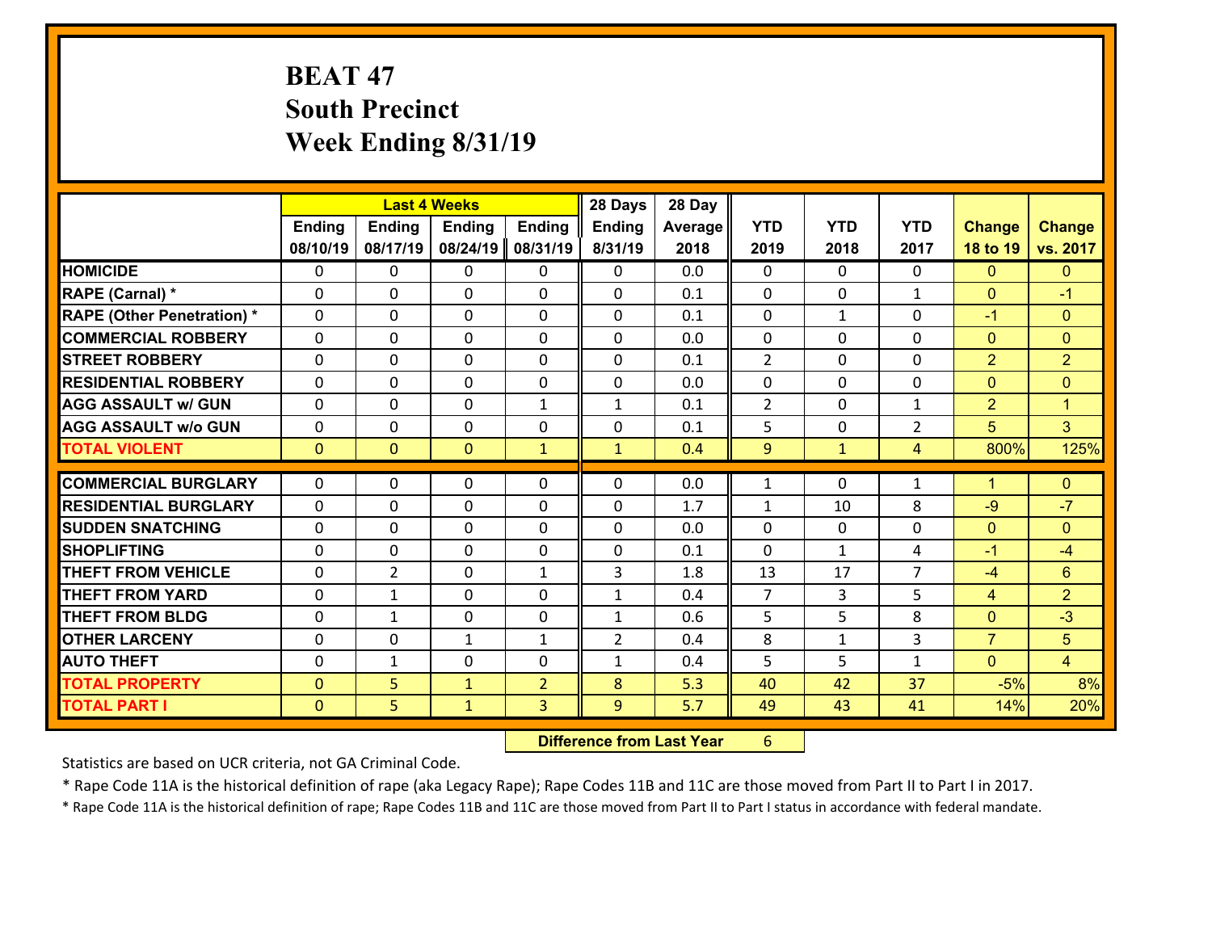# **BEAT 47 South Precinct Week Ending 8/31/19**

|                                   |               |                | <b>Last 4 Weeks</b> |                | 28 Days        | 28 Day  |                |              |                |                |                      |
|-----------------------------------|---------------|----------------|---------------------|----------------|----------------|---------|----------------|--------------|----------------|----------------|----------------------|
|                                   | <b>Ending</b> | <b>Ending</b>  | <b>Ending</b>       | <b>Ending</b>  | <b>Ending</b>  | Average | <b>YTD</b>     | <b>YTD</b>   | <b>YTD</b>     | <b>Change</b>  | <b>Change</b>        |
|                                   | 08/10/19      | 08/17/19       | 08/24/19            | 08/31/19       | 8/31/19        | 2018    | 2019           | 2018         | 2017           | 18 to 19       | vs. 2017             |
| <b>HOMICIDE</b>                   | $\Omega$      | 0              | 0                   | 0              | 0              | 0.0     | $\Omega$       | $\Omega$     | 0              | $\mathbf{0}$   | $\mathbf{0}$         |
| RAPE (Carnal) *                   | $\Omega$      | 0              | $\mathbf 0$         | 0              | 0              | 0.1     | $\mathbf 0$    | 0            | $\mathbf{1}$   | $\mathbf{0}$   | $-1$                 |
| <b>RAPE (Other Penetration) *</b> | $\Omega$      | 0              | $\mathbf{0}$        | $\Omega$       | $\Omega$       | 0.1     | $\Omega$       | $\mathbf{1}$ | $\Omega$       | $-1$           | $\mathbf{0}$         |
| <b>COMMERCIAL ROBBERY</b>         | $\Omega$      | 0              | $\mathbf 0$         | $\Omega$       | $\Omega$       | 0.0     | $\Omega$       | $\Omega$     | $\Omega$       | $\mathbf{0}$   | $\mathbf{0}$         |
| <b>STREET ROBBERY</b>             | $\Omega$      | 0              | $\mathbf{0}$        | $\Omega$       | $\Omega$       | 0.1     | $\overline{2}$ | $\Omega$     | $\Omega$       | $\overline{2}$ | $\overline{2}$       |
| <b>RESIDENTIAL ROBBERY</b>        | $\Omega$      | 0              | $\mathbf{0}$        | $\Omega$       | $\Omega$       | 0.0     | $\Omega$       | $\Omega$     | $\Omega$       | $\mathbf{0}$   | $\mathbf{0}$         |
| <b>AGG ASSAULT w/ GUN</b>         | 0             | 0              | $\mathbf 0$         | $\mathbf{1}$   | $\mathbf{1}$   | 0.1     | $\overline{2}$ | $\Omega$     | $\mathbf{1}$   | $\overline{2}$ | $\blacktriangleleft$ |
| <b>AGG ASSAULT w/o GUN</b>        | $\mathbf{0}$  | 0              | 0                   | 0              | $\mathbf 0$    | 0.1     | 5              | 0            | $\overline{2}$ | 5              | 3                    |
| <b>TOTAL VIOLENT</b>              | $\mathbf{0}$  | $\overline{0}$ | $\mathbf{0}$        | $\mathbf{1}$   | $\mathbf{1}$   | 0.4     | 9              | $\mathbf{1}$ | 4              | 800%           | 125%                 |
|                                   |               |                |                     |                |                |         |                |              |                |                |                      |
|                                   |               |                |                     |                |                |         |                |              |                |                |                      |
| <b>COMMERCIAL BURGLARY</b>        | $\mathbf{0}$  | 0              | 0                   | 0              | $\Omega$       | 0.0     | 1              | $\Omega$     | 1              | $\mathbf{1}$   | $\mathbf{0}$         |
| <b>RESIDENTIAL BURGLARY</b>       | $\Omega$      | 0              | $\mathbf 0$         | $\Omega$       | 0              | 1.7     | 1              | 10           | 8              | $-9$           | $-7$                 |
| <b>SUDDEN SNATCHING</b>           | 0             | 0              | $\mathbf{0}$        | 0              | $\Omega$       | 0.0     | $\mathbf{0}$   | 0            | $\Omega$       | $\mathbf{0}$   | $\mathbf{0}$         |
| <b>SHOPLIFTING</b>                | $\Omega$      | 0              | $\mathbf 0$         | $\Omega$       | 0              | 0.1     | $\Omega$       | $\mathbf{1}$ | 4              | $-1$           | $-4$                 |
| <b>THEFT FROM VEHICLE</b>         | 0             | $\overline{2}$ | $\mathbf 0$         | $\mathbf{1}$   | 3              | 1.8     | 13             | 17           | $\overline{7}$ | $-4$           | 6                    |
| <b>THEFT FROM YARD</b>            | 0             | $\mathbf{1}$   | $\mathbf{0}$        | $\Omega$       | $\mathbf{1}$   | 0.4     | $\overline{7}$ | 3            | 5              | $\overline{4}$ | $\overline{2}$       |
| <b>THEFT FROM BLDG</b>            | $\Omega$      | $\mathbf{1}$   | $\Omega$            | $\Omega$       | $\mathbf{1}$   | 0.6     | 5              | 5.           | 8              | $\mathbf{0}$   | $-3$                 |
| <b>OTHER LARCENY</b>              | 0             | 0              | $\mathbf{1}$        | $\mathbf{1}$   | $\overline{2}$ | 0.4     | 8              | $\mathbf{1}$ | 3              | $\overline{7}$ | 5                    |
| <b>AUTO THEFT</b>                 | $\Omega$      | 1              | $\mathbf{0}$        | 0              | $\mathbf{1}$   | 0.4     | 5              | 5.           | $\mathbf{1}$   | $\mathbf{0}$   | $\overline{4}$       |
| <b>TOTAL PROPERTY</b>             | $\mathbf{0}$  | 5              | $\mathbf{1}$        | $\overline{2}$ | 8              | 5.3     | 40             | 42           | 37             | $-5%$          | 8%                   |
| <b>TOTAL PART I</b>               | $\mathbf{0}$  | 5.             | $\mathbf{1}$        | 3              | 9              | 5.7     | 49             | 43           | 41             | 14%            | 20%                  |

 **Difference from Last Year**r 6

Statistics are based on UCR criteria, not GA Criminal Code.

\* Rape Code 11A is the historical definition of rape (aka Legacy Rape); Rape Codes 11B and 11C are those moved from Part II to Part I in 2017.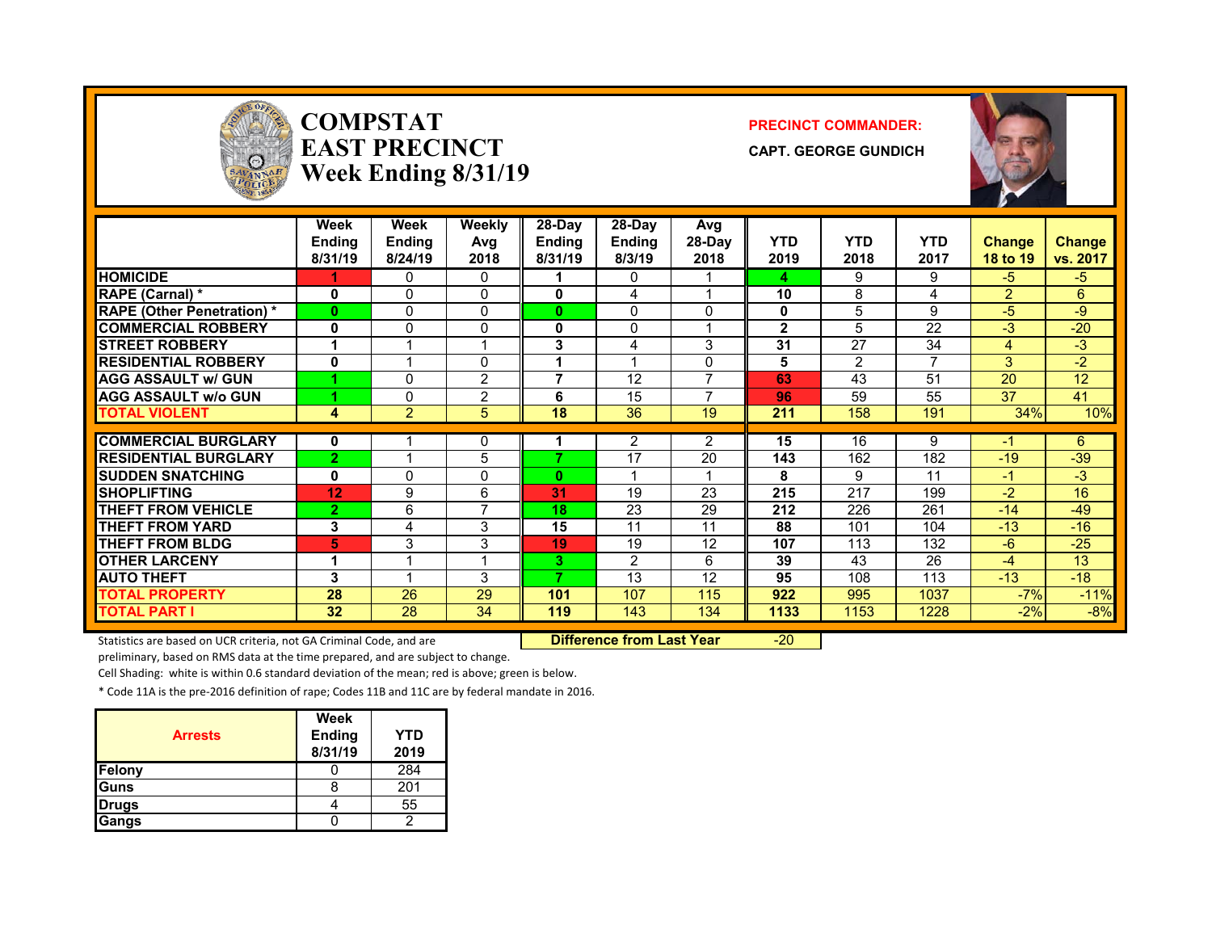

### **COMPSTATEAST PRECINCTWeek Ending 8/31/19**

#### **PRECINCT COMMANDER:**

**CAPT. GEORGE GUNDICH**



|                                  | Week<br><b>Ending</b><br>8/31/19 | Week<br>Ending<br>8/24/19 | <b>Weekly</b><br>Avg<br>2018 | 28-Day<br><b>Ending</b><br>8/31/19 | 28-Day<br>Ending<br>8/3/19 | Avg<br>28-Day<br>2018 | <b>YTD</b><br>2019 | <b>YTD</b><br>2018 | <b>YTD</b><br>2017 | <b>Change</b><br>18 to 19 | <b>Change</b><br>vs. 2017 |
|----------------------------------|----------------------------------|---------------------------|------------------------------|------------------------------------|----------------------------|-----------------------|--------------------|--------------------|--------------------|---------------------------|---------------------------|
| <b>HOMICIDE</b>                  |                                  | 0                         | 0                            |                                    | $\Omega$                   |                       | 4                  | 9                  | 9                  | $-5$                      | $-5$                      |
| RAPE (Carnal) *                  | 0                                | $\Omega$                  | 0                            | 0                                  | 4                          |                       | 10                 | 8                  | 4                  | $\mathcal{P}$             | 6                         |
| <b>RAPE (Other Penetration)*</b> | $\bf{0}$                         | $\Omega$                  | 0                            | 0                                  | $\Omega$                   | 0                     | 0                  | 5                  | 9                  | $-5$                      | -9                        |
| <b>COMMERCIAL ROBBERY</b>        | 0                                | 0                         | 0                            | 0                                  | $\Omega$                   |                       | $\mathbf{2}$       | 5                  | 22                 | $-3$                      | $-20$                     |
| <b>STREET ROBBERY</b>            |                                  |                           |                              | 3                                  | 4                          | 3                     | 31                 | 27                 | 34                 | 4                         | $-3$                      |
| <b>RESIDENTIAL ROBBERY</b>       | 0                                |                           | 0                            |                                    |                            | 0                     | 5                  | 2                  |                    | 3                         | $-2$                      |
| <b>AGG ASSAULT w/ GUN</b>        |                                  | $\Omega$                  | $\overline{2}$               | 7                                  | 12                         | 7                     | 63                 | 43                 | 51                 | 20                        | 12                        |
| <b>AGG ASSAULT w/o GUN</b>       |                                  | 0                         | $\overline{2}$               | 6                                  | 15                         |                       | 96                 | 59                 | 55                 | 37                        | 41                        |
| <b>TOTAL VIOLENT</b>             | 4                                | $\overline{2}$            | 5                            | 18                                 | 36                         | 19                    | 211                | 158                | 191                | 34%                       | 10%                       |
|                                  |                                  |                           |                              |                                    |                            |                       |                    |                    |                    |                           |                           |
| <b>COMMERCIAL BURGLARY</b>       | 0                                |                           | 0                            |                                    | 2                          | $\overline{2}$        | 15                 | 16                 | 9                  |                           | 6                         |
| <b>RESIDENTIAL BURGLARY</b>      | $\overline{2}$                   |                           | 5                            |                                    | 17                         | 20                    | 143                | 162                | 182                | $-19$                     | $-39$                     |
| <b>SUDDEN SNATCHING</b>          | 0                                | $\Omega$                  | 0                            | 0                                  |                            |                       | 8                  | 9                  | 11                 | $-1$                      | $-3$                      |
| <b>SHOPLIFTING</b>               | 12                               | 9                         | 6                            | 31                                 | 19                         | 23                    | 215                | 217                | 199                | $-2$                      | 16                        |
| <b>THEFT FROM VEHICLE</b>        | $\overline{2}$                   | 6                         | 7                            | 18                                 | 23                         | 29                    | 212                | 226                | 261                | $-14$                     | $-49$                     |
| <b>THEFT FROM YARD</b>           | 3                                | 4                         | 3                            | 15                                 | 11                         | 11                    | 88                 | 101                | 104                | $-13$                     | $-16$                     |
| <b>THEFT FROM BLDG</b>           | 5                                | 3                         | 3                            | 19                                 | 19                         | 12                    | 107                | 113                | 132                | $-6$                      | $-25$                     |
| <b>OTHER LARCENY</b>             |                                  |                           | и                            | 3.                                 | 2                          | 6                     | 39                 | 43                 | 26                 | $-4$                      | 13                        |
| <b>AUTO THEFT</b>                | 3                                |                           | 3                            | 7                                  | 13                         | 12                    | 95                 | 108                | 113                | $-13$                     | $-18$                     |
| <b>TOTAL PROPERTY</b>            | 28                               | 26                        | 29                           | 101                                | 107                        | 115                   | 922                | 995                | 1037               | $-7%$                     | $-11%$                    |
| <b>TOTAL PART I</b>              | 32                               | 28                        | 34                           | 119                                | 143                        | 134                   | 1133               | 1153               | 1228               | $-2\%$                    | $-8%$                     |

Statistics are based on UCR criteria, not GA Criminal Code, and are **Difference from Last Year** -20

preliminary, based on RMS data at the time prepared, and are subject to change.

Cell Shading: white is within 0.6 standard deviation of the mean; red is above; green is below.

\* Code 11A is the pre‐2016 definition of rape; Codes 11B and 11C are by federal mandate in 2016.

| <b>Arrests</b> | Week<br><b>Ending</b><br>8/31/19 | YTD<br>2019 |
|----------------|----------------------------------|-------------|
| Felony         |                                  | 284         |
| Guns           |                                  | 201         |
| <b>Drugs</b>   |                                  | 55          |
| Gangs          |                                  |             |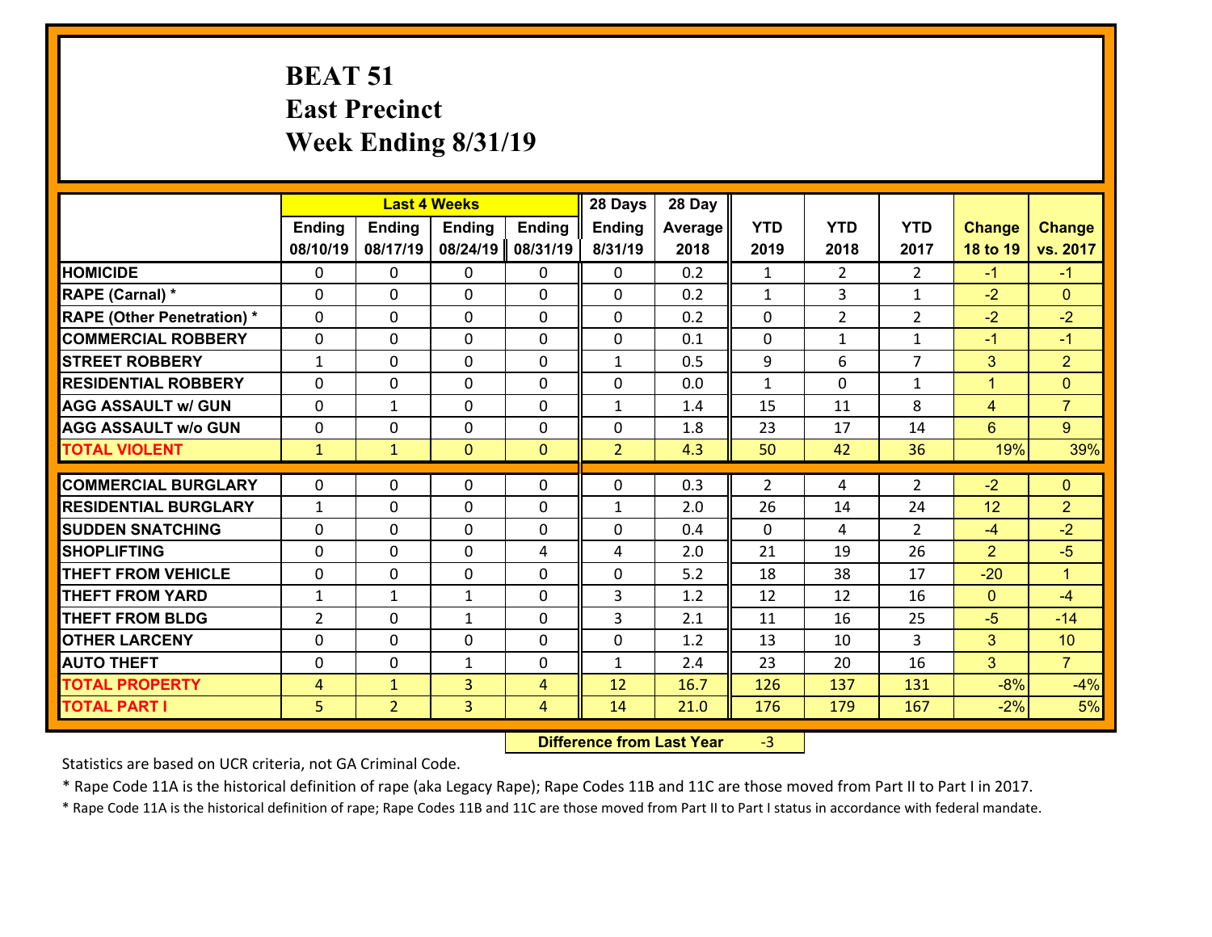### **BEAT 51 East Precinct Week Ending 8/31/19**

|                                   |                |                | <b>Last 4 Weeks</b> |                | 28 Days        | 28 Day  |                |                |                |                |                |
|-----------------------------------|----------------|----------------|---------------------|----------------|----------------|---------|----------------|----------------|----------------|----------------|----------------|
|                                   | Ending         | <b>Ending</b>  | <b>Ending</b>       | <b>Ending</b>  | Ending         | Average | <b>YTD</b>     | <b>YTD</b>     | <b>YTD</b>     | <b>Change</b>  | <b>Change</b>  |
|                                   | 08/10/19       | 08/17/19       | 08/24/19            | 08/31/19       | 8/31/19        | 2018    | 2019           | 2018           | 2017           | 18 to 19       | vs. 2017       |
| <b>HOMICIDE</b>                   | $\Omega$       | 0              | 0                   | $\mathbf{0}$   | 0              | 0.2     | $\mathbf{1}$   | $\overline{2}$ | $\mathcal{L}$  | $-1$           | $-1$           |
| RAPE (Carnal) *                   | 0              | 0              | 0                   | 0              | 0              | 0.2     | $\mathbf{1}$   | 3              | $\mathbf{1}$   | $-2$           | $\overline{0}$ |
| <b>RAPE (Other Penetration) *</b> | $\Omega$       | 0              | $\mathbf{0}$        | 0              | 0              | 0.2     | $\mathbf{0}$   | $\overline{2}$ | $\overline{2}$ | $-2$           | $-2$           |
| <b>COMMERCIAL ROBBERY</b>         | 0              | 0              | $\mathbf 0$         | 0              | 0              | 0.1     | $\mathbf 0$    | $\mathbf{1}$   | $\mathbf{1}$   | $-1$           | $-1$           |
| <b>STREET ROBBERY</b>             | $\mathbf{1}$   | 0              | $\mathbf{0}$        | 0              | $\mathbf{1}$   | 0.5     | 9              | 6              | $\overline{7}$ | 3              | 2 <sup>1</sup> |
| <b>RESIDENTIAL ROBBERY</b>        | $\Omega$       | 0              | $\mathbf 0$         | 0              | 0              | 0.0     | $\mathbf{1}$   | $\Omega$       | $\mathbf{1}$   | $\mathbf{1}$   | $\Omega$       |
| <b>AGG ASSAULT w/ GUN</b>         | $\mathbf 0$    | $\mathbf{1}$   | 0                   | 0              | $\mathbf{1}$   | 1.4     | 15             | 11             | 8              | $\overline{4}$ | $\overline{7}$ |
| <b>AGG ASSAULT w/o GUN</b>        | 0              | 0              | 0                   | 0              | 0              | 1.8     | 23             | 17             | 14             | $6^{\circ}$    | 9              |
| <b>TOTAL VIOLENT</b>              | $\mathbf{1}$   | $\mathbf{1}$   | $\mathbf{0}$        | $\mathbf{0}$   | $\overline{2}$ | 4.3     | 50             | 42             | 36             | 19%            | 39%            |
|                                   |                |                |                     |                |                |         |                |                |                |                |                |
| <b>COMMERCIAL BURGLARY</b>        | $\mathbf{0}$   | 0              | 0                   | $\mathbf{0}$   | 0              | 0.3     | $\overline{2}$ | 4              | 2              | $-2$           | $\mathbf{0}$   |
|                                   |                | 0              | 0                   | 0              | $\mathbf{1}$   |         | 26             |                |                |                | $\overline{2}$ |
| <b>RESIDENTIAL BURGLARY</b>       | $\mathbf{1}$   |                |                     |                |                | 2.0     |                | 14             | 24             | 12             |                |
| <b>SUDDEN SNATCHING</b>           | $\Omega$       | 0              | $\mathbf{0}$        | $\Omega$       | $\Omega$       | 0.4     | $\Omega$       | 4              | $\overline{2}$ | $-4$           | $-2$           |
| <b>SHOPLIFTING</b>                | $\mathbf{0}$   | 0              | $\mathbf{0}$        | 4              | 4              | 2.0     | 21             | 19             | 26             | $\overline{2}$ | $-5$           |
| <b>THEFT FROM VEHICLE</b>         | $\Omega$       | 0              | $\mathbf{0}$        | $\Omega$       | 0              | 5.2     | 18             | 38             | 17             | $-20$          | $\mathbf{1}$   |
| <b>THEFT FROM YARD</b>            | 1              | $\mathbf{1}$   | $\mathbf{1}$        | $\Omega$       | 3              | 1.2     | 12             | 12             | 16             | $\mathbf{0}$   | $-4$           |
| <b>THEFT FROM BLDG</b>            | $\overline{2}$ | 0              | $\mathbf{1}$        | $\Omega$       | 3              | 2.1     | 11             | 16             | 25             | $-5$           | $-14$          |
| <b>OTHER LARCENY</b>              | 0              | 0              | 0                   | $\Omega$       | 0              | 1.2     | 13             | 10             | 3              | 3              | 10             |
| <b>AUTO THEFT</b>                 | 0              | 0              | $\mathbf{1}$        | 0              | $\mathbf{1}$   | 2.4     | 23             | 20             | 16             | 3              | $\overline{7}$ |
| <b>TOTAL PROPERTY</b>             | $\overline{4}$ | $\mathbf{1}$   | 3                   | $\overline{4}$ | 12             | 16.7    | 126            | 137            | 131            | $-8%$          | $-4%$          |
| <b>TOTAL PART I</b>               | 5 <sub>1</sub> | $\overline{2}$ | 3                   | 4              | 14             | 21.0    | 176            | 179            | 167            | $-2%$          | 5%             |

 **Difference from Last Year**r -3

Statistics are based on UCR criteria, not GA Criminal Code.

\* Rape Code 11A is the historical definition of rape (aka Legacy Rape); Rape Codes 11B and 11C are those moved from Part II to Part I in 2017.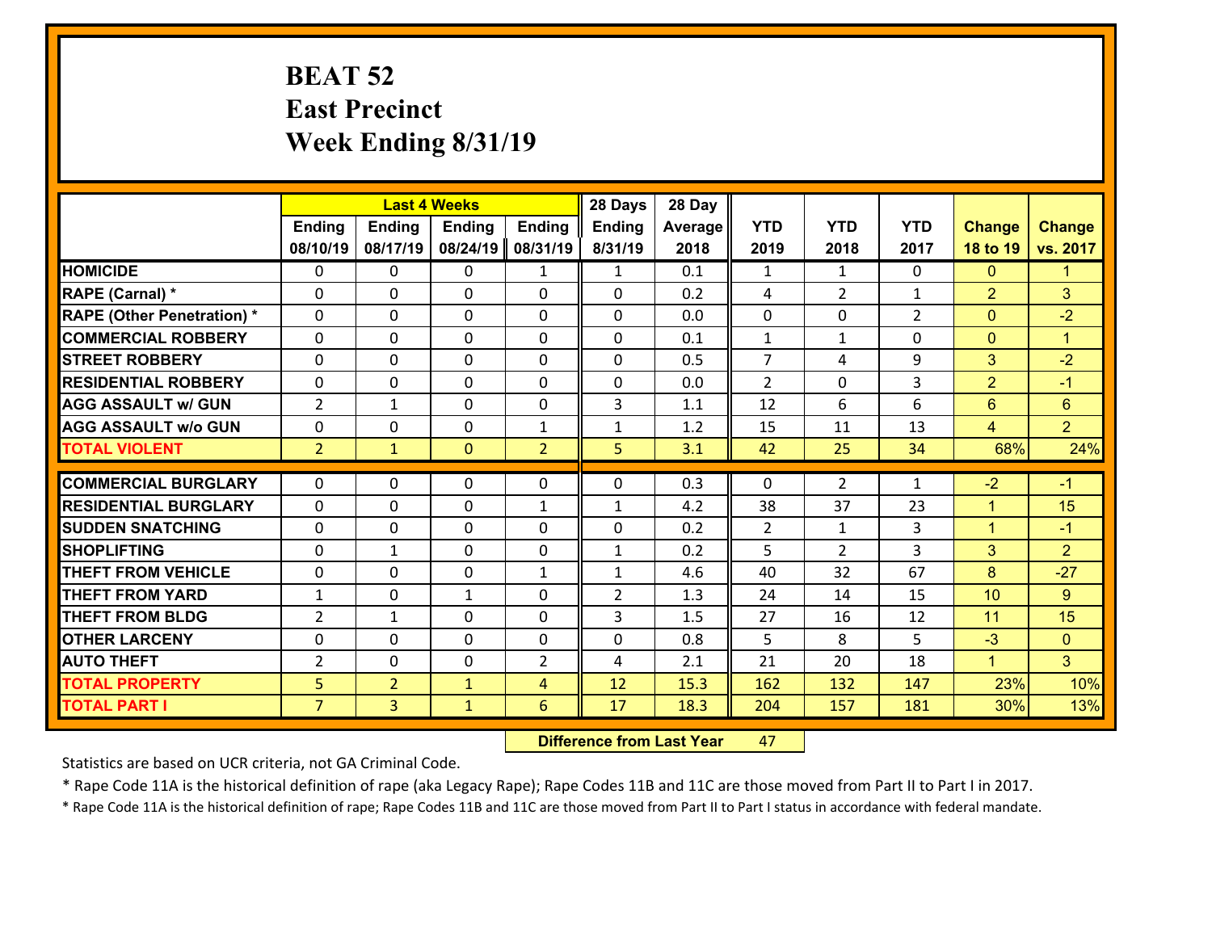### **BEAT 52 East Precinct Week Ending 8/31/19**

|                                   |                |                | <b>Last 4 Weeks</b> |                | 28 Days        | 28 Day  |                |                |                |                |                |
|-----------------------------------|----------------|----------------|---------------------|----------------|----------------|---------|----------------|----------------|----------------|----------------|----------------|
|                                   | <b>Ending</b>  | <b>Ending</b>  | <b>Ending</b>       | <b>Ending</b>  | <b>Ending</b>  | Average | <b>YTD</b>     | <b>YTD</b>     | <b>YTD</b>     | <b>Change</b>  | <b>Change</b>  |
|                                   | 08/10/19       | 08/17/19       | 08/24/19            | 08/31/19       | 8/31/19        | 2018    | 2019           | 2018           | 2017           | 18 to 19       | vs. 2017       |
| <b>HOMICIDE</b>                   | $\Omega$       | 0              | 0                   | $\mathbf{1}$   | $\mathbf{1}$   | 0.1     | 1              | $\mathbf{1}$   | 0              | $\mathbf{0}$   | $\mathbf{1}$   |
| RAPE (Carnal) *                   | 0              | 0              | $\mathbf{0}$        | 0              | $\Omega$       | 0.2     | 4              | $\overline{2}$ | $\mathbf{1}$   | 2              | 3              |
| <b>RAPE (Other Penetration) *</b> | $\Omega$       | 0              | $\mathbf{0}$        | $\Omega$       | $\Omega$       | 0.0     | 0              | $\Omega$       | $\overline{2}$ | $\mathbf{0}$   | $-2$           |
| <b>COMMERCIAL ROBBERY</b>         | 0              | 0              | 0                   | 0              | 0              | 0.1     | $\mathbf{1}$   | $\mathbf{1}$   | $\Omega$       | $\mathbf 0$    | $\mathbf{1}$   |
| <b>STREET ROBBERY</b>             | $\Omega$       | 0              | $\mathbf 0$         | 0              | 0              | 0.5     | $\overline{7}$ | 4              | 9              | 3              | $-2$           |
| <b>RESIDENTIAL ROBBERY</b>        | $\Omega$       | 0              | $\mathbf 0$         | $\Omega$       | 0              | 0.0     | $\overline{2}$ | 0              | 3              | 2              | $-1$           |
| <b>AGG ASSAULT w/ GUN</b>         | $\overline{2}$ | 1              | $\mathbf 0$         | 0              | 3              | 1.1     | 12             | 6              | 6              | 6              | $6\phantom{a}$ |
| <b>AGG ASSAULT w/o GUN</b>        | 0              | 0              | $\mathbf 0$         | $\mathbf{1}$   | $\mathbf{1}$   | 1.2     | 15             | 11             | 13             | $\overline{4}$ | $\overline{2}$ |
| <b>TOTAL VIOLENT</b>              | 2 <sup>1</sup> | $\mathbf{1}$   | $\overline{0}$      | $\overline{2}$ | 5              | 3.1     | 42             | 25             | 34             | 68%            | 24%            |
| <b>COMMERCIAL BURGLARY</b>        | $\Omega$       | 0              | $\mathbf{0}$        | $\Omega$       | $\Omega$       | 0.3     | $\Omega$       | $\overline{2}$ | $\mathbf{1}$   | $-2$           | $-1$           |
|                                   |                |                |                     |                |                |         |                |                |                |                |                |
| <b>RESIDENTIAL BURGLARY</b>       | 0              | 0              | $\mathbf 0$         | $\mathbf{1}$   | $\mathbf{1}$   | 4.2     | 38             | 37             | 23             | $\mathbf{1}$   | 15             |
| <b>SUDDEN SNATCHING</b>           | 0              | 0              | $\mathbf 0$         | 0              | 0              | 0.2     | $\overline{2}$ | $\mathbf{1}$   | 3              | $\mathbf{1}$   | $-1$           |
| <b>SHOPLIFTING</b>                | 0              | 1              | $\mathbf 0$         | 0              | $\mathbf{1}$   | 0.2     | 5              | $\overline{2}$ | 3              | 3              | $\overline{2}$ |
| <b>THEFT FROM VEHICLE</b>         | 0              | 0              | $\mathbf 0$         | $\mathbf{1}$   | $\mathbf{1}$   | 4.6     | 40             | 32             | 67             | 8              | $-27$          |
| <b>THEFT FROM YARD</b>            | $\mathbf{1}$   | 0              | 1                   | 0              | $\overline{2}$ | 1.3     | 24             | 14             | 15             | 10             | 9              |
| <b>THEFT FROM BLDG</b>            | $\overline{2}$ | 1              | $\mathbf 0$         | 0              | 3              | 1.5     | 27             | 16             | 12             | 11             | 15             |
| <b>OTHER LARCENY</b>              | 0              | 0              | $\mathbf 0$         | 0              | 0              | 0.8     | 5              | 8              | 5              | $-3$           | $\overline{0}$ |
| <b>AUTO THEFT</b>                 | 2              | 0              | $\mathbf{0}$        | 2              | 4              | 2.1     | 21             | 20             | 18             | $\mathbf{1}$   | 3 <sup>1</sup> |
| <b>TOTAL PROPERTY</b>             | 5 <sub>5</sub> | $\overline{2}$ | $\mathbf{1}$        | 4              | 12             | 15.3    | 162            | 132            | 147            | 23%            | 10%            |
| <b>TOTAL PART I</b>               | $\overline{7}$ | $\overline{3}$ | $\mathbf{1}$        | 6              | 17             | 18.3    | 204            | 157            | 181            | 30%            | 13%            |

 **Difference from Last Year**r 47

Statistics are based on UCR criteria, not GA Criminal Code.

\* Rape Code 11A is the historical definition of rape (aka Legacy Rape); Rape Codes 11B and 11C are those moved from Part II to Part I in 2017.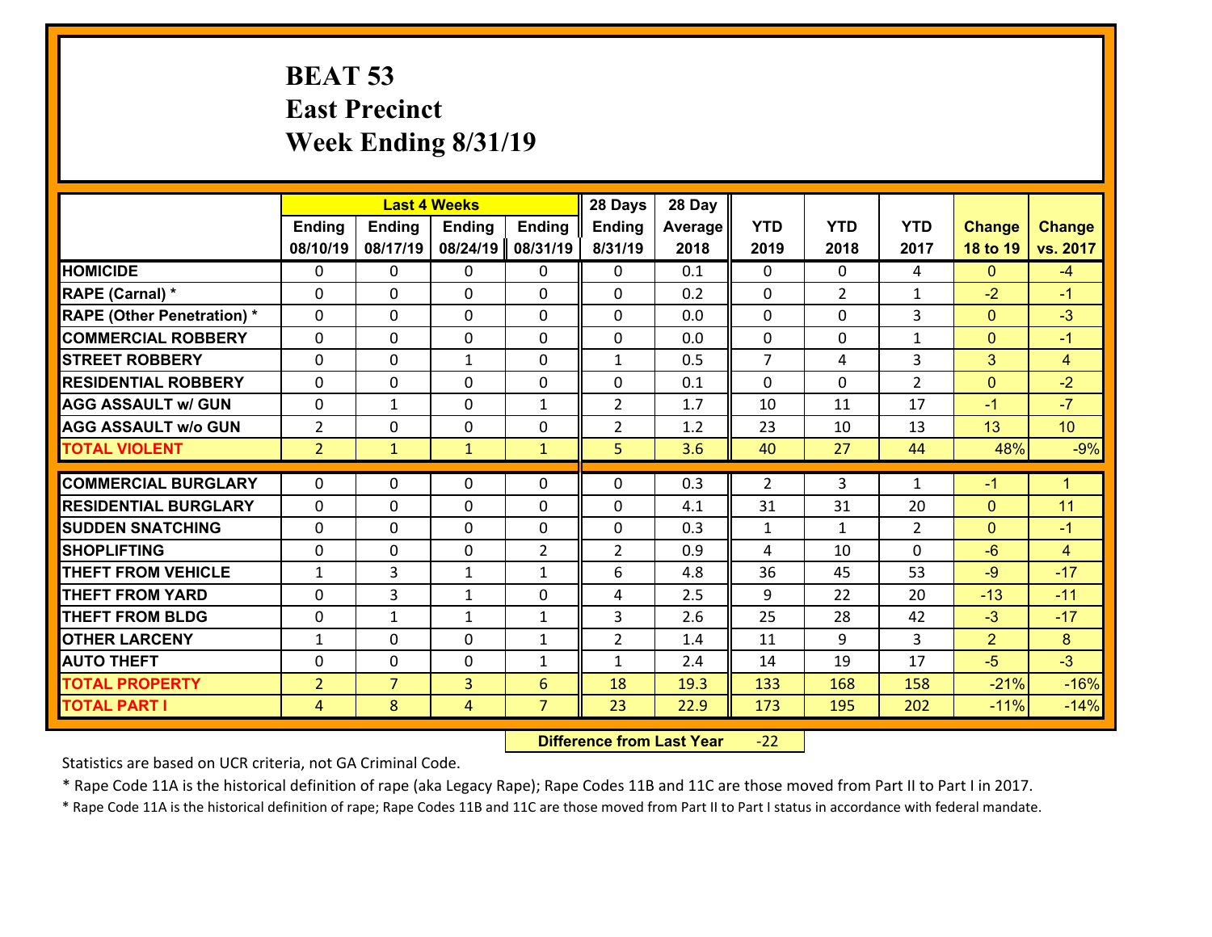### **BEAT 53 East Precinct Week Ending 8/31/19**

|                                   |                |                | <b>Last 4 Weeks</b> |                | 28 Days        | 28 Day  |                |                |                |                |                      |
|-----------------------------------|----------------|----------------|---------------------|----------------|----------------|---------|----------------|----------------|----------------|----------------|----------------------|
|                                   | <b>Ending</b>  | <b>Ending</b>  | <b>Ending</b>       | <b>Ending</b>  | Ending         | Average | <b>YTD</b>     | <b>YTD</b>     | <b>YTD</b>     | <b>Change</b>  | <b>Change</b>        |
|                                   | 08/10/19       | 08/17/19       | 08/24/19            | 08/31/19       | 8/31/19        | 2018    | 2019           | 2018           | 2017           | 18 to 19       | vs. 2017             |
| <b>HOMICIDE</b>                   | $\Omega$       | 0              | $\mathbf{0}$        | 0              | 0              | 0.1     | $\Omega$       | $\Omega$       | 4              | $\Omega$       | $-4$                 |
| RAPE (Carnal) *                   | $\Omega$       | 0              | $\mathbf{0}$        | $\Omega$       | 0              | 0.2     | 0              | $\overline{2}$ | $\mathbf{1}$   | $-2$           | $-1$                 |
| <b>RAPE (Other Penetration) *</b> | $\Omega$       | 0              | $\mathbf 0$         | 0              | 0              | 0.0     | 0              | $\Omega$       | 3              | $\mathbf{0}$   | $-3$                 |
| <b>COMMERCIAL ROBBERY</b>         | 0              | 0              | $\mathbf 0$         | 0              | 0              | 0.0     | $\mathbf 0$    | $\mathbf 0$    | $\mathbf{1}$   | $\overline{0}$ | $-1$                 |
| <b>STREET ROBBERY</b>             | $\Omega$       | 0              | $\mathbf{1}$        | 0              | $\mathbf{1}$   | 0.5     | $\overline{7}$ | 4              | 3              | 3              | $\overline{4}$       |
| <b>RESIDENTIAL ROBBERY</b>        | 0              | 0              | $\mathbf 0$         | 0              | 0              | 0.1     | $\mathbf 0$    | $\mathbf 0$    | $\overline{2}$ | $\mathbf{0}$   | $-2$                 |
| <b>AGG ASSAULT w/ GUN</b>         | 0              | 1              | $\mathbf 0$         | $\mathbf{1}$   | $\overline{2}$ | 1.7     | 10             | 11             | 17             | $-1$           | $-7$                 |
| <b>AGG ASSAULT w/o GUN</b>        | $\overline{2}$ | 0              | 0                   | 0              | $\overline{2}$ | 1.2     | 23             | 10             | 13             | 13             | 10                   |
| <b>TOTAL VIOLENT</b>              | $\overline{2}$ | $\mathbf{1}$   | $\mathbf{1}$        | $\mathbf{1}$   | 5              | 3.6     | 40             | 27             | 44             | 48%            | $-9%$                |
|                                   |                |                |                     |                |                |         |                |                |                |                |                      |
| <b>COMMERCIAL BURGLARY</b>        | $\Omega$       | 0              | $\mathbf{0}$        | $\Omega$       | $\Omega$       | 0.3     | 2              | 3              | $\mathbf{1}$   | $-1$           | $\blacktriangleleft$ |
| <b>RESIDENTIAL BURGLARY</b>       | $\Omega$       | 0              | $\mathbf 0$         | 0              | 0              | 4.1     | 31             | 31             | 20             | $\mathbf{0}$   | 11                   |
| <b>SUDDEN SNATCHING</b>           | $\Omega$       | 0              | $\mathbf 0$         | 0              | 0              | 0.3     | $\mathbf{1}$   | $\mathbf{1}$   | $\overline{2}$ | $\overline{0}$ | $-1$                 |
| <b>SHOPLIFTING</b>                | 0              | 0              | $\mathbf 0$         | $\overline{2}$ | $\overline{2}$ | 0.9     | 4              | 10             | $\Omega$       | $-6$           | $\overline{4}$       |
| <b>THEFT FROM VEHICLE</b>         | $\mathbf{1}$   | 3              | 1                   | $\mathbf{1}$   | 6              | 4.8     | 36             | 45             | 53             | $-9$           | $-17$                |
| <b>THEFT FROM YARD</b>            | 0              | 3              | 1                   | 0              | 4              | 2.5     | 9              | 22             | 20             | $-13$          | $-11$                |
| <b>THEFT FROM BLDG</b>            | 0              | $\mathbf{1}$   | $\mathbf{1}$        | $\mathbf{1}$   | 3              | 2.6     | 25             | 28             | 42             | $-3$           | $-17$                |
| <b>OTHER LARCENY</b>              | $\mathbf{1}$   | 0              | $\mathbf 0$         | $\mathbf{1}$   | $\overline{2}$ | 1.4     | 11             | 9              | 3              | $\overline{2}$ | 8                    |
| <b>AUTO THEFT</b>                 | 0              | 0              | $\mathbf 0$         | $\mathbf{1}$   | $\mathbf{1}$   | 2.4     | 14             | 19             | 17             | $-5$           | $-3$                 |
| <b>TOTAL PROPERTY</b>             | $\overline{2}$ | $\overline{7}$ | $\overline{3}$      | 6              | 18             | 19.3    | 133            | 168            | 158            | $-21%$         | $-16%$               |
| <b>TOTAL PART I</b>               | $\overline{4}$ | 8              | 4                   | $\overline{7}$ | 23             | 22.9    | 173            | 195            | 202            | $-11%$         | $-14%$               |

 **Difference from Last Year**r -22

Statistics are based on UCR criteria, not GA Criminal Code.

\* Rape Code 11A is the historical definition of rape (aka Legacy Rape); Rape Codes 11B and 11C are those moved from Part II to Part I in 2017.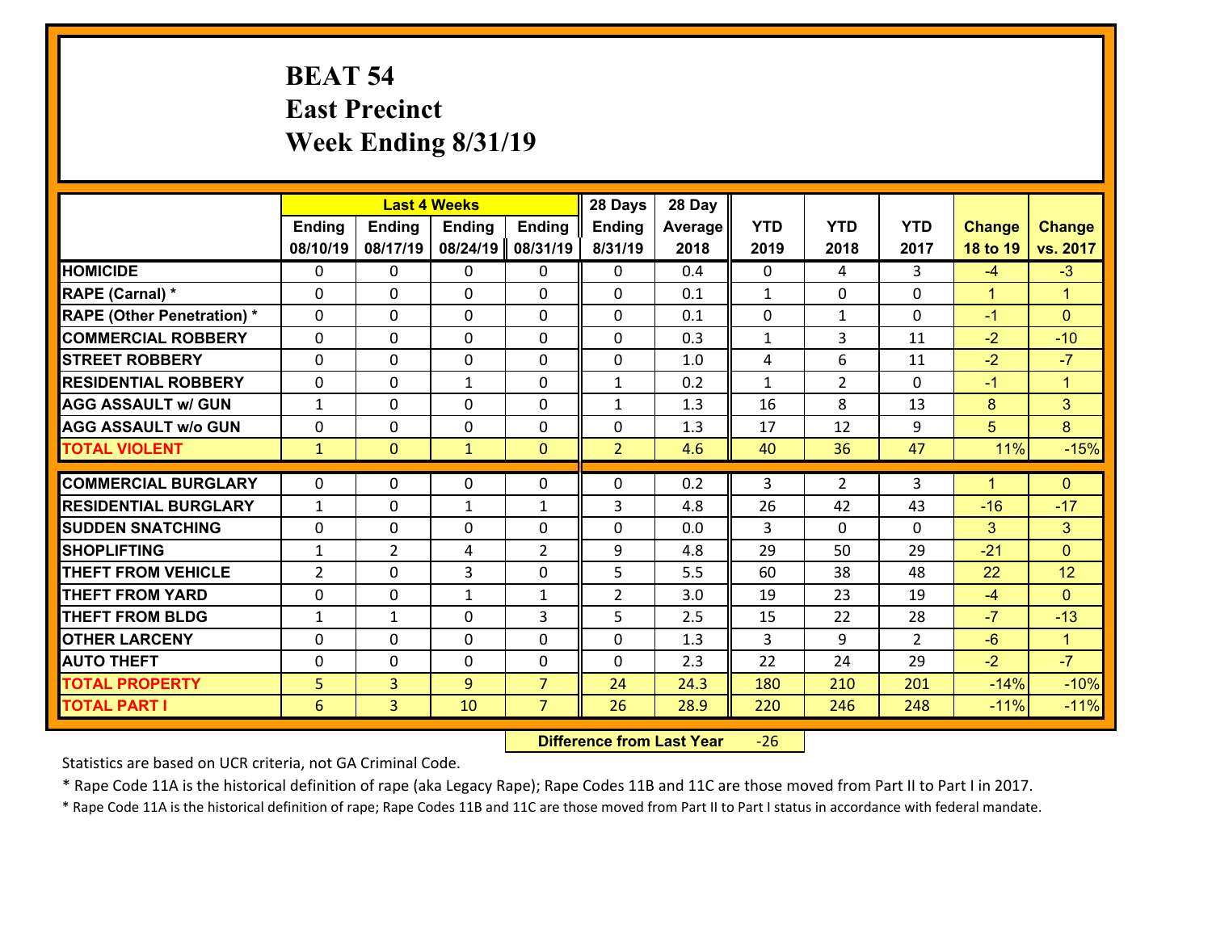### **BEAT 54 East Precinct Week Ending 8/31/19**

|                                   |                |                | <b>Last 4 Weeks</b> |                | 28 Days        | 28 Day  |                |                |                |                      |                      |
|-----------------------------------|----------------|----------------|---------------------|----------------|----------------|---------|----------------|----------------|----------------|----------------------|----------------------|
|                                   | <b>Ending</b>  | <b>Ending</b>  | <b>Ending</b>       | <b>Ending</b>  | Ending         | Average | <b>YTD</b>     | <b>YTD</b>     | <b>YTD</b>     | <b>Change</b>        | <b>Change</b>        |
|                                   | 08/10/19       | 08/17/19       | 08/24/19            | 08/31/19       | 8/31/19        | 2018    | 2019           | 2018           | 2017           | 18 to 19             | vs. 2017             |
| <b>HOMICIDE</b>                   | $\Omega$       | 0              | $\mathbf{0}$        | 0              | 0              | 0.4     | $\Omega$       | 4              | 3              | $-4$                 | $-3$                 |
| RAPE (Carnal) *                   | $\Omega$       | 0              | $\mathbf{0}$        | $\Omega$       | 0              | 0.1     | $\mathbf{1}$   | $\mathbf{0}$   | 0              | $\mathbf{1}$         | $\blacktriangleleft$ |
| <b>RAPE (Other Penetration) *</b> | $\Omega$       | 0              | $\mathbf 0$         | 0              | 0              | 0.1     | 0              | $\mathbf{1}$   | $\Omega$       | $-1$                 | $\Omega$             |
| <b>COMMERCIAL ROBBERY</b>         | 0              | 0              | $\mathbf 0$         | 0              | 0              | 0.3     | $\mathbf{1}$   | 3              | 11             | $-2$                 | $-10$                |
| <b>STREET ROBBERY</b>             | $\Omega$       | 0              | $\mathbf 0$         | 0              | 0              | 1.0     | 4              | 6              | 11             | $-2$                 | $-7$                 |
| <b>RESIDENTIAL ROBBERY</b>        | 0              | 0              | 1                   | 0              | $\mathbf{1}$   | 0.2     | $\mathbf{1}$   | $\overline{2}$ | 0              | $-1$                 | $\mathbf{1}$         |
| <b>AGG ASSAULT w/ GUN</b>         | $\mathbf{1}$   | 0              | $\mathbf 0$         | 0              | $\mathbf{1}$   | 1.3     | 16             | 8              | 13             | 8                    | 3                    |
| <b>AGG ASSAULT w/o GUN</b>        | 0              | 0              | 0                   | 0              | 0              | 1.3     | 17             | 12             | 9              | 5                    | 8                    |
| <b>TOTAL VIOLENT</b>              | $\mathbf{1}$   | $\overline{0}$ | $\mathbf{1}$        | $\mathbf{0}$   | $\overline{2}$ | 4.6     | 40             | 36             | 47             | 11%                  | $-15%$               |
|                                   |                |                |                     |                |                |         |                |                |                |                      |                      |
| <b>COMMERCIAL BURGLARY</b>        | $\Omega$       | 0              | 0                   | 0              | 0              | 0.2     | 3              | $\overline{2}$ | 3              | $\blacktriangleleft$ | $\mathbf{0}$         |
| <b>RESIDENTIAL BURGLARY</b>       | $\mathbf{1}$   | 0              | 1                   | $\mathbf{1}$   | 3              | 4.8     | 26             | 42             | 43             | $-16$                | $-17$                |
| <b>SUDDEN SNATCHING</b>           | 0              | 0              | $\mathbf 0$         | 0              | 0              | 0.0     | $\overline{3}$ | $\Omega$       | $\Omega$       | $\overline{3}$       | 3                    |
| <b>SHOPLIFTING</b>                | $\mathbf{1}$   | $\overline{2}$ | 4                   | $\overline{2}$ | 9              | 4.8     | 29             | 50             | 29             | $-21$                | $\overline{0}$       |
| <b>THEFT FROM VEHICLE</b>         | $\overline{2}$ | 0              | 3                   | 0              | 5              | 5.5     | 60             | 38             | 48             | 22                   | 12                   |
| <b>THEFT FROM YARD</b>            | $\mathbf 0$    | 0              | 1                   | $\mathbf{1}$   | $\overline{2}$ | 3.0     | 19             | 23             | 19             | $-4$                 | $\overline{0}$       |
| <b>THEFT FROM BLDG</b>            | $\mathbf{1}$   | 1              | $\mathbf 0$         | 3              | 5              | 2.5     | 15             | 22             | 28             | $-7$                 | $-13$                |
| <b>OTHER LARCENY</b>              | $\mathbf 0$    | 0              | $\mathbf 0$         | $\Omega$       | 0              | 1.3     | 3              | 9              | $\overline{2}$ | $-6$                 | $\blacktriangleleft$ |
| <b>AUTO THEFT</b>                 | 0              | 0              | $\mathbf 0$         | 0              | 0              | 2.3     | 22             | 24             | 29             | $-2$                 | $-7$                 |
| <b>TOTAL PROPERTY</b>             | 5              | 3              | 9                   | $\overline{7}$ | 24             | 24.3    | 180            | 210            | 201            | $-14%$               | $-10%$               |
| <b>TOTAL PART I</b>               | 6              | $\overline{3}$ | 10                  | $\overline{7}$ | 26             | 28.9    | 220            | 246            | 248            | $-11%$               | $-11%$               |

 **Difference from Last Year**r -26

Statistics are based on UCR criteria, not GA Criminal Code.

\* Rape Code 11A is the historical definition of rape (aka Legacy Rape); Rape Codes 11B and 11C are those moved from Part II to Part I in 2017.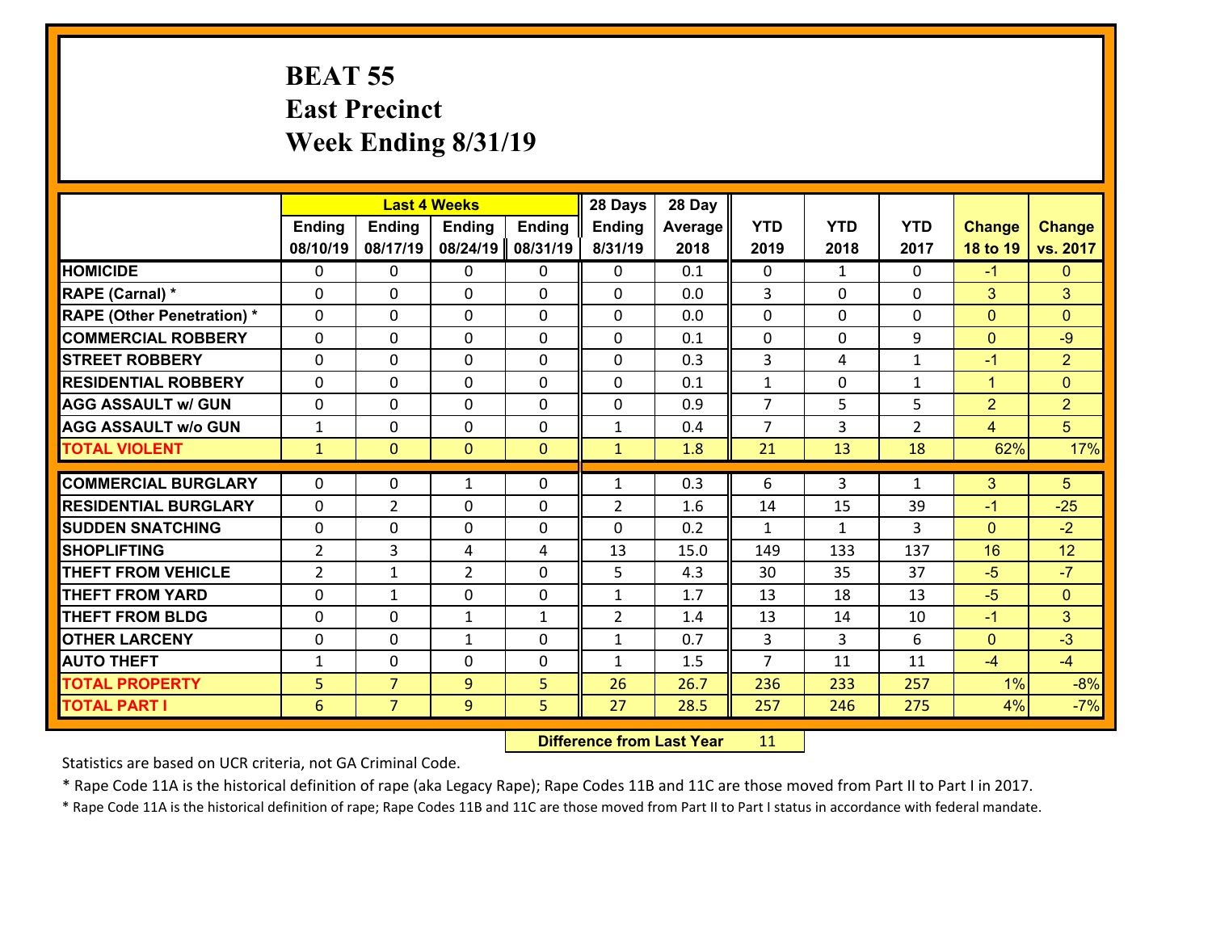### **BEAT 55 East Precinct Week Ending 8/31/19**

|                                   |                |                | <b>Last 4 Weeks</b> |               | 28 Days        | 28 Day  |                |                |                |                |                |
|-----------------------------------|----------------|----------------|---------------------|---------------|----------------|---------|----------------|----------------|----------------|----------------|----------------|
|                                   | <b>Ending</b>  | <b>Ending</b>  | <b>Ending</b>       | <b>Ending</b> | <b>Ending</b>  | Average | <b>YTD</b>     | <b>YTD</b>     | <b>YTD</b>     | <b>Change</b>  | <b>Change</b>  |
|                                   | 08/10/19       | 08/17/19       | 08/24/19            | 08/31/19      | 8/31/19        | 2018    | 2019           | 2018           | 2017           | 18 to 19       | vs. 2017       |
| <b>HOMICIDE</b>                   | $\Omega$       | 0              | 0                   | 0             | 0              | 0.1     | $\Omega$       | $\mathbf{1}$   | $\Omega$       | $-1$           | $\mathbf{0}$   |
| <b>RAPE (Carnal) *</b>            | $\Omega$       | $\Omega$       | $\mathbf 0$         | $\Omega$      | $\Omega$       | 0.0     | 3              | $\Omega$       | $\Omega$       | 3              | 3              |
| <b>RAPE (Other Penetration) *</b> | 0              | 0              | $\mathbf 0$         | 0             | 0              | 0.0     | $\mathbf 0$    | $\mathbf 0$    | 0              | $\mathbf{0}$   | $\mathbf{0}$   |
| <b>COMMERCIAL ROBBERY</b>         | 0              | 0              | $\mathbf 0$         | 0             | 0              | 0.1     | $\mathbf 0$    | $\mathbf 0$    | 9              | $\overline{0}$ | $-9$           |
| <b>STREET ROBBERY</b>             | 0              | 0              | $\mathbf 0$         | 0             | 0              | 0.3     | 3              | 4              | $\mathbf{1}$   | $-1$           | $\overline{2}$ |
| <b>RESIDENTIAL ROBBERY</b>        | 0              | 0              | $\mathbf 0$         | 0             | 0              | 0.1     | $\mathbf{1}$   | $\mathbf 0$    | $\mathbf{1}$   | $\mathbf{1}$   | $\overline{0}$ |
| <b>AGG ASSAULT w/ GUN</b>         | 0              | 0              | $\mathbf 0$         | 0             | 0              | 0.9     | $\overline{7}$ | 5              | 5              | $\overline{2}$ | $\overline{2}$ |
| <b>AGG ASSAULT w/o GUN</b>        | $\mathbf{1}$   | 0              | $\mathbf 0$         | 0             | $\mathbf{1}$   | 0.4     | $\overline{7}$ | 3              | $\overline{2}$ | $\overline{4}$ | 5 <sup>5</sup> |
| <b>TOTAL VIOLENT</b>              | $\mathbf{1}$   | $\overline{0}$ | $\mathbf{0}$        | $\mathbf{0}$  | $\mathbf{1}$   | 1.8     | 21             | 13             | 18             | 62%            | 17%            |
|                                   |                |                |                     |               |                |         |                |                |                |                |                |
| <b>COMMERCIAL BURGLARY</b>        | $\Omega$       | 0              | $\mathbf{1}$        | $\Omega$      | $\mathbf{1}$   | 0.3     | 6              | 3              | $\mathbf{1}$   | 3              | $5\phantom{.}$ |
| <b>RESIDENTIAL BURGLARY</b>       | $\Omega$       | $\overline{2}$ | $\mathbf 0$         | 0             | $\overline{2}$ | 1.6     | 14             | 15             | 39             | $-1$           | $-25$          |
| <b>SUDDEN SNATCHING</b>           | 0              | $\Omega$       | $\mathbf 0$         | 0             | $\Omega$       | 0.2     | $\mathbf{1}$   | $\mathbf{1}$   | 3              | $\Omega$       | $-2$           |
| <b>SHOPLIFTING</b>                | $\overline{2}$ | 3              | 4                   | 4             | 13             | 15.0    | 149            | 133            | 137            | 16             | 12             |
| <b>THEFT FROM VEHICLE</b>         | $\overline{2}$ | 1              | $\overline{2}$      | 0             | 5              | 4.3     | 30             | 35             | 37             | $-5$           | $-7$           |
| <b>THEFT FROM YARD</b>            | $\mathbf 0$    | $\mathbf{1}$   | $\mathbf 0$         | 0             | $\mathbf{1}$   | 1.7     | 13             | 18             | 13             | $-5$           | $\overline{0}$ |
| <b>THEFT FROM BLDG</b>            | 0              | 0              | $\mathbf{1}$        | $\mathbf{1}$  | $\overline{2}$ | 1.4     | 13             | 14             | 10             | $-1$           | 3              |
| <b>OTHER LARCENY</b>              | $\mathbf 0$    | $\mathbf 0$    | $\mathbf{1}$        | 0             | $\mathbf{1}$   | 0.7     | $\overline{3}$ | $\overline{3}$ | 6              | $\overline{0}$ | $-3$           |
| <b>AUTO THEFT</b>                 | $\mathbf{1}$   | $\Omega$       | $\mathbf 0$         | $\Omega$      | $\mathbf{1}$   | 1.5     | $\overline{7}$ | 11             | 11             | $-4$           | $-4$           |
| <b>TOTAL PROPERTY</b>             | 5              | $\overline{7}$ | 9                   | 5             | 26             | 26.7    | 236            | 233            | 257            | 1%             | $-8%$          |
| <b>TOTAL PART I</b>               | 6              | $\overline{7}$ | 9                   | 5             | 27             | 28.5    | 257            | 246            | 275            | 4%             | $-7%$          |

 **Difference from Last Year**r 11

Statistics are based on UCR criteria, not GA Criminal Code.

\* Rape Code 11A is the historical definition of rape (aka Legacy Rape); Rape Codes 11B and 11C are those moved from Part II to Part I in 2017.